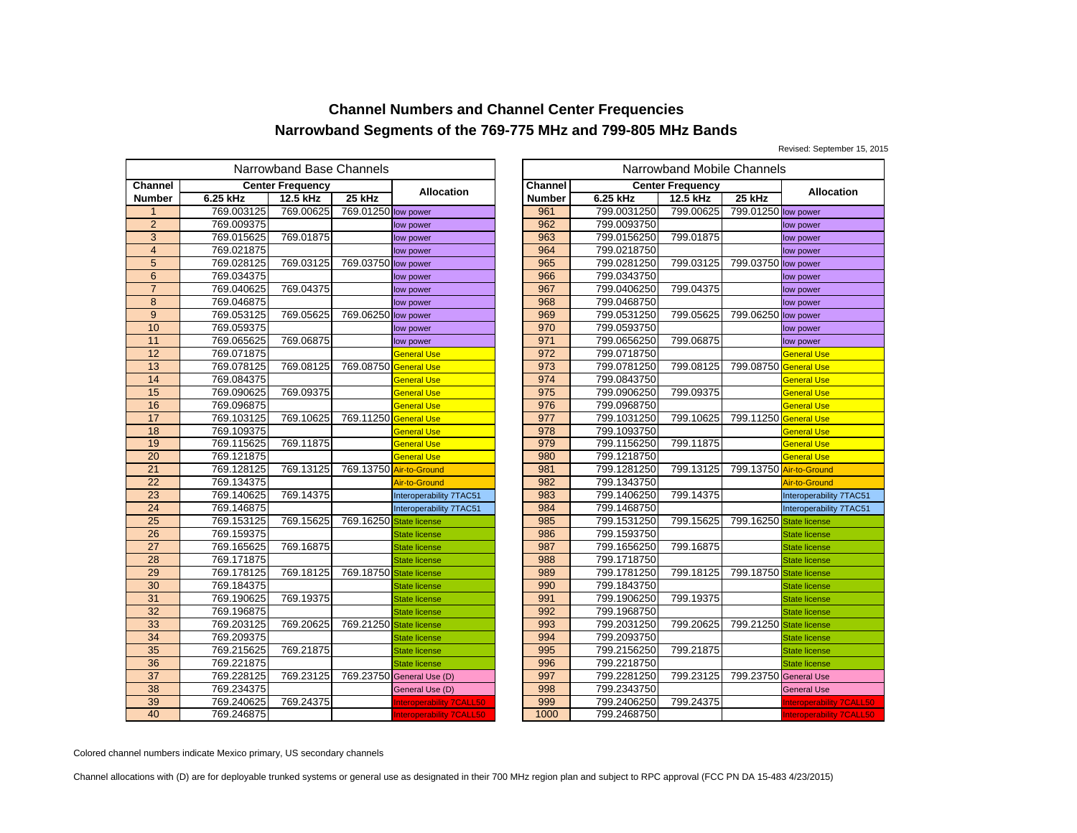Revised: September 15, 2015

|                 |            | Narrowband Base Channels |                       |                                 | Narrowband Mobile Channels |                |             |                         |           |
|-----------------|------------|--------------------------|-----------------------|---------------------------------|----------------------------|----------------|-------------|-------------------------|-----------|
| <b>Channel</b>  |            | <b>Center Frequency</b>  |                       |                                 |                            | <b>Channel</b> |             | <b>Center Frequency</b> |           |
| Number          | 6.25 kHz   | 12.5 kHz                 | 25 kHz                | Allocation                      |                            | <b>Number</b>  | 6.25 kHz    | 12.5 kHz                | 25 kHz    |
| 1               | 769.003125 | 769.00625                | 769.01250 low power   |                                 |                            | 961            | 799.0031250 | 799.00625               | 799.01250 |
| $\overline{2}$  | 769.009375 |                          |                       | low power                       |                            | 962            | 799.0093750 |                         |           |
| 3               | 769.015625 | 769.01875                |                       | low power                       |                            | 963            | 799.0156250 | 799.01875               |           |
| $\overline{4}$  | 769.021875 |                          |                       | low power                       |                            | 964            | 799.0218750 |                         |           |
| 5               | 769.028125 | 769.03125                | 769.03750 low power   |                                 |                            | 965            | 799.0281250 | 799.03125               | 799.03750 |
| 6               | 769.034375 |                          |                       | low power                       |                            | 966            | 799.0343750 |                         |           |
| $\overline{7}$  | 769.040625 | 769.04375                |                       | low power                       |                            | 967            | 799.0406250 | 799.04375               |           |
| 8               | 769.046875 |                          |                       | low power                       |                            | 968            | 799.0468750 |                         |           |
| 9               | 769.053125 | 769.05625                | 769.06250 low power   |                                 |                            | 969            | 799.0531250 | 799.05625               | 799.06250 |
| 10              | 769.059375 |                          |                       | low power                       |                            | 970            | 799.0593750 |                         |           |
| 11              | 769.065625 | 769.06875                |                       | low power                       |                            | 971            | 799.0656250 | 799.06875               |           |
| $\overline{12}$ | 769.071875 |                          |                       | <b>General Use</b>              |                            | 972            | 799.0718750 |                         |           |
| 13              | 769.078125 | 769.08125                | 769.08750             | <b>General Use</b>              |                            | 973            | 799.0781250 | 799.08125               | 799.08750 |
| 14              | 769.084375 |                          |                       | General Use                     |                            | 974            | 799.0843750 |                         |           |
| 15              | 769.090625 | 769.09375                |                       | General Use                     |                            | 975            | 799.0906250 | 799.09375               |           |
| 16              | 769.096875 |                          |                       | <b>General Use</b>              |                            | 976            | 799.0968750 |                         |           |
| 17              | 769.103125 | 769.10625                | 769.11250 General Use |                                 |                            | 977            | 799.1031250 | 799.10625               | 799.11250 |
| 18              | 769.109375 |                          |                       | General Use                     |                            | 978            | 799.1093750 |                         |           |
| 19              | 769.115625 | 769.11875                |                       | General Use                     |                            | 979            | 799.1156250 | 799.11875               |           |
| 20              | 769.121875 |                          |                       | <b>General Use</b>              |                            | 980            | 799.1218750 |                         |           |
| 21              | 769.128125 | 769.13125                |                       | 769.13750 Air-to-Ground         |                            | 981            | 799.1281250 | 799.13125               | 799.13750 |
| 22              | 769.134375 |                          |                       | Air-to-Ground                   |                            | 982            | 799.1343750 |                         |           |
| $\overline{23}$ | 769.140625 | 769.14375                |                       | Interoperability 7TAC51         |                            | 983            | 799.1406250 | 799.14375               |           |
| 24              | 769.146875 |                          |                       | Interoperability 7TAC51         |                            | 984            | 799.1468750 |                         |           |
| 25              | 769.153125 | 769.15625                | 769.16250             | <b>State license</b>            |                            | 985            | 799.1531250 | 799.15625               | 799.16250 |
| $\overline{26}$ | 769.159375 |                          |                       | <b>State license</b>            |                            | 986            | 799.1593750 |                         |           |
| $\overline{27}$ | 769.165625 | 769.16875                |                       | <b>State license</b>            |                            | 987            | 799.1656250 | 799.16875               |           |
| 28              | 769.171875 |                          |                       | <b>State license</b>            |                            | 988            | 799.1718750 |                         |           |
| 29              | 769.178125 | 769.18125                | 769.18750             | <b>State license</b>            |                            | 989            | 799.1781250 | 799.18125               | 799.18750 |
| $\overline{30}$ | 769.184375 |                          |                       | State license                   |                            | 990            | 799.1843750 |                         |           |
| 31              | 769.190625 | 769.19375                |                       | <b>State license</b>            |                            | 991            | 799.1906250 | 799.19375               |           |
| 32              | 769.196875 |                          |                       | <b>State license</b>            |                            | 992            | 799.1968750 |                         |           |
| 33              | 769.203125 | 769.20625                | 769.21250             | <b>State license</b>            |                            | 993            | 799.2031250 | 799.20625               | 799.21250 |
| 34              | 769.209375 |                          |                       | <b>State license</b>            |                            | 994            | 799.2093750 |                         |           |
| 35              | 769.215625 | 769.21875                |                       | <b>State license</b>            |                            | 995            | 799.2156250 | 799.21875               |           |
| 36              | 769.221875 |                          |                       | <b>State license</b>            |                            | 996            | 799.2218750 |                         |           |
| 37              | 769.228125 | 769.23125                |                       | 769.23750 General Use (D)       |                            | 997            | 799.2281250 | 799.23125               | 799.23750 |
| 38              | 769.234375 |                          |                       | General Use (D)                 |                            | 998            | 799.2343750 |                         |           |
| 39              | 769.240625 | 769.24375                |                       | nteroperability 7CALL50         |                            | 999            | 799.2406250 | 799.24375               |           |
| 40              | 769.246875 |                          |                       | <b>Interoperability 7CALL50</b> |                            | 1000           | 799.2468750 |                         |           |

|               | owband Base Channels |                         |                                 |                |             | Narrowband Mobile Channels |                         |                                 |
|---------------|----------------------|-------------------------|---------------------------------|----------------|-------------|----------------------------|-------------------------|---------------------------------|
|               | ter Frequency        |                         | <b>Allocation</b>               | <b>Channel</b> |             | <b>Center Frequency</b>    |                         | <b>Allocation</b>               |
|               | 12.5 kHz             | 25 kHz                  |                                 | <b>Number</b>  | 6.25 kHz    | 12.5 kHz                   | 25 kHz                  |                                 |
|               | 769.00625            | 769.01250 low power     |                                 | 961            | 799.0031250 | 799.00625                  | 799.01250 low power     |                                 |
|               |                      |                         | low power                       | 962            | 799.0093750 |                            |                         | low power                       |
|               | 769.01875            |                         | low power                       | 963            | 799.0156250 | 799.01875                  |                         | low power                       |
|               |                      |                         | low power                       | 964            | 799.0218750 |                            |                         | low power                       |
|               | 769.03125            | 769.03750 low power     |                                 | 965            | 799.0281250 | 799.03125                  | 799.03750 low power     |                                 |
|               |                      |                         | low power                       | 966            | 799.0343750 |                            |                         | low power                       |
|               | 769.04375            |                         | low power                       | 967            | 799.0406250 | 799.04375                  |                         | low power                       |
|               |                      |                         | low power                       | 968            | 799.0468750 |                            |                         | low power                       |
|               | 769.05625            | 769.06250 low power     |                                 | 969            | 799.0531250 | 799.05625                  | 799.06250 low power     |                                 |
|               |                      |                         | low power                       | 970            | 799.0593750 |                            |                         | low power                       |
|               | 769.06875            |                         | low power                       | 971            | 799.0656250 | 799.06875                  |                         | low power                       |
|               |                      |                         | <b>General Use</b>              | 972            | 799.0718750 |                            |                         | <b>General Use</b>              |
|               | 769.08125            | 769.08750 General Use   |                                 | 973            | 799.0781250 | 799.08125                  | 799.08750 General Use   |                                 |
|               |                      |                         | <b>General Use</b>              | 974            | 799.0843750 |                            |                         | <b>General Use</b>              |
|               | 769.09375            |                         | <b>General Use</b>              | 975            | 799.0906250 | 799.09375                  |                         | <b>General Use</b>              |
|               |                      |                         | <b>General Use</b>              | 976            | 799.0968750 |                            |                         | <b>General Use</b>              |
|               | 769.10625            | 769.11250 General Use   |                                 | 977            | 799.1031250 | 799.10625                  | 799.11250 General Use   |                                 |
|               |                      |                         | <b>General Use</b>              | 978            | 799.1093750 |                            |                         | General Use                     |
|               | 769.11875            |                         | <b>General Use</b>              | 979            | 799.1156250 | 799.11875                  |                         | General Use                     |
|               |                      |                         | <b>General Use</b>              | 980            | 799.1218750 |                            |                         | <b>General Use</b>              |
|               | 769.13125            |                         | 769.13750 Air-to-Ground         | 981            | 799.1281250 | 799.13125                  |                         | 799.13750 Air-to-Ground         |
|               |                      |                         | Air-to-Ground                   | 982            | 799.1343750 |                            |                         | Air-to-Ground                   |
|               | 769.14375            |                         | Interoperability 7TAC51         | 983            | 799.1406250 | 799.14375                  |                         | Interoperability 7TAC51         |
|               |                      |                         | Interoperability 7TAC51         | 984            | 799.1468750 |                            |                         | Interoperability 7TAC51         |
|               | 769.15625            | 769.16250 State license |                                 | 985            | 799.1531250 | 799.15625                  | 799.16250               | <b>State license</b>            |
|               |                      |                         | <b>State license</b>            | 986            | 799.1593750 |                            |                         | <b>State license</b>            |
|               | 769.16875            |                         | <b>State license</b>            | 987            | 799.1656250 | 799.16875                  |                         | <b>State license</b>            |
|               |                      |                         | <b>State license</b>            | 988            | 799.1718750 |                            |                         | <b>State license</b>            |
|               | 769.18125            | 769.18750 State license |                                 | 989            | 799.1781250 | 799.18125                  | 799.18750 State license |                                 |
|               |                      |                         | <b>State license</b>            | 990            | 799.1843750 |                            |                         | <b>State license</b>            |
|               | 769.19375            |                         | <b>State license</b>            | 991            | 799.1906250 | 799.19375                  |                         | <b>State license</b>            |
|               |                      |                         | <b>State license</b>            | 992            | 799.1968750 |                            |                         | <b>State license</b>            |
|               | 769.20625            | 769.21250 State license |                                 | 993            | 799.2031250 | 799.20625                  | 799.21250               | <b>State license</b>            |
|               |                      |                         | <b>State license</b>            | 994            | 799.2093750 |                            |                         | <b>State license</b>            |
|               | 769.21875            |                         | <b>State license</b>            | 995            | 799.2156250 | 799.21875                  |                         | <b>State license</b>            |
|               |                      |                         | <b>State license</b>            | 996            | 799.2218750 |                            |                         | <b>State license</b>            |
|               | 769.23125            |                         | 769.23750 General Use (D)       | 997            | 799.2281250 | 799.23125                  | 799.23750 General Use   |                                 |
|               |                      |                         | General Use (D)                 | 998            | 799.2343750 |                            |                         | <b>General Use</b>              |
| $\frac{5}{5}$ | 769.24375            |                         | <b>Interoperability 7CALL50</b> | 999            | 799.2406250 | 799.24375                  |                         | Interoperability 7CALL50        |
|               |                      |                         | <b>Interoperability 7CALL50</b> | 1000           | 799.2468750 |                            |                         | <b>Interoperability 7CALL50</b> |

Colored channel numbers indicate Mexico primary, US secondary channels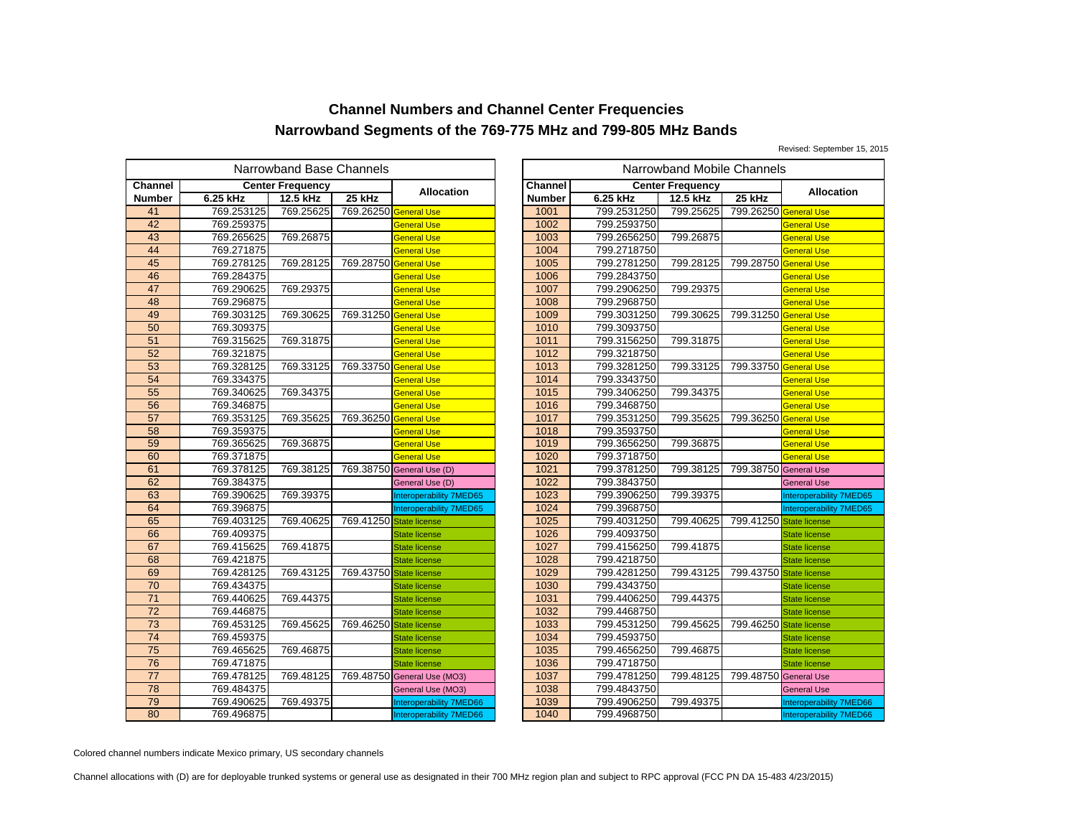Revised: September 15, 2015

|                |            | Narrowband Base Channels |                         |                                | Narrowband Mobile Channels |                |             |                         |           |
|----------------|------------|--------------------------|-------------------------|--------------------------------|----------------------------|----------------|-------------|-------------------------|-----------|
| <b>Channel</b> |            | <b>Center Frequency</b>  |                         | <b>Allocation</b>              |                            | <b>Channel</b> |             | <b>Center Frequency</b> |           |
| Number         | 6.25 kHz   | 12.5 kHz                 | 25 kHz                  |                                |                            | <b>Number</b>  | 6.25 kHz    | 12.5 kHz                | 25 kHz    |
| 41             | 769.253125 | 769.25625                | 769.26250 General Use   |                                |                            | 1001           | 799.2531250 | 799.25625               | 799.26250 |
| 42             | 769.259375 |                          |                         | <b>General Use</b>             |                            | 1002           | 799.2593750 |                         |           |
| 43             | 769.265625 | 769.26875                |                         | General Use                    |                            | 1003           | 799.2656250 | 799.26875               |           |
| 44             | 769.271875 |                          |                         | <b>General Use</b>             |                            | 1004           | 799.2718750 |                         |           |
| 45             | 769.278125 | 769.28125                | 769.28750 General Use   |                                |                            | 1005           | 799.2781250 | 799.28125               | 799.28750 |
| 46             | 769.284375 |                          |                         | General Use                    |                            | 1006           | 799.2843750 |                         |           |
| 47             | 769.290625 | 769.29375                |                         | General Use                    |                            | 1007           | 799.2906250 | 799.29375               |           |
| 48             | 769.296875 |                          |                         | <b>General Use</b>             |                            | 1008           | 799.2968750 |                         |           |
| 49             | 769.303125 | 769.30625                | 769.31250 General Use   |                                |                            | 1009           | 799.3031250 | 799.30625               | 799.31250 |
| 50             | 769.309375 |                          |                         | General Use                    |                            | 1010           | 799.3093750 |                         |           |
| 51             | 769.315625 | 769.31875                |                         | General Use                    |                            | 1011           | 799.3156250 | 799.31875               |           |
| 52             | 769.321875 |                          |                         | <b>General Use</b>             |                            | 1012           | 799.3218750 |                         |           |
| 53             | 769.328125 | 769.33125                | 769.33750 General Use   |                                |                            | 1013           | 799.3281250 | 799.33125               | 799.33750 |
| 54             | 769.334375 |                          |                         | General Use                    |                            | 1014           | 799.3343750 |                         |           |
| 55             | 769.340625 | 769.34375                |                         | General Use                    |                            | 1015           | 799.3406250 | 799.34375               |           |
| 56             | 769.346875 |                          |                         | <b>General Use</b>             |                            | 1016           | 799.3468750 |                         |           |
| 57             | 769.353125 | 769.35625                | 769.36250               | <b>General Use</b>             |                            | 1017           | 799.3531250 | 799.35625               | 799.36250 |
| 58             | 769.359375 |                          |                         | General Use                    |                            | 1018           | 799.3593750 |                         |           |
| 59             | 769.365625 | 769.36875                |                         | General Use                    |                            | 1019           | 799.3656250 | 799.36875               |           |
| 60             | 769.371875 |                          |                         | <b>General Use</b>             |                            | 1020           | 799.3718750 |                         |           |
| 61             | 769.378125 | 769.38125                |                         | 769.38750 General Use (D)      |                            | 1021           | 799.3781250 | 799.38125               | 799.38750 |
| 62             | 769.384375 |                          |                         | General Use (D)                |                            | 1022           | 799.3843750 |                         |           |
| 63             | 769.390625 | 769.39375                |                         | Interoperability 7MED65        |                            | 1023           | 799.3906250 | 799.39375               |           |
| 64             | 769.396875 |                          |                         | <b>Interoperability 7MED65</b> |                            | 1024           | 799.3968750 |                         |           |
| 65             | 769.403125 | 769.40625                | 769.41250 State license |                                |                            | 1025           | 799.4031250 | 799.40625               | 799.41250 |
| 66             | 769.409375 |                          |                         | <b>State license</b>           |                            | 1026           | 799.4093750 |                         |           |
| 67             | 769.415625 | 769.41875                |                         | <b>State license</b>           |                            | 1027           | 799.4156250 | 799.41875               |           |
| 68             | 769.421875 |                          |                         | <b>State license</b>           |                            | 1028           | 799.4218750 |                         |           |
| 69             | 769.428125 | 769.43125                | 769.43750               | <b>State license</b>           |                            | 1029           | 799.4281250 | 799.43125               | 799.43750 |
| 70             | 769.434375 |                          |                         | <b>State license</b>           |                            | 1030           | 799.4343750 |                         |           |
| 71             | 769.440625 | 769.44375                |                         | <b>State license</b>           |                            | 1031           | 799.4406250 | 799.44375               |           |
| 72             | 769.446875 |                          |                         | <b>State license</b>           |                            | 1032           | 799.4468750 |                         |           |
| 73             | 769.453125 | 769.45625                | 769.46250               | <b>State license</b>           |                            | 1033           | 799.4531250 | 799.45625               | 799.46250 |
| 74             | 769.459375 |                          |                         | <b>State license</b>           |                            | 1034           | 799.4593750 |                         |           |
| 75             | 769.465625 | 769.46875                |                         | <b>State license</b>           |                            | 1035           | 799.4656250 | 799.46875               |           |
| 76             | 769.471875 |                          |                         | <b>State license</b>           |                            | 1036           | 799.4718750 |                         |           |
| 77             | 769.478125 | 769.48125                |                         | 769.48750 General Use (MO3)    |                            | 1037           | 799.4781250 | 799.48125               | 799.48750 |
| 78             | 769.484375 |                          |                         | General Use (MO3)              |                            | 1038           | 799.4843750 |                         |           |
| 79             | 769.490625 | 769.49375                |                         | Interoperability 7MED66        |                            | 1039           | 799.4906250 | 799.49375               |           |
| 80             | 769.496875 |                          |                         | <b>Interoperability 7MED66</b> |                            | 1040           | 799.4968750 |                         |           |

|                                           | owband Base Channels<br>Narrowband Mobile Channels |                         |                                |               |             |                         |                         |                                |
|-------------------------------------------|----------------------------------------------------|-------------------------|--------------------------------|---------------|-------------|-------------------------|-------------------------|--------------------------------|
|                                           | ıter Frequencv                                     |                         |                                | Channel       |             | <b>Center Frequency</b> |                         |                                |
|                                           | 12.5 kHz                                           | 25 kHz                  | <b>Allocation</b>              | <b>Number</b> | 6.25 kHz    | 12.5 kHz                | 25 kHz                  | <b>Allocation</b>              |
|                                           | 769.25625                                          | 769.26250 General Use   |                                | 1001          | 799.2531250 | 799.25625               | 799.26250 General Use   |                                |
| $\frac{5}{5}$                             |                                                    |                         | <b>General Use</b>             | 1002          | 799.2593750 |                         |                         | <b>General Use</b>             |
|                                           | 769.26875                                          |                         | <b>General Use</b>             | 1003          | 799.2656250 | 799.26875               |                         | <b>General Use</b>             |
|                                           |                                                    |                         | <b>General Use</b>             | 1004          | 799.2718750 |                         |                         | <b>General Use</b>             |
| $\frac{5}{5}$                             | 769.28125                                          | 769.28750 General Use   |                                | 1005          | 799.2781250 | 799.28125               | 799.28750               | <b>General Use</b>             |
| 5                                         |                                                    |                         | <b>General Use</b>             | 1006          | 799.2843750 |                         |                         | <b>General Use</b>             |
|                                           | 769.29375                                          |                         | <b>General Use</b>             | 1007          | 799.2906250 | 799.29375               |                         | <b>General Use</b>             |
|                                           |                                                    |                         | <b>General Use</b>             | 1008          | 799.2968750 |                         |                         | <b>General Use</b>             |
|                                           | 769.30625                                          | 769.31250 General Use   |                                | 1009          | 799.3031250 | 799.30625               | 799.31250 General Use   |                                |
| $\frac{5}{5}$ $\frac{5}{5}$ $\frac{5}{5}$ |                                                    |                         | <b>General Use</b>             | 1010          | 799.3093750 |                         |                         | <b>General Use</b>             |
|                                           | 769.31875                                          |                         | <b>General Use</b>             | 1011          | 799.3156250 | 799.31875               |                         | <b>General Use</b>             |
|                                           |                                                    |                         | <b>General Use</b>             | 1012          | 799.3218750 |                         |                         | <b>General Use</b>             |
| $\frac{5}{5}$                             | 769.33125                                          | 769.33750 General Use   |                                | 1013          | 799.3281250 | 799.33125               | 799.33750 General Use   |                                |
|                                           |                                                    |                         | <b>General Use</b>             | 1014          | 799.3343750 |                         |                         | <b>General Use</b>             |
|                                           | 769.34375                                          |                         | <b>General Use</b>             | 1015          | 799.3406250 | 799.34375               |                         | <b>General Use</b>             |
| $\frac{5}{5}$                             |                                                    |                         | <b>General Use</b>             | 1016          | 799.3468750 |                         |                         | <b>General Use</b>             |
| 5                                         | 769.35625                                          | 769.36250 General Use   |                                | 1017          | 799.3531250 | 799.35625               | 799.36250 General Use   |                                |
|                                           |                                                    |                         | <b>General Use</b>             | 1018          | 799.3593750 |                         |                         | General Use                    |
| $\frac{5}{5}$                             | 769.36875                                          |                         | <b>General Use</b>             | 1019          | 799.3656250 | 799.36875               |                         | General Use                    |
|                                           |                                                    |                         | <b>General Use</b>             | 1020          | 799.3718750 |                         |                         | <b>General Use</b>             |
|                                           | 769.38125                                          |                         | 769.38750 General Use (D)      | 1021          | 799.3781250 | 799.38125               | 799.38750 General Use   |                                |
|                                           |                                                    |                         | General Use (D)                | 1022          | 799.3843750 |                         |                         | <b>General Use</b>             |
|                                           | 769.39375                                          |                         | Interoperability 7MED65        | 1023          | 799.3906250 | 799.39375               |                         | <b>Interoperability 7MED65</b> |
|                                           |                                                    |                         | Interoperability 7MED65        | 1024          | 799.3968750 |                         |                         | Interoperability 7MED65        |
|                                           | 769.40625                                          | 769.41250 State license |                                | 1025          | 799.4031250 | 799.40625               | 799.41250 State license |                                |
|                                           |                                                    |                         | <b>State license</b>           | 1026          | 799.4093750 |                         |                         | <b>State license</b>           |
|                                           | 769.41875                                          |                         | State license                  | 1027          | 799.4156250 | 799.41875               |                         | <b>State license</b>           |
|                                           |                                                    |                         | State license                  | 1028          | 799.4218750 |                         |                         | <b>State license</b>           |
|                                           | 769.43125                                          | 769.43750 State license |                                | 1029          | 799.4281250 | 799.43125               | 799.43750               | <b>State license</b>           |
| 5                                         |                                                    |                         | State license                  | 1030          | 799.4343750 |                         |                         | <b>State license</b>           |
| $rac{5}{5}$                               | 769.44375                                          |                         | <b>State license</b>           | 1031          | 799.4406250 | 799.44375               |                         | <b>State license</b>           |
|                                           |                                                    |                         | State license                  | 1032          | 799.4468750 |                         |                         | <b>State license</b>           |
| 5                                         | 769.45625                                          | 769.46250 State license |                                | 1033          | 799.4531250 | 799.45625               | 799.46250               | <b>State license</b>           |
|                                           |                                                    |                         | <b>State license</b>           | 1034          | 799.4593750 |                         |                         | <b>State license</b>           |
| $rac{5}{5}$                               | 769.46875                                          |                         | <b>State license</b>           | 1035          | 799.4656250 | 799.46875               |                         | <b>State license</b>           |
|                                           |                                                    |                         | <b>State license</b>           | 1036          | 799.4718750 |                         |                         | <b>State license</b>           |
| $rac{5}{5}$                               | 769.48125                                          |                         | 769.48750 General Use (MO3)    | 1037          | 799.4781250 | 799.48125               | 799.48750 General Use   |                                |
| 5                                         |                                                    |                         | General Use (MO3)              | 1038          | 799.4843750 |                         |                         | <b>General Use</b>             |
| $\frac{5}{5}$                             | 769.49375                                          |                         | Interoperability 7MED66        | 1039          | 799.4906250 | 799.49375               |                         | Interoperability 7MED66        |
|                                           |                                                    |                         | <b>Interoperability 7MED66</b> | 1040          | 799.4968750 |                         |                         | Interoperability 7MED66        |

Colored channel numbers indicate Mexico primary, US secondary channels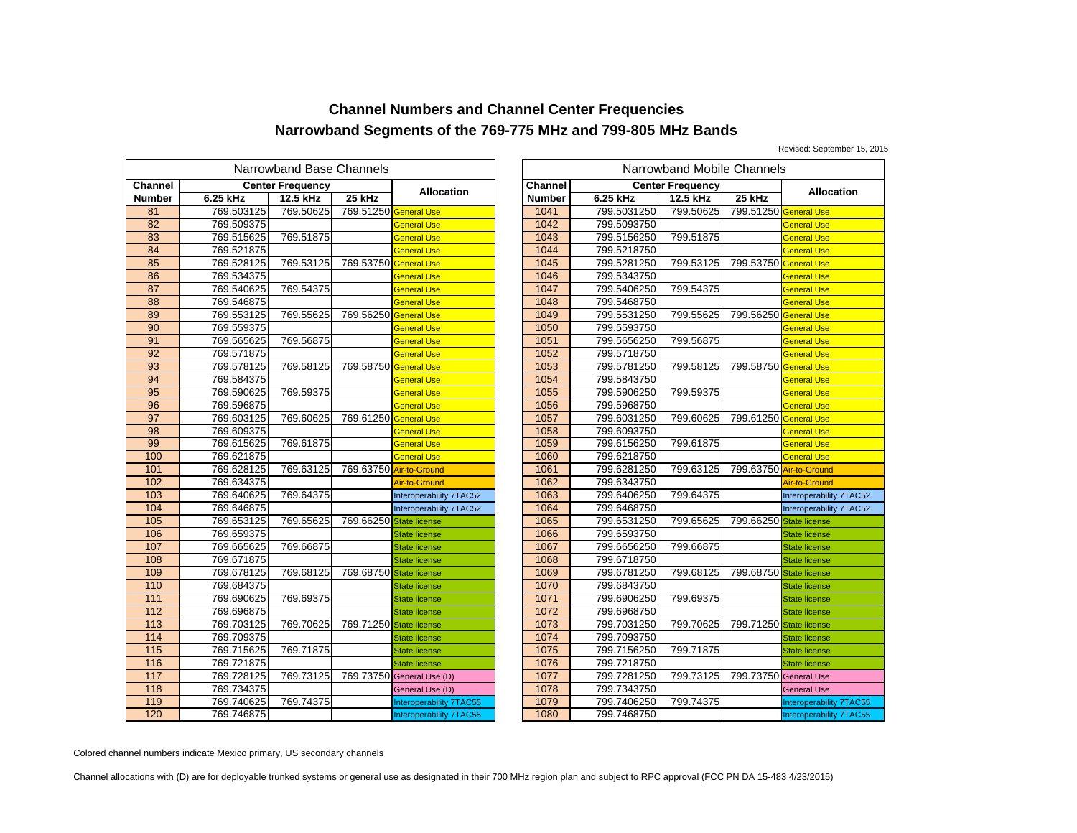Revised: September 15, 2015

|                   | Narrowband Base Channels<br>Narrowband Mobile Channels |                         |                       |                           |  |                |             |                         |           |
|-------------------|--------------------------------------------------------|-------------------------|-----------------------|---------------------------|--|----------------|-------------|-------------------------|-----------|
| <b>Channel</b>    |                                                        | <b>Center Frequency</b> |                       | <b>Allocation</b>         |  | <b>Channel</b> |             | <b>Center Frequency</b> |           |
| <b>Number</b>     | 6.25 kHz                                               | 12.5 kHz                | 25 kHz                |                           |  | <b>Number</b>  | 6.25 kHz    | 12.5 kHz                | 25 kHz    |
| 81                | 769.503125                                             | 769.50625               | 769.51250 General Use |                           |  | 1041           | 799.5031250 | 799.50625               | 799.51250 |
| 82                | 769.509375                                             |                         |                       | <b>General Use</b>        |  | 1042           | 799.5093750 |                         |           |
| 83                | 769.515625                                             | 769.51875               |                       | General Use               |  | 1043           | 799.5156250 | 799.51875               |           |
| 84                | 769.521875                                             |                         |                       | <b>General Use</b>        |  | 1044           | 799.5218750 |                         |           |
| 85                | 769.528125                                             | 769.53125               | 769.53750 General Use |                           |  | 1045           | 799.5281250 | 799.53125               | 799.53750 |
| 86                | 769.534375                                             |                         |                       | General Use               |  | 1046           | 799.5343750 |                         |           |
| 87                | 769.540625                                             | 769.54375               |                       | General Use               |  | 1047           | 799.5406250 | 799.54375               |           |
| 88                | 769.546875                                             |                         |                       | <b>General Use</b>        |  | 1048           | 799.5468750 |                         |           |
| 89                | 769.553125                                             | 769.55625               | 769.56250             | <b>General Use</b>        |  | 1049           | 799.5531250 | 799.55625               | 799.56250 |
| 90                | 769.559375                                             |                         |                       | General Use               |  | 1050           | 799.5593750 |                         |           |
| 91                | 769.565625                                             | 769.56875               |                       | General Use               |  | 1051           | 799.5656250 | 799.56875               |           |
| 92                | 769.571875                                             |                         |                       | <b>General Use</b>        |  | 1052           | 799.5718750 |                         |           |
| 93                | 769.578125                                             | 769.58125               | 769.58750 General Use |                           |  | 1053           | 799.5781250 | 799.58125               | 799.58750 |
| 94                | 769.584375                                             |                         |                       | General Use               |  | 1054           | 799.5843750 |                         |           |
| 95                | 769.590625                                             | 769.59375               |                       | General Use               |  | 1055           | 799.5906250 | 799.59375               |           |
| 96                | 769.596875                                             |                         |                       | <b>General Use</b>        |  | 1056           | 799.5968750 |                         |           |
| 97                | 769.603125                                             | 769.60625               | 769.61250             | <b>General Use</b>        |  | 1057           | 799.6031250 | 799.60625               | 799.61250 |
| 98                | 769.609375                                             |                         |                       | General Use               |  | 1058           | 799.6093750 |                         |           |
| 99                | 769.615625                                             | 769.61875               |                       | General Use               |  | 1059           | 799.6156250 | 799.61875               |           |
| 100               | 769.621875                                             |                         |                       | <b>General Use</b>        |  | 1060           | 799.6218750 |                         |           |
| 101               | 769.628125                                             | 769.63125               |                       | 769.63750 Air-to-Ground   |  | 1061           | 799.6281250 | 799.63125               | 799.63750 |
| 102               | 769.634375                                             |                         |                       | <b>Air-to-Ground</b>      |  | 1062           | 799.6343750 |                         |           |
| $\frac{103}{2}$   | 769.640625                                             | 769.64375               |                       | Interoperability 7TAC52   |  | 1063           | 799.6406250 | 799.64375               |           |
| 104               | 769.646875                                             |                         |                       | Interoperability 7TAC52   |  | 1064           | 799.6468750 |                         |           |
| 105               | 769.653125                                             | 769.65625               | 769.66250             | <b>State license</b>      |  | 1065           | 799.6531250 | 799.65625               | 799.66250 |
| 106               | 769.659375                                             |                         |                       | <b>State license</b>      |  | 1066           | 799.6593750 |                         |           |
| 107               | 769.665625                                             | 769.66875               |                       | <b>State license</b>      |  | 1067           | 799.6656250 | 799.66875               |           |
| 108               | 769.671875                                             |                         |                       | <b>State license</b>      |  | 1068           | 799.6718750 |                         |           |
| 109               | 769.678125                                             | 769.68125               | 769.68750             | <b>State license</b>      |  | 1069           | 799.6781250 | 799.68125               | 799.68750 |
| $\frac{110}{110}$ | 769.684375                                             |                         |                       | <b>State license</b>      |  | 1070           | 799.6843750 |                         |           |
| 111               | 769.690625                                             | 769.69375               |                       | <b>State license</b>      |  | 1071           | 799.6906250 | 799.69375               |           |
| 112               | 769.696875                                             |                         |                       | <b>State license</b>      |  | 1072           | 799.6968750 |                         |           |
| $\frac{113}{2}$   | 769.703125                                             | 769.70625               | 769.71250             | <b>State license</b>      |  | 1073           | 799.7031250 | 799.70625               | 799.71250 |
| 114               | 769.709375                                             |                         |                       | <b>State license</b>      |  | 1074           | 799.7093750 |                         |           |
| 115               | 769.715625                                             | 769.71875               |                       | <b>State license</b>      |  | 1075           | 799.7156250 | 799.71875               |           |
| 116               | 769.721875                                             |                         |                       | <b>State license</b>      |  | 1076           | 799.7218750 |                         |           |
| $\frac{117}{117}$ | 769.728125                                             | 769.73125               |                       | 769.73750 General Use (D) |  | 1077           | 799.7281250 | 799.73125               | 799.73750 |
| 118               | 769.734375                                             |                         |                       | General Use (D)           |  | 1078           | 799.7343750 |                         |           |
| 119               | 769.740625                                             | 769.74375               |                       | Interoperability 7TAC55   |  | 1079           | 799.7406250 | 799.74375               |           |
| 120               | 769.746875                                             |                         |                       | Interoperability 7TAC55   |  | 1080           | 799.7468750 |                         |           |

|                                           | owband Base Channels |                         |                                |                |             | Narrowband Mobile Channels |                         |                                |
|-------------------------------------------|----------------------|-------------------------|--------------------------------|----------------|-------------|----------------------------|-------------------------|--------------------------------|
|                                           | ter Frequency        |                         | <b>Allocation</b>              | <b>Channel</b> |             | <b>Center Frequency</b>    |                         | <b>Allocation</b>              |
|                                           | 12.5 kHz             | 25 kHz                  |                                | <b>Number</b>  | 6.25 kHz    | 12.5 kHz                   | 25 kHz                  |                                |
|                                           | 769.50625            | 769.51250 General Use   |                                | 1041           | 799.5031250 | 799.50625                  | 799.51250               | <b>General Use</b>             |
|                                           |                      |                         | <b>General Use</b>             | 1042           | 799.5093750 |                            |                         | <b>General Use</b>             |
|                                           | 769.51875            |                         | <b>General Use</b>             | 1043           | 799.5156250 | 799.51875                  |                         | <b>General Use</b>             |
|                                           |                      |                         | <b>General Use</b>             | 1044           | 799.5218750 |                            |                         | <b>General Use</b>             |
| $\frac{5}{5}$ $\frac{5}{5}$ $\frac{5}{5}$ | 769.53125            | 769.53750 General Use   |                                | 1045           | 799.5281250 | 799.53125                  | 799.53750               | <b>General Use</b>             |
| 5                                         |                      |                         | <b>General Use</b>             | 1046           | 799.5343750 |                            |                         | General Use                    |
|                                           | 769.54375            |                         | <b>General Use</b>             | 1047           | 799.5406250 | 799.54375                  |                         | <b>General Use</b>             |
|                                           |                      |                         | <b>General Use</b>             | 1048           | 799.5468750 |                            |                         | <b>General Use</b>             |
| $\frac{5}{5}$ $\frac{5}{5}$ $\frac{5}{5}$ | 769.55625            | 769.56250 General Use   |                                | 1049           | 799.5531250 | 799.55625                  | 799.56250 General Use   |                                |
|                                           |                      |                         | <b>General Use</b>             | 1050           | 799.5593750 |                            |                         | <b>General Use</b>             |
|                                           | 769.56875            |                         | <b>General Use</b>             | 1051           | 799.5656250 | 799.56875                  |                         | <b>General Use</b>             |
|                                           |                      |                         | <b>General Use</b>             | 1052           | 799.5718750 |                            |                         | <b>General Use</b>             |
| $\frac{5}{5}$                             | 769.58125            | 769.58750 General Use   |                                | 1053           | 799.5781250 | 799.58125                  | 799.58750 General Use   |                                |
|                                           |                      |                         | <b>General Use</b>             | 1054           | 799.5843750 |                            |                         | <b>General Use</b>             |
|                                           | 769.59375            |                         | <b>General Use</b>             | 1055           | 799.5906250 | 799.59375                  |                         | <b>General Use</b>             |
|                                           |                      |                         | <b>General Use</b>             | 1056           | 799.5968750 |                            |                         | <b>General Use</b>             |
|                                           | 769.60625            | 769.61250 General Use   |                                | 1057           | 799.6031250 | 799.60625                  | 799.61250 General Use   |                                |
|                                           |                      |                         | <b>General Use</b>             | 1058           | 799.6093750 |                            |                         | General Use                    |
|                                           | 769.61875            |                         | <b>General Use</b>             | 1059           | 799.6156250 | 799.61875                  |                         | <b>General Use</b>             |
|                                           |                      |                         | <b>General Use</b>             | 1060           | 799.6218750 |                            |                         | <b>General Use</b>             |
|                                           | 769.63125            | 769.63750 Air-to-Ground |                                | 1061           | 799.6281250 | 799.63125                  |                         | 799.63750 Air-to-Ground        |
|                                           |                      |                         | Air-to-Ground                  | 1062           | 799.6343750 |                            |                         | Air-to-Ground                  |
| $\frac{5}{5}$ $\frac{5}{5}$ $\frac{5}{5}$ | 769.64375            |                         | Interoperability 7TAC52        | 1063           | 799.6406250 | 799.64375                  |                         | Interoperability 7TAC52        |
|                                           |                      |                         | Interoperability 7TAC52        | 1064           | 799.6468750 |                            |                         | Interoperability 7TAC52        |
|                                           | 769.65625            | 769.66250 State license |                                | 1065           | 799.6531250 | 799.65625                  | 799.66250               | <b>State license</b>           |
|                                           |                      |                         | <b>State license</b>           | 1066           | 799.6593750 |                            |                         | <b>State license</b>           |
|                                           | 769.66875            |                         | <b>State license</b>           | 1067           | 799.6656250 | 799.66875                  |                         | <b>State license</b>           |
|                                           |                      |                         | State license                  | 1068           | 799.6718750 |                            |                         | <b>State license</b>           |
| $\frac{5}{5}$                             | 769.68125            | 769.68750 State license |                                | 1069           | 799.6781250 | 799.68125                  | 799.68750 State license |                                |
|                                           |                      |                         | <b>State license</b>           | 1070           | 799.6843750 |                            |                         | <b>State license</b>           |
|                                           | 769.69375            |                         | <b>State license</b>           | 1071           | 799.6906250 | 799.69375                  |                         | <b>State license</b>           |
| 5                                         |                      |                         | <b>State license</b>           | 1072           | 799.6968750 |                            |                         | <b>State license</b>           |
|                                           | 769.70625            | 769.71250 State license |                                | 1073           | 799.7031250 | 799.70625                  | 799.71250               | <b>State license</b>           |
| 5<br>5<br>5<br>5                          |                      |                         | <b>State license</b>           | 1074           | 799.7093750 |                            |                         | <b>State license</b>           |
|                                           | 769.71875            |                         | <b>State license</b>           | 1075           | 799.7156250 | 799.71875                  |                         | <b>State license</b>           |
|                                           |                      |                         | <b>State license</b>           | 1076           | 799.7218750 |                            |                         | <b>State license</b>           |
| $\frac{5}{5}$                             | 769.73125            |                         | 769.73750 General Use (D)      | 1077           | 799.7281250 | 799.73125                  | 799.73750 General Use   |                                |
|                                           |                      |                         | General Use (D)                | 1078           | 799.7343750 |                            |                         | <b>General Use</b>             |
| 5<br>5<br>5<br>5                          | 769.74375            |                         | <b>Interoperability 7TAC55</b> | 1079           | 799.7406250 | 799.74375                  |                         | <b>Interoperability 7TAC55</b> |
|                                           |                      |                         | Interoperability 7TAC55        | 1080           | 799.7468750 |                            |                         | Interoperability 7TAC55        |

Colored channel numbers indicate Mexico primary, US secondary channels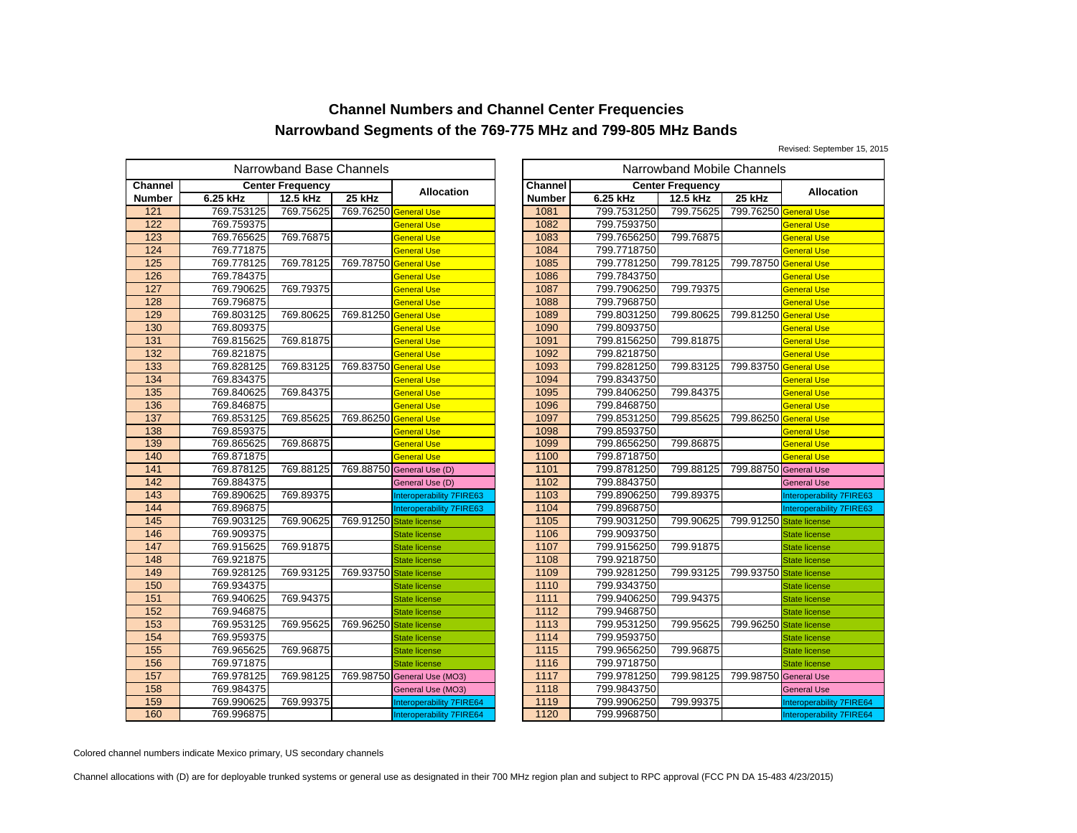Revised: September 15, 2015

|                   |            | Narrowband Base Channels |                         | Narrowband Mobile Channels  |  |         |             |                         |           |
|-------------------|------------|--------------------------|-------------------------|-----------------------------|--|---------|-------------|-------------------------|-----------|
| <b>Channel</b>    |            | <b>Center Frequency</b>  |                         | Allocation                  |  | Channel |             | <b>Center Frequency</b> |           |
| <b>Number</b>     | 6.25 kHz   | 12.5 kHz                 | 25 kHz                  |                             |  | Number  | 6.25 kHz    | 12.5 kHz                | 25 kHz    |
| 121               | 769.753125 | 769.75625                | 769.76250 General Use   |                             |  | 1081    | 799.7531250 | 799.75625               | 799.76250 |
| 122               | 769.759375 |                          |                         | General Use                 |  | 1082    | 799.7593750 |                         |           |
| 123               | 769.765625 | 769.76875                |                         | General Use                 |  | 1083    | 799.7656250 | 799.76875               |           |
| 124               | 769.771875 |                          |                         | <b>General Use</b>          |  | 1084    | 799.7718750 |                         |           |
| 125               | 769.778125 | 769.78125                | 769.78750               | <b>General Use</b>          |  | 1085    | 799.7781250 | 799.78125               | 799.78750 |
| 126               | 769.784375 |                          |                         | <b>General Use</b>          |  | 1086    | 799.7843750 |                         |           |
| 127               | 769.790625 | 769.79375                |                         | <b>General Use</b>          |  | 1087    | 799.7906250 | 799.79375               |           |
| 128               | 769.796875 |                          |                         | <b>General Use</b>          |  | 1088    | 799.7968750 |                         |           |
| 129               | 769.803125 | 769.80625                | 769.81250 General Use   |                             |  | 1089    | 799.8031250 | 799.80625               | 799.81250 |
| 130               | 769.809375 |                          |                         | General Use                 |  | 1090    | 799.8093750 |                         |           |
| 131               | 769.815625 | 769.81875                |                         | <b>General Use</b>          |  | 1091    | 799.8156250 | 799.81875               |           |
| $\overline{132}$  | 769.821875 |                          |                         | <b>General Use</b>          |  | 1092    | 799.8218750 |                         |           |
| 133               | 769.828125 | 769.83125                | 769.83750               | <b>General Use</b>          |  | 1093    | 799.8281250 | 799.83125               | 799.83750 |
| $\overline{134}$  | 769.834375 |                          |                         | General Use                 |  | 1094    | 799.8343750 |                         |           |
| 135               | 769.840625 | 769.84375                |                         | General Use                 |  | 1095    | 799.8406250 | 799.84375               |           |
| 136               | 769.846875 |                          |                         | <b>General Use</b>          |  | 1096    | 799.8468750 |                         |           |
| 137               | 769.853125 | 769.85625                | 769.86250               | <b>General Use</b>          |  | 1097    | 799.8531250 | 799.85625               | 799.86250 |
| 138               | 769.859375 |                          |                         | General Use                 |  | 1098    | 799.8593750 |                         |           |
| 139               | 769.865625 | 769.86875                |                         | <b>General Use</b>          |  | 1099    | 799.8656250 | 799.86875               |           |
| 140               | 769.871875 |                          |                         | <b>General Use</b>          |  | 1100    | 799.8718750 |                         |           |
| 141               | 769.878125 | 769.88125                |                         | 769.88750 General Use (D)   |  | 1101    | 799.8781250 | 799.88125               | 799.88750 |
| 142               | 769.884375 |                          |                         | General Use (D)             |  | 1102    | 799.8843750 |                         |           |
| $\frac{143}{2}$   | 769.890625 | 769.89375                |                         | Interoperability 7FIRE63    |  | 1103    | 799.8906250 | 799.89375               |           |
| 144               | 769.896875 |                          |                         | Interoperability 7FIRE63    |  | 1104    | 799.8968750 |                         |           |
| 145               | 769.903125 | 769.90625                | 769.91250 State license |                             |  | 1105    | 799.9031250 | 799.90625               | 799.91250 |
| 146               | 769.909375 |                          |                         | <b>State license</b>        |  | 1106    | 799.9093750 |                         |           |
| 147               | 769.915625 | 769.91875                |                         | <b>State license</b>        |  | 1107    | 799.9156250 | 799.91875               |           |
| 148               | 769.921875 |                          |                         | <b>State license</b>        |  | 1108    | 799.9218750 |                         |           |
| 149               | 769.928125 | 769.93125                | 769.93750               | <b>State license</b>        |  | 1109    | 799.9281250 | 799.93125               | 799.93750 |
| 150               | 769.934375 |                          |                         | <b>State license</b>        |  | 1110    | 799.9343750 |                         |           |
| $\overline{151}$  | 769.940625 | 769.94375                |                         | <b>State license</b>        |  | 1111    | 799.9406250 | 799.94375               |           |
| 152               | 769.946875 |                          |                         | <b>State license</b>        |  | 1112    | 799.9468750 |                         |           |
| 153               | 769.953125 | 769.95625                | 769.96250               | <b>State license</b>        |  | 1113    | 799.9531250 | 799.95625               | 799.96250 |
| 154               | 769.959375 |                          |                         | <b>State license</b>        |  | 1114    | 799.9593750 |                         |           |
| 155               | 769.965625 | 769.96875                |                         | <b>State license</b>        |  | 1115    | 799.9656250 | 799.96875               |           |
| 156               | 769.971875 |                          |                         | <b>State license</b>        |  | 1116    | 799.9718750 |                         |           |
| $\frac{157}{157}$ | 769.978125 | 769.98125                |                         | 769.98750 General Use (MO3) |  | 1117    | 799.9781250 | 799.98125               | 799.98750 |
| 158               | 769.984375 |                          |                         | General Use (MO3)           |  | 1118    | 799.9843750 |                         |           |
| 159               | 769.990625 | 769.99375                |                         | Interoperability 7FIRE64    |  | 1119    | 799.9906250 | 799.99375               |           |
| 160               | 769.996875 |                          |                         | Interoperability 7FIRE64    |  | 1120    | 799.9968750 |                         |           |

|                                           | owband Base Channels |                         |                                 |               |             | Narrowband Mobile Channels |                         |                          |
|-------------------------------------------|----------------------|-------------------------|---------------------------------|---------------|-------------|----------------------------|-------------------------|--------------------------|
|                                           | ter Frequency        |                         | <b>Allocation</b>               | Channel       |             | <b>Center Frequency</b>    |                         | <b>Allocation</b>        |
|                                           | 12.5 kHz             | 25 kHz                  |                                 | <b>Number</b> | 6.25 kHz    | 12.5 kHz                   | 25 kHz                  |                          |
|                                           | 769.75625            | 769.76250 General Use   |                                 | 1081          | 799.7531250 | 799.75625                  | 799.76250 General Use   |                          |
| $\frac{5}{5}$ $\frac{5}{5}$ $\frac{5}{5}$ |                      |                         | <b>General Use</b>              | 1082          | 799.7593750 |                            |                         | <b>General Use</b>       |
|                                           | 769.76875            |                         | <b>General Use</b>              | 1083          | 799.7656250 | 799.76875                  |                         | <b>General Use</b>       |
|                                           |                      |                         | <b>General Use</b>              | 1084          | 799.7718750 |                            |                         | <b>General Use</b>       |
|                                           | 769.78125            | 769.78750 General Use   |                                 | 1085          | 799.7781250 | 799.78125                  | 799.78750 General Use   |                          |
|                                           |                      |                         | <b>General Use</b>              | 1086          | 799.7843750 |                            |                         | <b>General Use</b>       |
|                                           | 769.79375            |                         | <b>General Use</b>              | 1087          | 799.7906250 | 799.79375                  |                         | <b>General Use</b>       |
|                                           |                      |                         | <b>General Use</b>              | 1088          | 799.7968750 |                            |                         | <b>General Use</b>       |
|                                           | 769.80625            | 769.81250 General Use   |                                 | 1089          | 799.8031250 | 799.80625                  | 799.81250 General Use   |                          |
| 5 5 5 5 5 5 5 5 5 5 5                     |                      |                         | <b>General Use</b>              | 1090          | 799.8093750 |                            |                         | <b>General Use</b>       |
|                                           | 769.81875            |                         | <b>General Use</b>              | 1091          | 799.8156250 | 799.81875                  |                         | <b>General Use</b>       |
|                                           |                      |                         | <b>General Use</b>              | 1092          | 799.8218750 |                            |                         | <b>General Use</b>       |
|                                           | 769.83125            | 769.83750 General Use   |                                 | 1093          | 799.8281250 | 799.83125                  | 799.83750 General Use   |                          |
| $\frac{5}{5}$                             |                      |                         | <b>General Use</b>              | 1094          | 799.8343750 |                            |                         | <b>General Use</b>       |
|                                           | 769.84375            |                         | <b>General Use</b>              | 1095          | 799.8406250 | 799.84375                  |                         | <b>General Use</b>       |
|                                           |                      |                         | <b>General Use</b>              | 1096          | 799.8468750 |                            |                         | <b>General Use</b>       |
| $\frac{5}{5}$                             | 769.85625            | 769.86250 General Use   |                                 | 1097          | 799.8531250 | 799.85625                  | 799.86250 General Use   |                          |
| 5                                         |                      |                         | <b>General Use</b>              | 1098          | 799.8593750 |                            |                         | <b>General Use</b>       |
|                                           | 769.86875            |                         | <b>General Use</b>              | 1099          | 799.8656250 | 799.86875                  |                         | <b>General Use</b>       |
|                                           |                      |                         | <b>General Use</b>              | 1100          | 799.8718750 |                            |                         | <b>General Use</b>       |
| $\frac{5}{5}$                             | 769.88125            |                         | 769.88750 General Use (D)       | 1101          | 799.8781250 | 799.88125                  | 799.88750 General Use   |                          |
|                                           |                      |                         | General Use (D)                 | 1102          | 799.8843750 |                            |                         | <b>General Use</b>       |
|                                           | 769.89375            |                         | <b>Interoperability 7FIRE63</b> | 1103          | 799.8906250 | 799.89375                  |                         | Interoperability 7FIRE63 |
|                                           |                      |                         | Interoperability 7FIRE63        | 1104          | 799.8968750 |                            |                         | Interoperability 7FIRE63 |
|                                           | 769.90625            | 769.91250 State license |                                 | 1105          | 799.9031250 | 799.90625                  | 799.91250 State license |                          |
|                                           |                      |                         | <b>State license</b>            | 1106          | 799.9093750 |                            |                         | <b>State license</b>     |
|                                           | 769.91875            |                         | <b>State license</b>            | 1107          | 799.9156250 | 799.91875                  |                         | <b>State license</b>     |
|                                           |                      |                         | <b>State license</b>            | 1108          | 799.9218750 |                            |                         | <b>State license</b>     |
|                                           | 769.93125            | 769.93750 State license |                                 | 1109          | 799.9281250 | 799.93125                  | 799.93750               | <b>State license</b>     |
|                                           |                      |                         | <b>State license</b>            | 1110          | 799.9343750 |                            |                         | <b>State license</b>     |
| 5<br>5<br>5                               | 769.94375            |                         | <b>State license</b>            | 1111          | 799.9406250 | 799.94375                  |                         | <b>State license</b>     |
|                                           |                      |                         | <b>State license</b>            | 1112          | 799.9468750 |                            |                         | <b>State license</b>     |
| 5                                         | 769.95625            | 769.96250 State license |                                 | 1113          | 799.9531250 | 799.95625                  | 799.96250               | <b>State license</b>     |
|                                           |                      |                         | <b>State license</b>            | 1114          | 799.9593750 |                            |                         | <b>State license</b>     |
| $rac{5}{5}$                               | 769.96875            |                         | <b>State license</b>            | 1115          | 799.9656250 | 799.96875                  |                         | <b>State license</b>     |
|                                           |                      |                         | <b>State license</b>            | 1116          | 799.9718750 |                            |                         | <b>State license</b>     |
| $rac{5}{5}$                               | 769.98125            |                         | 769.98750 General Use (MO3)     | 1117          | 799.9781250 | 799.98125                  | 799.98750 General Use   |                          |
| 5                                         |                      |                         | General Use (MO3)               | 1118          | 799.9843750 |                            |                         | <b>General Use</b>       |
| $\frac{5}{5}$                             | 769.99375            |                         | Interoperability 7FIRE64        | 1119          | 799.9906250 | 799.99375                  |                         | Interoperability 7FIRE64 |
|                                           |                      |                         | Interoperability 7FIRE64        | 1120          | 799.9968750 |                            |                         | Interoperability 7FIRE64 |

Colored channel numbers indicate Mexico primary, US secondary channels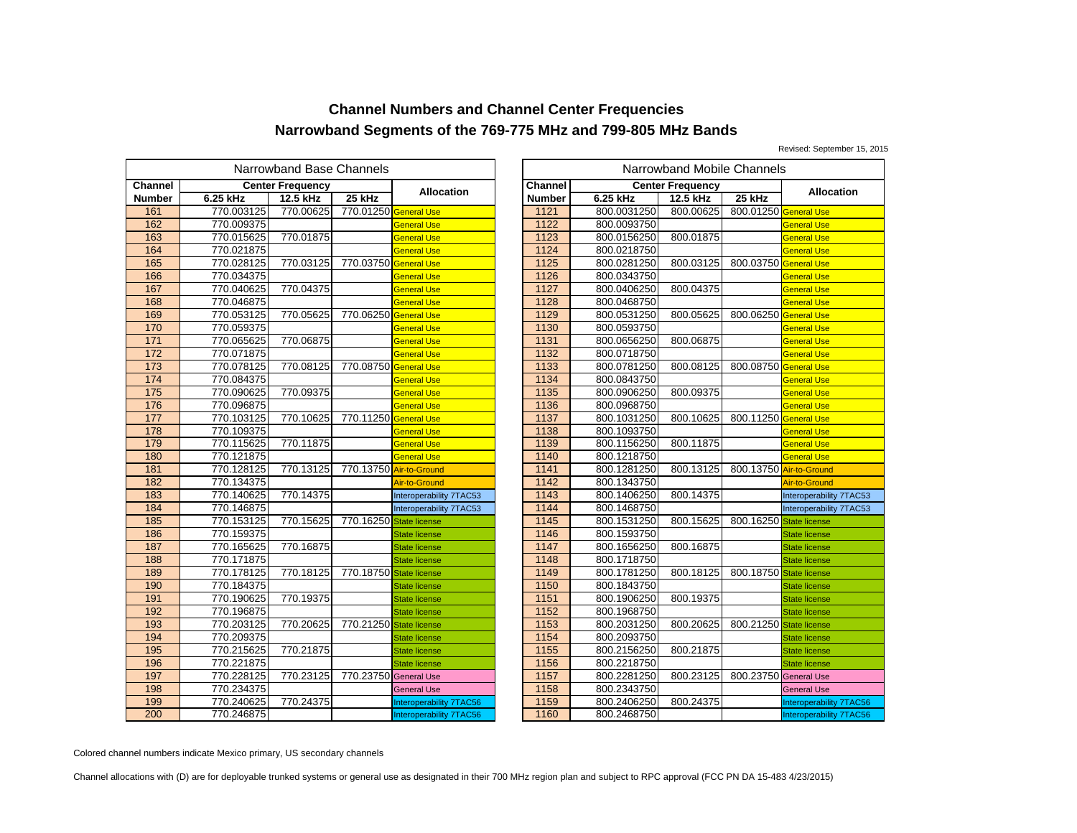Revised: September 15, 2015

|                 |            | Narrowband Base Channels |                       |                                | Narrowband Mobile Channels |                  |             |                         |           |
|-----------------|------------|--------------------------|-----------------------|--------------------------------|----------------------------|------------------|-------------|-------------------------|-----------|
| Channel         |            | <b>Center Frequency</b>  |                       | <b>Allocation</b>              |                            | <b>Channel</b>   |             | <b>Center Frequency</b> |           |
| <b>Number</b>   | 6.25 kHz   | 12.5 kHz                 | 25 kHz                |                                |                            | <b>Number</b>    | 6.25 kHz    | 12.5 kHz                | 25 kHz    |
| 161             | 770.003125 | 770.00625                | 770.01250 General Use |                                |                            | 1121             | 800.0031250 | 800.00625               | 800.01250 |
| 162             | 770.009375 |                          |                       | General Use                    |                            | 1122             | 800.0093750 |                         |           |
| 163             | 770.015625 | 770.01875                |                       | General Use                    |                            | 1123             | 800.0156250 | 800.01875               |           |
| 164             | 770.021875 |                          |                       | General Use                    |                            | 1124             | 800.0218750 |                         |           |
| 165             | 770.028125 | 770.03125                | 770.03750             | <b>General Use</b>             |                            | 1125             | 800.0281250 | 800.03125               | 800.03750 |
| 166             | 770.034375 |                          |                       | General Use                    |                            | 1126             | 800.0343750 |                         |           |
| 167             | 770.040625 | 770.04375                |                       | General Use                    |                            | 1127             | 800.0406250 | 800.04375               |           |
| 168             | 770.046875 |                          |                       | General Use                    |                            | 1128             | 800.0468750 |                         |           |
| 169             | 770.053125 | 770.05625                | 770.06250 General Use |                                |                            | 1129             | 800.0531250 | 800.05625               | 800.06250 |
| 170             | 770.059375 |                          |                       | General Use                    |                            | 1130             | 800.0593750 |                         |           |
| 171             | 770.065625 | 770.06875                |                       | General Use                    |                            | 1131             | 800.0656250 | 800.06875               |           |
| $\frac{1}{172}$ | 770.071875 |                          |                       | General Use                    |                            | 1132             | 800.0718750 |                         |           |
| 173             | 770.078125 | 770.08125                | 770.08750 General Use |                                |                            | 1133             | 800.0781250 | 800.08125               | 800.08750 |
| 174             | 770.084375 |                          |                       | General Use                    |                            | 1134             | 800.0843750 |                         |           |
| 175             | 770.090625 | 770.09375                |                       | General Use                    |                            | 1135             | 800.0906250 | 800.09375               |           |
| 176             | 770.096875 |                          |                       | General Use                    |                            | 1136             | 800.0968750 |                         |           |
| 177             | 770.103125 | 770.10625                | 770.11250             | <b>General Use</b>             |                            | 1137             | 800.1031250 | 800.10625               | 800.11250 |
| 178             | 770.109375 |                          |                       | General Use                    |                            | 1138             | 800.1093750 |                         |           |
| 179             | 770.115625 | 770.11875                |                       | General Use                    |                            | 1139             | 800.1156250 | 800.11875               |           |
| 180             | 770.121875 |                          |                       | <b>General Use</b>             |                            | 1140             | 800.1218750 |                         |           |
| 181             | 770.128125 | 770.13125                |                       | 770.13750 Air-to-Ground        |                            | 1141             | 800.1281250 | 800.13125               | 800.13750 |
| 182             | 770.134375 |                          |                       | Air-to-Ground                  |                            | 1142             | 800.1343750 |                         |           |
| 183             | 770.140625 | 770.14375                |                       | Interoperability 7TAC53        |                            | 1143             | 800.1406250 | 800.14375               |           |
| 184             | 770.146875 |                          |                       | Interoperability 7TAC53        |                            | 1144             | 800.1468750 |                         |           |
| 185             | 770.153125 | 770.15625                | 770.16250             | <b>State license</b>           |                            | 1145             | 800.1531250 | 800.15625               | 800.16250 |
| 186             | 770.159375 |                          |                       | <b>State license</b>           |                            | 1146             | 800.1593750 |                         |           |
| 187             | 770.165625 | 770.16875                |                       | <b>State license</b>           |                            | 1147             | 800.1656250 | 800.16875               |           |
| 188             | 770.171875 |                          |                       | <b>State license</b>           |                            | 1148             | 800.1718750 |                         |           |
| 189             | 770.178125 | 770.18125                | 770.18750             | <b>State license</b>           |                            | 1149             | 800.1781250 | 800.18125               | 800.18750 |
| 190             | 770.184375 |                          |                       | <b>State license</b>           |                            | 1150             | 800.1843750 |                         |           |
| 191             | 770.190625 | 770.19375                |                       | <b>State license</b>           |                            | 1151             | 800.1906250 | 800.19375               |           |
| 192             | 770.196875 |                          |                       | <b>State license</b>           |                            | 1152             | 800.1968750 |                         |           |
| 193             | 770.203125 | 770.20625                | 770.21250             | <b>State license</b>           |                            | 1153             | 800.2031250 | 800.20625               | 800.21250 |
| 194             | 770.209375 |                          |                       | <b>State license</b>           |                            | 1154             | 800.2093750 |                         |           |
| 195             | 770.215625 | 770.21875                |                       | <b>State license</b>           |                            | 1155             | 800.2156250 | 800.21875               |           |
| 196             | 770.221875 |                          |                       | <b>State license</b>           |                            | 1156             | 800.2218750 |                         |           |
| 197             | 770.228125 | 770.23125                | 770.23750 General Use |                                |                            | $\frac{1157}{2}$ | 800.2281250 | 800.23125               | 800.23750 |
| 198             | 770.234375 |                          |                       | <b>General Use</b>             |                            | 1158             | 800.2343750 |                         |           |
| 199             | 770.240625 | 770.24375                |                       | <b>Interoperability 7TAC56</b> |                            | 1159             | 800.2406250 | 800.24375               |           |
| 200             | 770.246875 |                          |                       | Interoperability 7TAC56        |                            | 1160             | 800.2468750 |                         |           |

|                                           | owband Base Channels |                         |                                |                |             | Narrowband Mobile Channels |                         |                         |
|-------------------------------------------|----------------------|-------------------------|--------------------------------|----------------|-------------|----------------------------|-------------------------|-------------------------|
|                                           | iter Frequency       |                         | <b>Allocation</b>              | <b>Channel</b> |             | <b>Center Frequency</b>    |                         | <b>Allocation</b>       |
|                                           | 12.5 kHz             | $25$ kHz                |                                | <b>Number</b>  | 6.25 kHz    | 12.5 kHz                   | $25$ kHz                |                         |
| 5                                         | 770.00625            | 770.01250 General Use   |                                | 1121           | 800.0031250 | 800.00625                  | 800.01250 General Use   |                         |
|                                           |                      |                         | <b>General Use</b>             | 1122           | 800.0093750 |                            |                         | <b>General Use</b>      |
| $rac{5}{5}$                               | 770.01875            |                         | <b>General Use</b>             | 1123           | 800.0156250 | 800.01875                  |                         | General Use             |
|                                           |                      |                         | <b>General Use</b>             | 1124           | 800.0218750 |                            |                         | <b>General Use</b>      |
| $\frac{5}{5}$                             | 770.03125            | 770.03750 General Use   |                                | 1125           | 800.0281250 | 800.03125                  | 800.03750               | <b>General Use</b>      |
|                                           |                      |                         | <b>General Use</b>             | 1126           | 800.0343750 |                            |                         | <b>General Use</b>      |
|                                           | 770.04375            |                         | <b>General Use</b>             | 1127           | 800.0406250 | 800.04375                  |                         | <b>General Use</b>      |
|                                           |                      |                         | <b>General Use</b>             | 1128           | 800.0468750 |                            |                         | <b>General Use</b>      |
|                                           | 770.05625            | 770.06250 General Use   |                                | 1129           | 800.0531250 | 800.05625                  | 800.06250 General Use   |                         |
| $\frac{5}{5}$ $\frac{5}{5}$ $\frac{5}{5}$ |                      |                         | <b>General Use</b>             | 1130           | 800.0593750 |                            |                         | <b>General Use</b>      |
|                                           | 770.06875            |                         | <b>General Use</b>             | 1131           | 800.0656250 | 800.06875                  |                         | <b>General Use</b>      |
|                                           |                      |                         | <b>General Use</b>             | 1132           | 800.0718750 |                            |                         | <b>General Use</b>      |
|                                           | 770.08125            | 770.08750 General Use   |                                | 1133           | 800.0781250 | 800.08125                  | 800.08750               | <b>General Use</b>      |
|                                           |                      |                         | <b>General Use</b>             | 1134           | 800.0843750 |                            |                         | <b>General Use</b>      |
|                                           | 770.09375            |                         | <b>General Use</b>             | 1135           | 800.0906250 | 800.09375                  |                         | <b>General Use</b>      |
|                                           |                      |                         | <b>General Use</b>             | 1136           | 800.0968750 |                            |                         | <b>General Use</b>      |
|                                           | 770.10625            | 770.11250 General Use   |                                | 1137           | 800.1031250 | 800.10625                  | 800.11250               | <b>General Use</b>      |
|                                           |                      |                         | <b>General Use</b>             | 1138           | 800.1093750 |                            |                         | General Use             |
| $\frac{5}{5}$                             | 770.11875            |                         | <b>General Use</b>             | 1139           | 800.1156250 | 800.11875                  |                         | <b>General Use</b>      |
|                                           |                      |                         | <b>General Use</b>             | 1140           | 800.1218750 |                            |                         | <b>General Use</b>      |
|                                           | 770.13125            | 770.13750 Air-to-Ground |                                | 1141           | 800.1281250 | 800.13125                  |                         | 800.13750 Air-to-Ground |
| $\frac{5}{5}$                             |                      |                         | Air-to-Ground                  | 1142           | 800.1343750 |                            |                         | Air-to-Ground           |
|                                           | 770.14375            |                         | Interoperability 7TAC53        | 1143           | 800.1406250 | 800.14375                  |                         | Interoperability 7TAC53 |
| 5                                         |                      |                         | Interoperability 7TAC53        | 1144           | 800.1468750 |                            |                         | Interoperability 7TAC53 |
|                                           | 770.15625            | 770.16250 State license |                                | 1145           | 800.1531250 | 800.15625                  | 800.16250 State license |                         |
|                                           |                      |                         | <b>State license</b>           | 1146           | 800.1593750 |                            |                         | <b>State license</b>    |
| $\frac{5}{5}$                             | 770.16875            |                         | <b>State license</b>           | 1147           | 800.1656250 | 800.16875                  |                         | <b>State license</b>    |
| 5                                         |                      |                         | <b>State license</b>           | 1148           | 800.1718750 |                            |                         | <b>State license</b>    |
|                                           | 770.18125            | 770.18750 State license |                                | 1149           | 800.1781250 | 800.18125                  | 800.18750 State license |                         |
|                                           |                      |                         | <b>State license</b>           | 1150           | 800.1843750 |                            |                         | <b>State license</b>    |
| $\frac{5}{5}$ $\frac{5}{5}$ $\frac{5}{5}$ | 770.19375            |                         | <b>State license</b>           | 1151           | 800.1906250 | 800.19375                  |                         | <b>State license</b>    |
|                                           |                      |                         | <b>State license</b>           | 1152           | 800.1968750 |                            |                         | <b>State license</b>    |
|                                           | 770.20625            | 770.21250 State license |                                | 1153           | 800.2031250 | 800.20625                  | 800.21250               | <b>State license</b>    |
|                                           |                      |                         | <b>State license</b>           | 1154           | 800.2093750 |                            |                         | <b>State license</b>    |
| $rac{5}{5}$                               | 770.21875            |                         | <b>State license</b>           | 1155           | 800.2156250 | 800.21875                  |                         | <b>State license</b>    |
|                                           |                      |                         | <b>State license</b>           | 1156           | 800.2218750 |                            |                         | <b>State license</b>    |
| $\frac{5}{5}$ $\frac{5}{5}$ $\frac{5}{5}$ | 770.23125            | 770.23750 General Use   |                                | 1157           | 800.2281250 | 800.23125                  | 800.23750 General Use   |                         |
|                                           |                      |                         | <b>General Use</b>             | 1158           | 800.2343750 |                            |                         | <b>General Use</b>      |
|                                           | 770.24375            |                         | <b>Interoperability 7TAC56</b> | 1159           | 800.2406250 | 800.24375                  |                         | Interoperability 7TAC56 |
|                                           |                      |                         | Interoperability 7TAC56        | 1160           | 800.2468750 |                            |                         | Interoperability 7TAC56 |

Colored channel numbers indicate Mexico primary, US secondary channels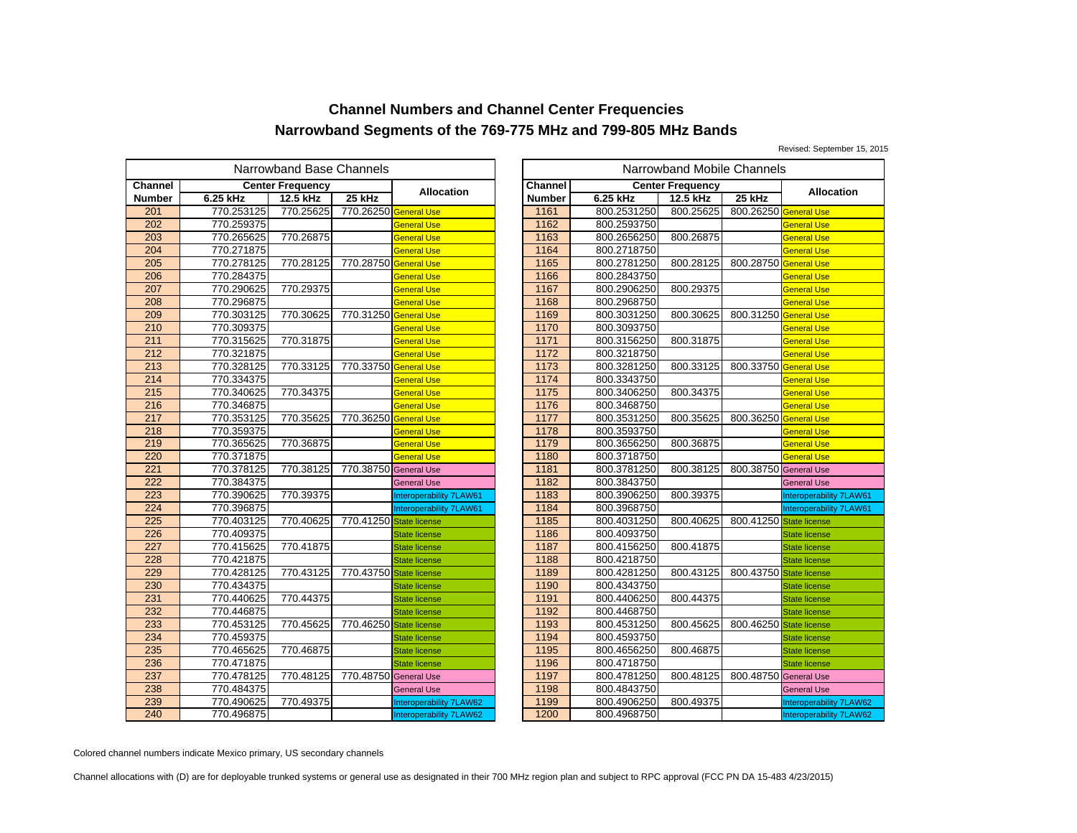Revised: September 15, 2015

|                  | Narrowband Base Channels<br>Narrowband Mobile Channels |                         |                       |                         |  |                |             |                         |           |
|------------------|--------------------------------------------------------|-------------------------|-----------------------|-------------------------|--|----------------|-------------|-------------------------|-----------|
| <b>Channel</b>   |                                                        | <b>Center Frequency</b> |                       | <b>Allocation</b>       |  | <b>Channel</b> |             | <b>Center Frequency</b> |           |
| Number           | 6.25 kHz                                               | 12.5 kHz                | 25 kHz                |                         |  | <b>Number</b>  | 6.25 kHz    | 12.5 kHz                | 25 kHz    |
| 201              | 770.253125                                             | 770.25625               | 770.26250 General Use |                         |  | 1161           | 800.2531250 | 800.25625               | 800.26250 |
| 202              | 770.259375                                             |                         |                       | <b>General Use</b>      |  | 1162           | 800.2593750 |                         |           |
| 203              | 770.265625                                             | 770.26875               |                       | General Use             |  | 1163           | 800.2656250 | 800.26875               |           |
| 204              | 770.271875                                             |                         |                       | <b>General Use</b>      |  | 1164           | 800.2718750 |                         |           |
| 205              | 770.278125                                             | 770.28125               | 770.28750             | <b>General Use</b>      |  | 1165           | 800.2781250 | 800.28125               | 800.28750 |
| 206              | 770.284375                                             |                         |                       | <b>General Use</b>      |  | 1166           | 800.2843750 |                         |           |
| 207              | 770.290625                                             | 770.29375               |                       | General Use             |  | 1167           | 800.2906250 | 800.29375               |           |
| 208              | 770.296875                                             |                         |                       | <b>General Use</b>      |  | 1168           | 800.2968750 |                         |           |
| 209              | 770.303125                                             | 770.30625               | 770.31250 General Use |                         |  | 1169           | 800.3031250 | 800.30625               | 800.31250 |
| 210              | 770.309375                                             |                         |                       | General Use             |  | 1170           | 800.3093750 |                         |           |
| 211              | 770.315625                                             | 770.31875               |                       | General Use             |  | 1171           | 800.3156250 | 800.31875               |           |
| $\overline{212}$ | 770.321875                                             |                         |                       | <b>General Use</b>      |  | 1172           | 800.3218750 |                         |           |
| 213              | 770.328125                                             | 770.33125               | 770.33750 General Use |                         |  | 1173           | 800.3281250 | 800.33125               | 800.33750 |
| 214              | 770.334375                                             |                         |                       | General Use             |  | 1174           | 800.3343750 |                         |           |
| 215              | 770.340625                                             | 770.34375               |                       | General Use             |  | 1175           | 800.3406250 | 800.34375               |           |
| 216              | 770.346875                                             |                         |                       | <b>General Use</b>      |  | 1176           | 800.3468750 |                         |           |
| 217              | 770.353125                                             | 770.35625               | 770.36250             | <b>General Use</b>      |  | 1177           | 800.3531250 | 800.35625               | 800.36250 |
| 218              | 770.359375                                             |                         |                       | General Use             |  | 1178           | 800.3593750 |                         |           |
| 219              | 770.365625                                             | 770.36875               |                       | General Use             |  | 1179           | 800.3656250 | 800.36875               |           |
| 220              | 770.371875                                             |                         |                       | <b>General Use</b>      |  | 1180           | 800.3718750 |                         |           |
| 221              | 770.378125                                             | 770.38125               | 770.38750 General Use |                         |  | 1181           | 800.3781250 | 800.38125               | 800.38750 |
| 222              | 770.384375                                             |                         |                       | <b>General Use</b>      |  | 1182           | 800.3843750 |                         |           |
| 223              | 770.390625                                             | 770.39375               |                       | Interoperability 7LAW61 |  | 1183           | 800.3906250 | 800.39375               |           |
| 224              | 770.396875                                             |                         |                       | Interoperability 7LAW61 |  | 1184           | 800.3968750 |                         |           |
| 225              | 770.403125                                             | 770.40625               | 770.41250             | <b>State license</b>    |  | 1185           | 800.4031250 | 800.40625               | 800.41250 |
| 226              | 770.409375                                             |                         |                       | <b>State license</b>    |  | 1186           | 800.4093750 |                         |           |
| 227              | 770.415625                                             | 770.41875               |                       | <b>State license</b>    |  | 1187           | 800.4156250 | 800.41875               |           |
| 228              | 770.421875                                             |                         |                       | <b>State license</b>    |  | 1188           | 800.4218750 |                         |           |
| 229              | 770.428125                                             | 770.43125               | 770.43750             | <b>State license</b>    |  | 1189           | 800.4281250 | 800.43125               | 800.43750 |
| 230              | 770.434375                                             |                         |                       | <b>State license</b>    |  | 1190           | 800.4343750 |                         |           |
| 231              | 770.440625                                             | 770.44375               |                       | <b>State license</b>    |  | 1191           | 800.4406250 | 800.44375               |           |
| 232              | 770.446875                                             |                         |                       | <b>State license</b>    |  | 1192           | 800.4468750 |                         |           |
| 233              | 770.453125                                             | 770.45625               | 770.46250             | <b>State license</b>    |  | 1193           | 800.4531250 | 800.45625               | 800.46250 |
| 234              | 770.459375                                             |                         |                       | <b>State license</b>    |  | 1194           | 800.4593750 |                         |           |
| 235              | 770.465625                                             | 770.46875               |                       | <b>State license</b>    |  | 1195           | 800.4656250 | 800.46875               |           |
| 236              | 770.471875                                             |                         |                       | <b>State license</b>    |  | 1196           | 800.4718750 |                         |           |
| 237              | 770.478125                                             | 770.48125               | 770.48750 General Use |                         |  | 1197           | 800.4781250 | 800.48125               | 800.48750 |
| 238              | 770.484375                                             |                         |                       | <b>General Use</b>      |  | 1198           | 800.4843750 |                         |           |
| 239              | 770.490625                                             | 770.49375               |                       | Interoperability 7LAW62 |  | 1199           | 800.4906250 | 800.49375               |           |
| 240              | 770.496875                                             |                         |                       | Interoperability 7LAW62 |  | 1200           | 800.4968750 |                         |           |

|                       | owband Base Channels |                         |                         |               |             | Narrowband Mobile Channels |                         |                         |
|-----------------------|----------------------|-------------------------|-------------------------|---------------|-------------|----------------------------|-------------------------|-------------------------|
|                       | ter Frequency        |                         | <b>Allocation</b>       | Channel       |             | <b>Center Frequency</b>    |                         | <b>Allocation</b>       |
|                       | 12.5 kHz             | 25 kHz                  |                         | <b>Number</b> | 6.25 kHz    | 12.5 kHz                   | 25 kHz                  |                         |
| 5                     | 770.25625            | 770.26250 General Use   |                         | 1161          | 800.2531250 | 800.25625                  | 800.26250 General Use   |                         |
|                       |                      |                         | <b>General Use</b>      | 1162          | 800.2593750 |                            |                         | General Use             |
| $rac{5}{5}$           | 770.26875            |                         | <b>General Use</b>      | 1163          | 800.2656250 | 800.26875                  |                         | General Use             |
|                       |                      |                         | <b>General Use</b>      | 1164          | 800.2718750 |                            |                         | <b>General Use</b>      |
| $\frac{5}{5}$         | 770.28125            | 770.28750 General Use   |                         | 1165          | 800.2781250 | 800.28125                  | 800.28750               | <b>General Use</b>      |
|                       |                      |                         | <b>General Use</b>      | 1166          | 800.2843750 |                            |                         | <b>General Use</b>      |
|                       | 770.29375            |                         | <b>General Use</b>      | 1167          | 800.2906250 | 800.29375                  |                         | <b>General Use</b>      |
| $\frac{5}{5}$         |                      |                         | <b>General Use</b>      | 1168          | 800.2968750 |                            |                         | <b>General Use</b>      |
|                       | 770.30625            | 770.31250 General Use   |                         | 1169          | 800.3031250 | 800.30625                  | 800.31250 General Use   |                         |
|                       |                      |                         | <b>General Use</b>      | 1170          | 800.3093750 |                            |                         | <b>General Use</b>      |
| $\frac{5}{5}$         | 770.31875            |                         | <b>General Use</b>      | 1171          | 800.3156250 | 800.31875                  |                         | <b>General Use</b>      |
|                       |                      |                         | <b>General Use</b>      | 1172          | 800.3218750 |                            |                         | <b>General Use</b>      |
| 5<br>5<br>5<br>5      | 770.33125            | 770.33750 General Use   |                         | 1173          | 800.3281250 | 800.33125                  | 800.33750 General Use   |                         |
|                       |                      |                         | <b>General Use</b>      | 1174          | 800.3343750 |                            |                         | General Use             |
|                       | 770.34375            |                         | <b>General Use</b>      | 1175          | 800.3406250 | 800.34375                  |                         | <b>General Use</b>      |
|                       |                      |                         | <b>General Use</b>      | 1176          | 800.3468750 |                            |                         | <b>General Use</b>      |
|                       | 770.35625            | 770.36250 General Use   |                         | 1177          | 800.3531250 | 800.35625                  | 800.36250 General Use   |                         |
|                       |                      |                         | <b>General Use</b>      | 1178          | 800.3593750 |                            |                         | <b>General Use</b>      |
|                       | 770.36875            |                         | <b>General Use</b>      | 1179          | 800.3656250 | 800.36875                  |                         | <b>General Use</b>      |
|                       |                      |                         | <b>General Use</b>      | 1180          | 800.3718750 |                            |                         | <b>General Use</b>      |
|                       | 770.38125            | 770.38750 General Use   |                         | 1181          | 800.3781250 | 800.38125                  | 800.38750 General Use   |                         |
|                       |                      |                         | <b>General Use</b>      | 1182          | 800.3843750 |                            |                         | <b>General Use</b>      |
| $\frac{5}{5}$         | 770.39375            |                         | Interoperability 7LAW61 | 1183          | 800.3906250 | 800.39375                  |                         | Interoperability 7LAW61 |
|                       |                      |                         | Interoperability 7LAW61 | 1184          | 800.3968750 |                            |                         | Interoperability 7LAW61 |
| 5<br>5<br>5<br>5<br>5 | 770.40625            | 770.41250 State license |                         | 1185          | 800.4031250 | 800.40625                  | 800.41250 State license |                         |
|                       |                      |                         | <b>State license</b>    | 1186          | 800.4093750 |                            |                         | <b>State license</b>    |
|                       | 770.41875            |                         | <b>State license</b>    | 1187          | 800.4156250 | 800.41875                  |                         | <b>State license</b>    |
| 5                     |                      |                         | <b>State license</b>    | 1188          | 800.4218750 |                            |                         | <b>State license</b>    |
|                       | 770.43125            | 770.43750 State license |                         | 1189          | 800.4281250 | 800.43125                  | 800.43750 State license |                         |
|                       |                      |                         | <b>State license</b>    | 1190          | 800.4343750 |                            |                         | <b>State license</b>    |
| $\frac{5}{5}$         | 770.44375            |                         | <b>State license</b>    | 1191          | 800.4406250 | 800.44375                  |                         | <b>State license</b>    |
|                       |                      |                         | <b>State license</b>    | 1192          | 800.4468750 |                            |                         | <b>State license</b>    |
| 5                     | 770.45625            | 770.46250 State license |                         | 1193          | 800.4531250 | 800.45625                  | 800.46250               | <b>State license</b>    |
|                       |                      |                         | <b>State license</b>    | 1194          | 800.4593750 |                            |                         | <b>State license</b>    |
| $\frac{5}{5}$         | 770.46875            |                         | <b>State license</b>    | 1195          | 800.4656250 | 800.46875                  |                         | <b>State license</b>    |
|                       |                      |                         | <b>State license</b>    | 1196          | 800.4718750 |                            |                         | <b>State license</b>    |
| $\frac{5}{5}$         | 770.48125            | 770.48750 General Use   |                         | 1197          | 800.4781250 | 800.48125                  | 800.48750 General Use   |                         |
|                       |                      |                         | <b>General Use</b>      | 1198          | 800.4843750 |                            |                         | <b>General Use</b>      |
| $\frac{5}{5}$         | 770.49375            |                         | Interoperability 7LAW62 | 1199          | 800.4906250 | 800.49375                  |                         | Interoperability 7LAW62 |
|                       |                      |                         | Interoperability 7LAW62 | 1200          | 800.4968750 |                            |                         | Interoperability 7LAW62 |

Colored channel numbers indicate Mexico primary, US secondary channels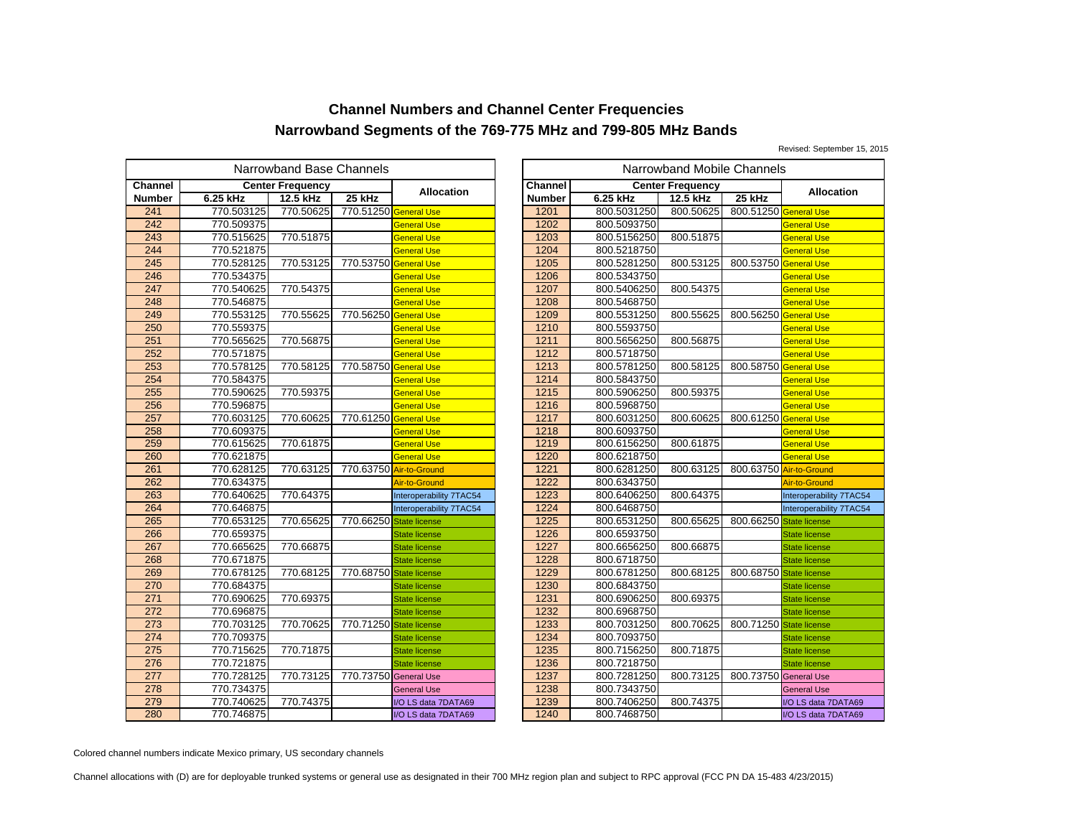Revised: September 15, 2015

|               |            | Narrowband Base Channels |                         |                         |                  |             | Narrowband Mobile Channels |           |
|---------------|------------|--------------------------|-------------------------|-------------------------|------------------|-------------|----------------------------|-----------|
| Channel       |            | <b>Center Frequency</b>  |                         | <b>Allocation</b>       | <b>Channel</b>   |             | <b>Center Frequency</b>    |           |
| <b>Number</b> | 6.25 kHz   | 12.5 kHz                 | 25 kHz                  |                         | <b>Number</b>    | 6.25 kHz    | 12.5 kHz                   | 25 kHz    |
| 241           | 770.503125 | 770.50625                | 770.51250 General Use   |                         | 1201             | 800.5031250 | 800.50625                  | 800.51250 |
| 242           | 770.509375 |                          |                         | General Use             | 1202             | 800.5093750 |                            |           |
| 243           | 770.515625 | 770.51875                |                         | General Use             | 1203             | 800.5156250 | 800.51875                  |           |
| 244           | 770.521875 |                          |                         | <b>General Use</b>      | 1204             | 800.5218750 |                            |           |
| 245           | 770.528125 | 770.53125                | 770.53750 General Use   |                         | 1205             | 800.5281250 | 800.53125                  | 800.53750 |
| 246           | 770.534375 |                          |                         | General Use             | 1206             | 800.5343750 |                            |           |
| 247           | 770.540625 | 770.54375                |                         | General Use             | 1207             | 800.5406250 | 800.54375                  |           |
| 248           | 770.546875 |                          |                         | <b>General Use</b>      | 1208             | 800.5468750 |                            |           |
| 249           | 770.553125 | 770.55625                | 770.56250 General Use   |                         | 1209             | 800.5531250 | 800.55625                  | 800.56250 |
| 250           | 770.559375 |                          |                         | General Use             | 1210             | 800.5593750 |                            |           |
| 251           | 770.565625 | 770.56875                |                         | General Use             | 1211             | 800.5656250 | 800.56875                  |           |
| 252           | 770.571875 |                          |                         | <b>General Use</b>      | $\frac{1212}{2}$ | 800.5718750 |                            |           |
| 253           | 770.578125 | 770.58125                | 770.58750 General Use   |                         | 1213             | 800.5781250 | 800.58125                  | 800.58750 |
| 254           | 770.584375 |                          |                         | General Use             | 1214             | 800.5843750 |                            |           |
| 255           | 770.590625 | 770.59375                |                         | General Use             | 1215             | 800.5906250 | 800.59375                  |           |
| 256           | 770.596875 |                          |                         | <b>General Use</b>      | 1216             | 800.5968750 |                            |           |
| 257           | 770.603125 | 770.60625                | 770.61250 General Use   |                         | 1217             | 800.6031250 | 800.60625                  | 800.61250 |
| 258           | 770.609375 |                          |                         | General Use             | 1218             | 800.6093750 |                            |           |
| 259           | 770.615625 | 770.61875                |                         | General Use             | 1219             | 800.6156250 | 800.61875                  |           |
| 260           | 770.621875 |                          |                         | <b>General Use</b>      | 1220             | 800.6218750 |                            |           |
| 261           | 770.628125 | 770.63125                |                         | 770.63750 Air-to-Ground | 1221             | 800.6281250 | 800.63125                  | 800.63750 |
| 262           | 770.634375 |                          |                         | Air-to-Ground           | 1222             | 800.6343750 |                            |           |
| 263           | 770.640625 | 770.64375                |                         | Interoperability 7TAC54 | 1223             | 800.6406250 | 800.64375                  |           |
| 264           | 770.646875 |                          |                         | Interoperability 7TAC54 | 1224             | 800.6468750 |                            |           |
| 265           | 770.653125 | 770.65625                | 770.66250               | <b>State license</b>    | 1225             | 800.6531250 | 800.65625                  | 800.66250 |
| 266           | 770.659375 |                          |                         | <b>State license</b>    | 1226             | 800.6593750 |                            |           |
| 267           | 770.665625 | 770.66875                |                         | <b>State license</b>    | 1227             | 800.6656250 | 800.66875                  |           |
| 268           | 770.671875 |                          |                         | <b>State license</b>    | 1228             | 800.6718750 |                            |           |
| 269           | 770.678125 | 770.68125                | 770.68750               | <b>State license</b>    | 1229             | 800.6781250 | 800.68125                  | 800.68750 |
| 270           | 770.684375 |                          |                         | <b>State license</b>    | 1230             | 800.6843750 |                            |           |
| 271           | 770.690625 | 770.69375                |                         | <b>State license</b>    | 1231             | 800.6906250 | 800.69375                  |           |
| 272           | 770.696875 |                          |                         | <b>State license</b>    | 1232             | 800.6968750 |                            |           |
| 273           | 770.703125 | 770.70625                | 770.71250 State license |                         | 1233             | 800.7031250 | 800.70625                  | 800.71250 |
| 274           | 770.709375 |                          |                         | <b>State license</b>    | 1234             | 800.7093750 |                            |           |
| 275           | 770.715625 | 770.71875                |                         | <b>State license</b>    | 1235             | 800.7156250 | 800.71875                  |           |
| 276           | 770.721875 |                          |                         | <b>State license</b>    | 1236             | 800.7218750 |                            |           |
| 277           | 770.728125 | 770.73125                | 770.73750 General Use   |                         | 1237             | 800.7281250 | 800.73125                  | 800.73750 |
| 278           | 770.734375 |                          |                         | <b>General Use</b>      | 1238             | 800.7343750 |                            |           |
| 279           | 770.740625 | 770.74375                |                         | I/O LS data 7DATA69     | 1239             | 800.7406250 | 800.74375                  |           |
| 280           | 770.746875 |                          |                         | I/O LS data 7DATA69     | 1240             | 800.7468750 |                            |           |

| owband Base Channels                      |                |                         | Narrowband Mobile Channels |                |             |                         |                         |                         |  |  |
|-------------------------------------------|----------------|-------------------------|----------------------------|----------------|-------------|-------------------------|-------------------------|-------------------------|--|--|
|                                           | iter Frequency |                         | <b>Allocation</b>          | <b>Channel</b> |             | <b>Center Frequency</b> |                         | <b>Allocation</b>       |  |  |
|                                           | 12.5 kHz       | $25$ kHz                |                            | <b>Number</b>  | 6.25 kHz    | 12.5 kHz                | $25$ kHz                |                         |  |  |
| 5                                         | 770.50625      | 770.51250 General Use   |                            | 1201           | 800.5031250 | 800.50625               | 800.51250 General Use   |                         |  |  |
|                                           |                |                         | <b>General Use</b>         | 1202           | 800.5093750 |                         |                         | <b>General Use</b>      |  |  |
| $rac{5}{5}$                               | 770.51875      |                         | <b>General Use</b>         | 1203           | 800.5156250 | 800.51875               |                         | General Use             |  |  |
|                                           |                |                         | <b>General Use</b>         | 1204           | 800.5218750 |                         |                         | <b>General Use</b>      |  |  |
| $\frac{5}{5}$                             | 770.53125      | 770.53750 General Use   |                            | 1205           | 800.5281250 | 800.53125               | 800.53750 General Use   |                         |  |  |
|                                           |                |                         | <b>General Use</b>         | 1206           | 800.5343750 |                         |                         | <b>General Use</b>      |  |  |
|                                           | 770.54375      |                         | <b>General Use</b>         | 1207           | 800.5406250 | 800.54375               |                         | <b>General Use</b>      |  |  |
| $rac{5}{5}$                               |                |                         | <b>General Use</b>         | 1208           | 800.5468750 |                         |                         | <b>General Use</b>      |  |  |
|                                           | 770.55625      | 770.56250 General Use   |                            | 1209           | 800.5531250 | 800.55625               | 800.56250 General Use   |                         |  |  |
| 5<br>5<br>5<br>5                          |                |                         | <b>General Use</b>         | 1210           | 800.5593750 |                         |                         | <b>General Use</b>      |  |  |
|                                           | 770.56875      |                         | <b>General Use</b>         | 1211           | 800.5656250 | 800.56875               |                         | General Use             |  |  |
|                                           |                |                         | <b>General Use</b>         | 1212           | 800.5718750 |                         |                         | <b>General Use</b>      |  |  |
|                                           | 770.58125      | 770.58750 General Use   |                            | 1213           | 800.5781250 | 800.58125               | 800.58750               | <b>General Use</b>      |  |  |
|                                           |                |                         | <b>General Use</b>         | 1214           | 800.5843750 |                         |                         | <b>General Use</b>      |  |  |
|                                           | 770.59375      |                         | <b>General Use</b>         | 1215           | 800.5906250 | 800.59375               |                         | <b>General Use</b>      |  |  |
|                                           |                |                         | <b>General Use</b>         | 1216           | 800.5968750 |                         |                         | <b>General Use</b>      |  |  |
|                                           | 770.60625      | 770.61250               | <b>General Use</b>         | 1217           | 800.6031250 | 800.60625               | 800.61250               | <b>General Use</b>      |  |  |
|                                           |                |                         | <b>General Use</b>         | 1218           | 800.6093750 |                         |                         | General Use             |  |  |
|                                           | 770.61875      |                         | <b>General Use</b>         | 1219           | 800.6156250 | 800.61875               |                         | <b>General Use</b>      |  |  |
|                                           |                |                         | <b>General Use</b>         | 1220           | 800.6218750 |                         |                         | <b>General Use</b>      |  |  |
|                                           | 770.63125      |                         | 770.63750 Air-to-Ground    | 1221           | 800.6281250 | 800.63125               |                         | 800.63750 Air-to-Ground |  |  |
|                                           |                |                         | Air-to-Ground              | 1222           | 800.6343750 |                         |                         | Air-to-Ground           |  |  |
|                                           | 770.64375      |                         | Interoperability 7TAC54    | 1223           | 800.6406250 | 800.64375               |                         | Interoperability 7TAC54 |  |  |
|                                           |                |                         | Interoperability 7TAC54    | 1224           | 800.6468750 |                         |                         | Interoperability 7TAC54 |  |  |
|                                           | 770.65625      | 770.66250 State license |                            | 1225           | 800.6531250 | 800.65625               | 800.66250 State license |                         |  |  |
| $\frac{5}{5}$                             |                |                         | <b>State license</b>       | 1226           | 800.6593750 |                         |                         | <b>State license</b>    |  |  |
|                                           | 770.66875      |                         | <b>State license</b>       | 1227           | 800.6656250 | 800.66875               |                         | <b>State license</b>    |  |  |
| 5                                         |                |                         | <b>State license</b>       | 1228           | 800.6718750 |                         |                         | <b>State license</b>    |  |  |
|                                           | 770.68125      | 770.68750 State license |                            | 1229           | 800.6781250 | 800.68125               | 800.68750 State license |                         |  |  |
|                                           |                |                         | <b>State license</b>       | 1230           | 800.6843750 |                         |                         | <b>State license</b>    |  |  |
| $\frac{5}{5}$ $\frac{5}{5}$ $\frac{5}{5}$ | 770.69375      |                         | <b>State license</b>       | 1231           | 800.6906250 | 800.69375               |                         | <b>State license</b>    |  |  |
|                                           |                |                         | <b>State license</b>       | 1232           | 800.6968750 |                         |                         | <b>State license</b>    |  |  |
|                                           | 770.70625      | 770.71250 State license |                            | 1233           | 800.7031250 | 800.70625               | 800.71250               | <b>State license</b>    |  |  |
|                                           |                |                         | <b>State license</b>       | 1234           | 800.7093750 |                         |                         | <b>State license</b>    |  |  |
| $rac{5}{5}$                               | 770.71875      |                         | <b>State license</b>       | 1235           | 800.7156250 | 800.71875               |                         | <b>State license</b>    |  |  |
|                                           |                |                         | State license              | 1236           | 800.7218750 |                         |                         | <b>State license</b>    |  |  |
| $\frac{5}{5}$                             | 770.73125      | 770.73750 General Use   |                            | 1237           | 800.7281250 | 800.73125               | 800.73750 General Use   |                         |  |  |
|                                           |                |                         | <b>General Use</b>         | 1238           | 800.7343750 |                         |                         | <b>General Use</b>      |  |  |
|                                           | 770.74375      |                         | I/O LS data 7DATA69        | 1239           | 800.7406250 | 800.74375               |                         | I/O LS data 7DATA69     |  |  |
| $rac{5}{5}$                               |                |                         | I/O LS data 7DATA69        | 1240           | 800.7468750 |                         |                         | I/O LS data 7DATA69     |  |  |

Colored channel numbers indicate Mexico primary, US secondary channels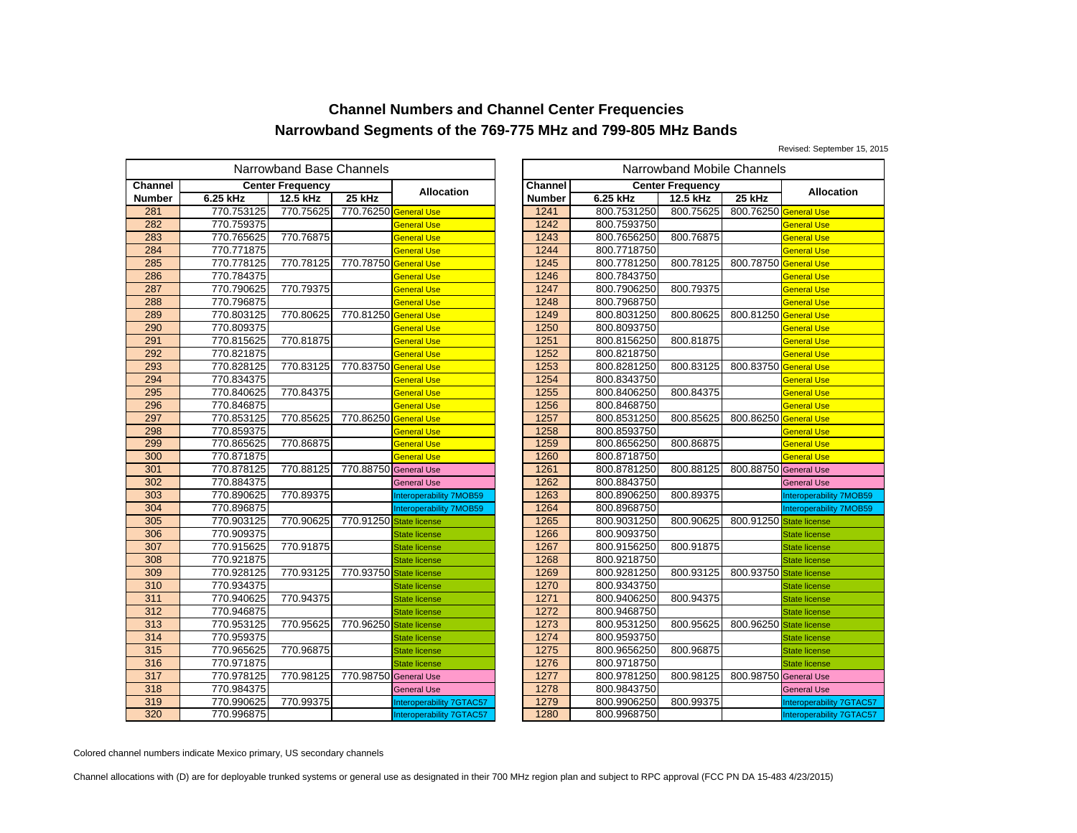Revised: September 15, 2015

|                |            | Narrowband Base Channels |                         |                                |         |             | Narrowband Mobile Channels |           |
|----------------|------------|--------------------------|-------------------------|--------------------------------|---------|-------------|----------------------------|-----------|
| <b>Channel</b> |            | <b>Center Frequency</b>  |                         | Allocation                     | Channel |             | <b>Center Frequency</b>    |           |
| <b>Number</b>  | 6.25 kHz   | 12.5 kHz                 | 25 kHz                  |                                | Number  | 6.25 kHz    | 12.5 kHz                   | 25 kHz    |
| 281            | 770.753125 | 770.75625                | 770.76250 General Use   |                                | 1241    | 800.7531250 | 800.75625                  | 800.76250 |
| 282            | 770.759375 |                          |                         | General Use                    | 1242    | 800.7593750 |                            |           |
| 283            | 770.765625 | 770.76875                |                         | General Use                    | 1243    | 800.7656250 | 800.76875                  |           |
| 284            | 770.771875 |                          |                         | <b>General Use</b>             | 1244    | 800.7718750 |                            |           |
| 285            | 770.778125 | 770.78125                | 770.78750               | <b>General Use</b>             | 1245    | 800.7781250 | 800.78125                  | 800.78750 |
| 286            | 770.784375 |                          |                         | <b>General Use</b>             | 1246    | 800.7843750 |                            |           |
| 287            | 770.790625 | 770.79375                |                         | <b>General Use</b>             | 1247    | 800.7906250 | 800.79375                  |           |
| 288            | 770.796875 |                          |                         | <b>General Use</b>             | 1248    | 800.7968750 |                            |           |
| 289            | 770.803125 | 770.80625                | 770.81250 General Use   |                                | 1249    | 800.8031250 | 800.80625                  | 800.81250 |
| 290            | 770.809375 |                          |                         | General Use                    | 1250    | 800.8093750 |                            |           |
| 291            | 770.815625 | 770.81875                |                         | <b>General Use</b>             | 1251    | 800.8156250 | 800.81875                  |           |
| 292            | 770.821875 |                          |                         | <b>General Use</b>             | 1252    | 800.8218750 |                            |           |
| 293            | 770.828125 | 770.83125                | 770.83750               | <b>General Use</b>             | 1253    | 800.8281250 | 800.83125                  | 800.83750 |
| 294            | 770.834375 |                          |                         | General Use                    | 1254    | 800.8343750 |                            |           |
| 295            | 770.840625 | 770.84375                |                         | General Use                    | 1255    | 800.8406250 | 800.84375                  |           |
| 296            | 770.846875 |                          |                         | <b>General Use</b>             | 1256    | 800.8468750 |                            |           |
| 297            | 770.853125 | 770.85625                | 770.86250               | <b>General Use</b>             | 1257    | 800.8531250 | 800.85625                  | 800.86250 |
| 298            | 770.859375 |                          |                         | General Use                    | 1258    | 800.8593750 |                            |           |
| 299            | 770.865625 | 770.86875                |                         | <b>General Use</b>             | 1259    | 800.8656250 | 800.86875                  |           |
| 300            | 770.871875 |                          |                         | <b>General Use</b>             | 1260    | 800.8718750 |                            |           |
| 301            | 770.878125 | 770.88125                | 770.88750 General Use   |                                | 1261    | 800.8781250 | 800.88125                  | 800.88750 |
| 302            | 770.884375 |                          |                         | <b>General Use</b>             | 1262    | 800.8843750 |                            |           |
| 303            | 770.890625 | 770.89375                |                         | <b>Interoperability 7MOB59</b> | 1263    | 800.8906250 | 800.89375                  |           |
| 304            | 770.896875 |                          |                         | <b>Interoperability 7MOB59</b> | 1264    | 800.8968750 |                            |           |
| 305            | 770.903125 | 770.90625                | 770.91250 State license |                                | 1265    | 800.9031250 | 800.90625                  | 800.91250 |
| 306            | 770.909375 |                          |                         | <b>State license</b>           | 1266    | 800.9093750 |                            |           |
| 307            | 770.915625 | 770.91875                |                         | <b>State license</b>           | 1267    | 800.9156250 | 800.91875                  |           |
| 308            | 770.921875 |                          |                         | <b>State license</b>           | 1268    | 800.9218750 |                            |           |
| 309            | 770.928125 | 770.93125                | 770.93750               | <b>State license</b>           | 1269    | 800.9281250 | 800.93125                  | 800.93750 |
| 310            | 770.934375 |                          |                         | <b>State license</b>           | 1270    | 800.9343750 |                            |           |
| 311            | 770.940625 | 770.94375                |                         | <b>State license</b>           | 1271    | 800.9406250 | 800.94375                  |           |
| 312            | 770.946875 |                          |                         | <b>State license</b>           | 1272    | 800.9468750 |                            |           |
| 313            | 770.953125 | 770.95625                | 770.96250               | <b>State license</b>           | 1273    | 800.9531250 | 800.95625                  | 800.96250 |
| 314            | 770.959375 |                          |                         | <b>State license</b>           | 1274    | 800.9593750 |                            |           |
| 315            | 770.965625 | 770.96875                |                         | <b>State license</b>           | 1275    | 800.9656250 | 800.96875                  |           |
| 316            | 770.971875 |                          |                         | <b>State license</b>           | 1276    | 800.9718750 |                            |           |
| 317            | 770.978125 | 770.98125                | 770.98750 General Use   |                                | 1277    | 800.9781250 | 800.98125                  | 800.98750 |
| 318            | 770.984375 |                          |                         | <b>General Use</b>             | 1278    | 800.9843750 |                            |           |
| 319            | 770.990625 | 770.99375                |                         | Interoperability 7GTAC57       | 1279    | 800.9906250 | 800.99375                  |           |
| 320            | 770.996875 |                          |                         | Interoperability 7GTAC57       | 1280    | 800.9968750 |                            |           |

|                                           | owband Base Channels |                         |                          |                |             | Narrowband Mobile Channels |                         |                          |
|-------------------------------------------|----------------------|-------------------------|--------------------------|----------------|-------------|----------------------------|-------------------------|--------------------------|
|                                           | iter Frequency       |                         | <b>Allocation</b>        | <b>Channel</b> |             | <b>Center Frequency</b>    |                         | <b>Allocation</b>        |
|                                           | 12.5 kHz             | 25 kHz                  |                          | <b>Number</b>  | 6.25 kHz    | 12.5 kHz                   | $25$ kHz                |                          |
| 5                                         | 770.75625            | 770.76250 General Use   |                          | 1241           | 800.7531250 | 800.75625                  | 800.76250 General Use   |                          |
|                                           |                      |                         | <b>General Use</b>       | 1242           | 800.7593750 |                            |                         | <b>General Use</b>       |
| $\frac{5}{5}$                             | 770.76875            |                         | <b>General Use</b>       | 1243           | 800.7656250 | 800.76875                  |                         | General Use              |
|                                           |                      |                         | <b>General Use</b>       | 1244           | 800.7718750 |                            |                         | <b>General Use</b>       |
| $rac{5}{5}$                               | 770.78125            | 770.78750 General Use   |                          | 1245           | 800.7781250 | 800.78125                  | 800.78750 General Use   |                          |
|                                           |                      |                         | <b>General Use</b>       | 1246           | 800.7843750 |                            |                         | <b>General Use</b>       |
|                                           | 770.79375            |                         | <b>General Use</b>       | 1247           | 800.7906250 | 800.79375                  |                         | <b>General Use</b>       |
| $rac{5}{5}$                               |                      |                         | <b>General Use</b>       | 1248           | 800.7968750 |                            |                         | <b>General Use</b>       |
|                                           | 770.80625            | 770.81250 General Use   |                          | 1249           | 800.8031250 | 800.80625                  | 800.81250 General Use   |                          |
| 5<br>5<br>5<br>5                          |                      |                         | <b>General Use</b>       | 1250           | 800.8093750 |                            |                         | <b>General Use</b>       |
|                                           | 770.81875            |                         | <b>General Use</b>       | 1251           | 800.8156250 | 800.81875                  |                         | General Use              |
|                                           |                      |                         | <b>General Use</b>       | 1252           | 800.8218750 |                            |                         | <b>General Use</b>       |
|                                           | 770.83125            | 770.83750 General Use   |                          | 1253           | 800.8281250 | 800.83125                  | 800.83750 General Use   |                          |
|                                           |                      |                         | <b>General Use</b>       | 1254           | 800.8343750 |                            |                         | <b>General Use</b>       |
|                                           | 770.84375            |                         | <b>General Use</b>       | 1255           | 800.8406250 | 800.84375                  |                         | <b>General Use</b>       |
|                                           |                      |                         | <b>General Use</b>       | 1256           | 800.8468750 |                            |                         | <b>General Use</b>       |
|                                           | 770.85625            | 770.86250               | <b>General Use</b>       | 1257           | 800.8531250 | 800.85625                  | 800.86250               | <b>General Use</b>       |
|                                           |                      |                         | <b>General Use</b>       | 1258           | 800.8593750 |                            |                         | General Use              |
| $rac{5}{5}$                               | 770.86875            |                         | <b>General Use</b>       | 1259           | 800.8656250 | 800.86875                  |                         | <b>General Use</b>       |
|                                           |                      |                         | <b>General Use</b>       | 1260           | 800.8718750 |                            |                         | <b>General Use</b>       |
|                                           | 770.88125            | 770.88750 General Use   |                          | 1261           | 800.8781250 | 800.88125                  | 800.88750 General Use   |                          |
|                                           |                      |                         | <b>General Use</b>       | 1262           | 800.8843750 |                            |                         | <b>General Use</b>       |
|                                           | 770.89375            |                         | Interoperability 7MOB59  | 1263           | 800.8906250 | 800.89375                  |                         | Interoperability 7MOB59  |
| $\frac{5}{5}$ $\frac{5}{5}$               |                      |                         | Interoperability 7MOB59  | 1264           | 800.8968750 |                            |                         | Interoperability 7MOB59  |
| 5                                         | 770.90625            | 770.91250 State license |                          | 1265           | 800.9031250 | 800.90625                  | 800.91250 State license |                          |
|                                           |                      |                         | <b>State license</b>     | 1266           | 800.9093750 |                            |                         | <b>State license</b>     |
| $rac{5}{5}$                               | 770.91875            |                         | <b>State license</b>     | 1267           | 800.9156250 | 800.91875                  |                         | <b>State license</b>     |
| 5                                         |                      |                         | <b>State license</b>     | 1268           | 800.9218750 |                            |                         | <b>State license</b>     |
|                                           | 770.93125            | 770.93750 State license |                          | 1269           | 800.9281250 | 800.93125                  | 800.93750 State license |                          |
|                                           |                      |                         | <b>State license</b>     | 1270           | 800.9343750 |                            |                         | <b>State license</b>     |
|                                           | 770.94375            |                         | <b>State license</b>     | 1271           | 800.9406250 | 800.94375                  |                         | <b>State license</b>     |
| $\frac{5}{5}$ $\frac{5}{5}$ $\frac{5}{5}$ |                      |                         | <b>State license</b>     | 1272           | 800.9468750 |                            |                         | <b>State license</b>     |
|                                           | 770.95625            | 770.96250 State license |                          | 1273           | 800.9531250 | 800.95625                  | 800.96250               | <b>State license</b>     |
|                                           |                      |                         | <b>State license</b>     | 1274           | 800.9593750 |                            |                         | <b>State license</b>     |
| $rac{5}{5}$                               | 770.96875            |                         | <b>State license</b>     | 1275           | 800.9656250 | 800.96875                  |                         | <b>State license</b>     |
|                                           |                      |                         | State license            | 1276           | 800.9718750 |                            |                         | <b>State license</b>     |
|                                           | 770.98125            | 770.98750 General Use   |                          | 1277           | 800.9781250 | 800.98125                  | 800.98750 General Use   |                          |
| $\frac{5}{5}$                             |                      |                         | <b>General Use</b>       | 1278           | 800.9843750 |                            |                         | <b>General Use</b>       |
| $rac{5}{5}$                               | 770.99375            |                         | Interoperability 7GTAC57 | 1279           | 800.9906250 | 800.99375                  |                         | Interoperability 7GTAC57 |
|                                           |                      |                         | Interoperability 7GTAC57 | 1280           | 800.9968750 |                            |                         | Interoperability 7GTAC57 |

Colored channel numbers indicate Mexico primary, US secondary channels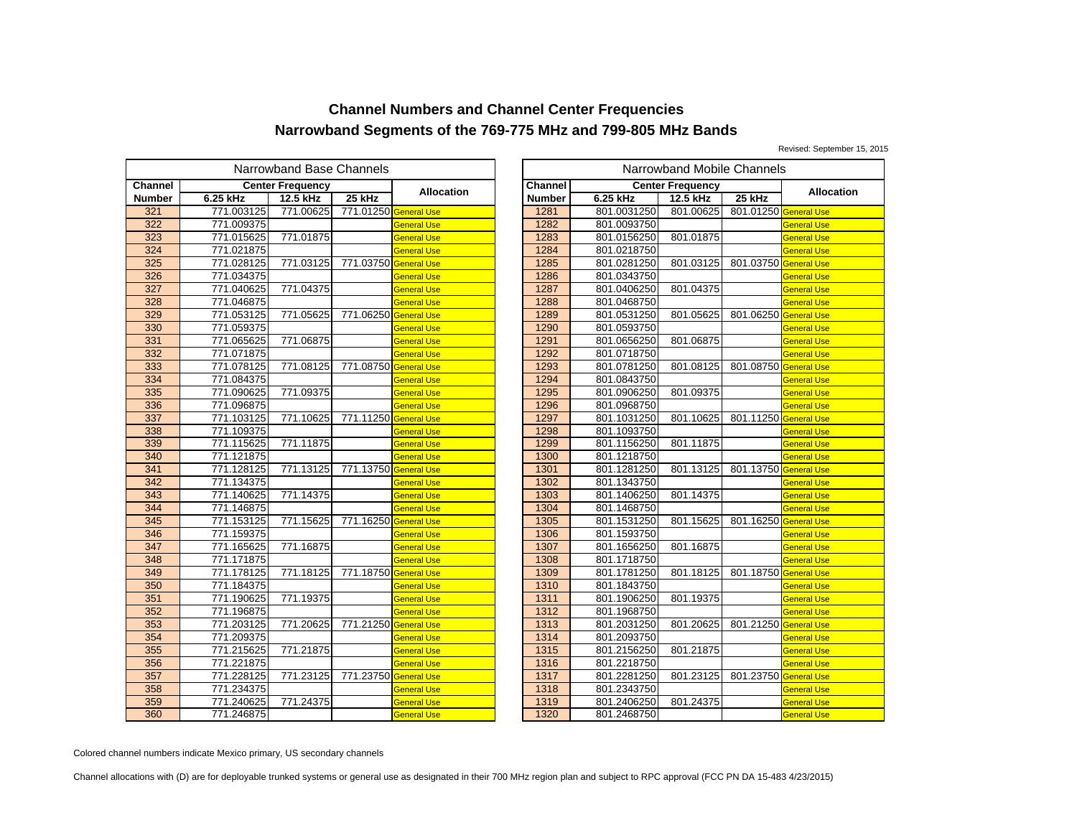Revised: September 15, 2015

|               |            | Narrowband Base Channels |                       |                    |                |             | Narrowband Mobile Channels |           |
|---------------|------------|--------------------------|-----------------------|--------------------|----------------|-------------|----------------------------|-----------|
| Channel       |            | <b>Center Frequency</b>  |                       |                    | <b>Channel</b> |             | <b>Center Frequency</b>    |           |
| <b>Number</b> | 6.25 kHz   | 12.5 kHz                 | 25 kHz                | <b>Allocation</b>  | <b>Number</b>  | 6.25 kHz    | 12.5 kHz                   | 25 kHz    |
| 321           | 771.003125 | 771.00625                | 771.01250 General Use |                    | 1281           | 801.0031250 | 801.00625                  | 801.01250 |
| 322           | 771.009375 |                          |                       | <b>General Use</b> | 1282           | 801.0093750 |                            |           |
| 323           | 771.015625 | 771.01875                |                       | General Use        | 1283           | 801.0156250 | 801.01875                  |           |
| 324           | 771.021875 |                          |                       | <b>General Use</b> | 1284           | 801.0218750 |                            |           |
| 325           | 771.028125 | 771.03125                | 771.03750 General Use |                    | 1285           | 801.0281250 | 801.03125                  | 801.03750 |
| 326           | 771.034375 |                          |                       | <b>General Use</b> | 1286           | 801.0343750 |                            |           |
| 327           | 771.040625 | 771.04375                |                       | General Use        | 1287           | 801.0406250 | 801.04375                  |           |
| 328           | 771.046875 |                          |                       | General Use        | 1288           | 801.0468750 |                            |           |
| 329           | 771.053125 | 771.05625                | 771.06250 General Use |                    | 1289           | 801.0531250 | 801.05625                  | 801.06250 |
| 330           | 771.059375 |                          |                       | General Use        | 1290           | 801.0593750 |                            |           |
| 331           | 771.065625 | 771.06875                |                       | General Use        | 1291           | 801.0656250 | 801.06875                  |           |
| 332           | 771.071875 |                          |                       | <b>General Use</b> | 1292           | 801.0718750 |                            |           |
| 333           | 771.078125 | 771.08125                | 771.08750 General Use |                    | 1293           | 801.0781250 | 801.08125                  | 801.08750 |
| 334           | 771.084375 |                          |                       | General Use        | 1294           | 801.0843750 |                            |           |
| 335           | 771.090625 | 771.09375                |                       | General Use        | 1295           | 801.0906250 | 801.09375                  |           |
| 336           | 771.096875 |                          |                       | <b>General Use</b> | 1296           | 801.0968750 |                            |           |
| 337           | 771.103125 | 771.10625                | 771.11250 General Use |                    | 1297           | 801.1031250 | 801.10625                  | 801.11250 |
| 338           | 771.109375 |                          |                       | General Use        | 1298           | 801.1093750 |                            |           |
| 339           | 771.115625 | 771.11875                |                       | General Use        | 1299           | 801.1156250 | 801.11875                  |           |
| 340           | 771.121875 |                          |                       | <b>General Use</b> | 1300           | 801.1218750 |                            |           |
| 341           | 771.128125 | 771.13125                | 771.13750 General Use |                    | 1301           | 801.1281250 | 801.13125                  | 801.13750 |
| 342           | 771.134375 |                          |                       | General Use        | 1302           | 801.1343750 |                            |           |
| 343           | 771.140625 | 771.14375                |                       | General Use        | 1303           | 801.1406250 | 801.14375                  |           |
| 344           | 771.146875 |                          |                       | General Use        | 1304           | 801.1468750 |                            |           |
| 345           | 771.153125 | 771.15625                | 771.16250 General Use |                    | 1305           | 801.1531250 | 801.15625                  | 801.16250 |
| 346           | 771.159375 |                          |                       | General Use        | 1306           | 801.1593750 |                            |           |
| 347           | 771.165625 | 771.16875                |                       | <b>General Use</b> | 1307           | 801.1656250 | 801.16875                  |           |
| 348           | 771.171875 |                          |                       | <b>General Use</b> | 1308           | 801.1718750 |                            |           |
| 349           | 771.178125 | 771.18125                | 771.18750 General Use |                    | 1309           | 801.1781250 | 801.18125                  | 801.18750 |
| 350           | 771.184375 |                          |                       | General Use        | 1310           | 801.1843750 |                            |           |
| 351           | 771.190625 | 771.19375                |                       | General Use        | 1311           | 801.1906250 | 801.19375                  |           |
| 352           | 771.196875 |                          |                       | <b>General Use</b> | 1312           | 801.1968750 |                            |           |
| 353           | 771.203125 | 771.20625                | 771.21250 General Use |                    | 1313           | 801.2031250 | 801.20625                  | 801.21250 |
| 354           | 771.209375 |                          |                       | <b>General Use</b> | 1314           | 801.2093750 |                            |           |
| 355           | 771.215625 | 771.21875                |                       | General Use        | 1315           | 801.2156250 | 801.21875                  |           |
| 356           | 771.221875 |                          |                       | General Use        | 1316           | 801.2218750 |                            |           |
| 357           | 771.228125 | 771.23125                | 771.23750 General Use |                    | 1317           | 801.2281250 | 801.23125                  | 801.23750 |
| 358           | 771.234375 |                          |                       | General Use        | 1318           | 801.2343750 |                            |           |
| 359           | 771.240625 | 771.24375                |                       | General Use        | 1319           | 801.2406250 | 801.24375                  |           |
| 360           | 771.246875 |                          |                       | <b>General Use</b> | 1320           | 801.2468750 |                            |           |

|               | owband Base Channels |                       |                    |               |             | Narrowband Mobile Channels |                       |                    |
|---------------|----------------------|-----------------------|--------------------|---------------|-------------|----------------------------|-----------------------|--------------------|
|               | iter Frequency       |                       |                    | Channel       |             | <b>Center Frequency</b>    |                       |                    |
|               | 12.5 kHz             | 25 kHz                | Allocation         | <b>Number</b> | 6.25 kHz    | 12.5 kHz                   | 25 kHz                | <b>Allocation</b>  |
| 5             | 771.00625            | 771.01250 General Use |                    | 1281          | 801.0031250 | 801.00625                  | 801.01250 General Use |                    |
| 5             |                      |                       | <b>General Use</b> | 1282          | 801.0093750 |                            |                       | <b>General Use</b> |
|               | 771.01875            |                       | <b>General Use</b> | 1283          | 801.0156250 | 801.01875                  |                       | <b>General Use</b> |
| $\frac{5}{5}$ |                      |                       | <b>General Use</b> | 1284          | 801.0218750 |                            |                       | <b>General Use</b> |
|               | 771.03125            | 771.03750 General Use |                    | 1285          | 801.0281250 | 801.03125                  | 801.03750 General Use |                    |
| $\frac{5}{5}$ |                      |                       | <b>General Use</b> | 1286          | 801.0343750 |                            |                       | <b>General Use</b> |
| 5             | 771.04375            |                       | <b>General Use</b> | 1287          | 801.0406250 | 801.04375                  |                       | <b>General Use</b> |
|               |                      |                       | <b>General Use</b> | 1288          | 801.0468750 |                            |                       | <b>General Use</b> |
| $rac{5}{5}$   | 771.05625            | 771.06250 General Use |                    | 1289          | 801.0531250 | 801.05625                  | 801.06250 General Use |                    |
|               |                      |                       | <b>General Use</b> | 1290          | 801.0593750 |                            |                       | <b>General Use</b> |
| $\frac{5}{5}$ | 771.06875            |                       | <b>General Use</b> | 1291          | 801.0656250 | 801.06875                  |                       | <b>General Use</b> |
| 5             |                      |                       | <b>General Use</b> | 1292          | 801.0718750 |                            |                       | <b>General Use</b> |
|               | 771.08125            | 771.08750 General Use |                    | 1293          | 801.0781250 | 801.08125                  | 801.08750 General Use |                    |
| $rac{5}{5}$   |                      |                       | <b>General Use</b> | 1294          | 801.0843750 |                            |                       | <b>General Use</b> |
|               | 771.09375            |                       | <b>General Use</b> | 1295          | 801.0906250 | 801.09375                  |                       | <b>General Use</b> |
| $\frac{5}{5}$ |                      |                       | <b>General Use</b> | 1296          | 801.0968750 |                            |                       | <b>General Use</b> |
| 5             | 771.10625            | 771.11250 General Use |                    | 1297          | 801.1031250 | 801.10625                  | 801.11250 General Use |                    |
|               |                      |                       | <b>General Use</b> | 1298          | 801.1093750 |                            |                       | <b>General Use</b> |
| $\frac{5}{5}$ | 771.11875            |                       | <b>General Use</b> | 1299          | 801.1156250 | 801.11875                  |                       | <b>General Use</b> |
|               |                      |                       | <b>General Use</b> | 1300          | 801.1218750 |                            |                       | <b>General Use</b> |
| $rac{5}{5}$   | 771.13125            | 771.13750 General Use |                    | 1301          | 801.1281250 | 801.13125                  | 801.13750 General Use |                    |
|               |                      |                       | <b>General Use</b> | 1302          | 801.1343750 |                            |                       | <b>General Use</b> |
| $\frac{5}{5}$ | 771.14375            |                       | <b>General Use</b> | 1303          | 801.1406250 | 801.14375                  |                       | <b>General Use</b> |
|               |                      |                       | <b>General Use</b> | 1304          | 801.1468750 |                            |                       | <b>General Use</b> |
| $\frac{5}{5}$ | 771.15625            | 771.16250 General Use |                    | 1305          | 801.1531250 | 801.15625                  | 801.16250 General Use |                    |
|               |                      |                       | <b>General Use</b> | 1306          | 801.1593750 |                            |                       | <b>General Use</b> |
| 5             | 771.16875            |                       | <b>General Use</b> | 1307          | 801.1656250 | 801.16875                  |                       | <b>General Use</b> |
| $rac{5}{5}$   |                      |                       | <b>General Use</b> | 1308          | 801.1718750 |                            |                       | <b>General Use</b> |
|               | 771.18125            | 771.18750 General Use |                    | 1309          | 801.1781250 | 801.18125                  | 801.18750 General Use |                    |
|               |                      |                       | <b>General Use</b> | 1310          | 801.1843750 |                            |                       | <b>General Use</b> |
| $rac{5}{5}$   | 771.19375            |                       | <b>General Use</b> | 1311          | 801.1906250 | 801.19375                  |                       | <b>General Use</b> |
| 5             |                      |                       | <b>General Use</b> | 1312          | 801.1968750 |                            |                       | <b>General Use</b> |
| $\frac{5}{5}$ | 771.20625            | 771.21250 General Use |                    | 1313          | 801.2031250 | 801.20625                  | 801.21250 General Use |                    |
|               |                      |                       | <b>General Use</b> | 1314          | 801.2093750 |                            |                       | <b>General Use</b> |
| 5             | 771.21875            |                       | <b>General Use</b> | 1315          | 801.2156250 | 801.21875                  |                       | <b>General Use</b> |
| $\frac{5}{5}$ |                      |                       | <b>General Use</b> | 1316          | 801.2218750 |                            |                       | <b>General Use</b> |
|               | 771.23125            | 771.23750 General Use |                    | 1317          | 801.2281250 | 801.23125                  | 801.23750 General Use |                    |
|               |                      |                       | <b>General Use</b> | 1318          | 801.2343750 |                            |                       | <b>General Use</b> |
| $\frac{5}{5}$ | 771.24375            |                       | <b>General Use</b> | 1319          | 801.2406250 | 801.24375                  |                       | General Use        |
|               |                      |                       | <b>General Use</b> | 1320          | 801.2468750 |                            |                       | <b>General Use</b> |

Colored channel numbers indicate Mexico primary, US secondary channels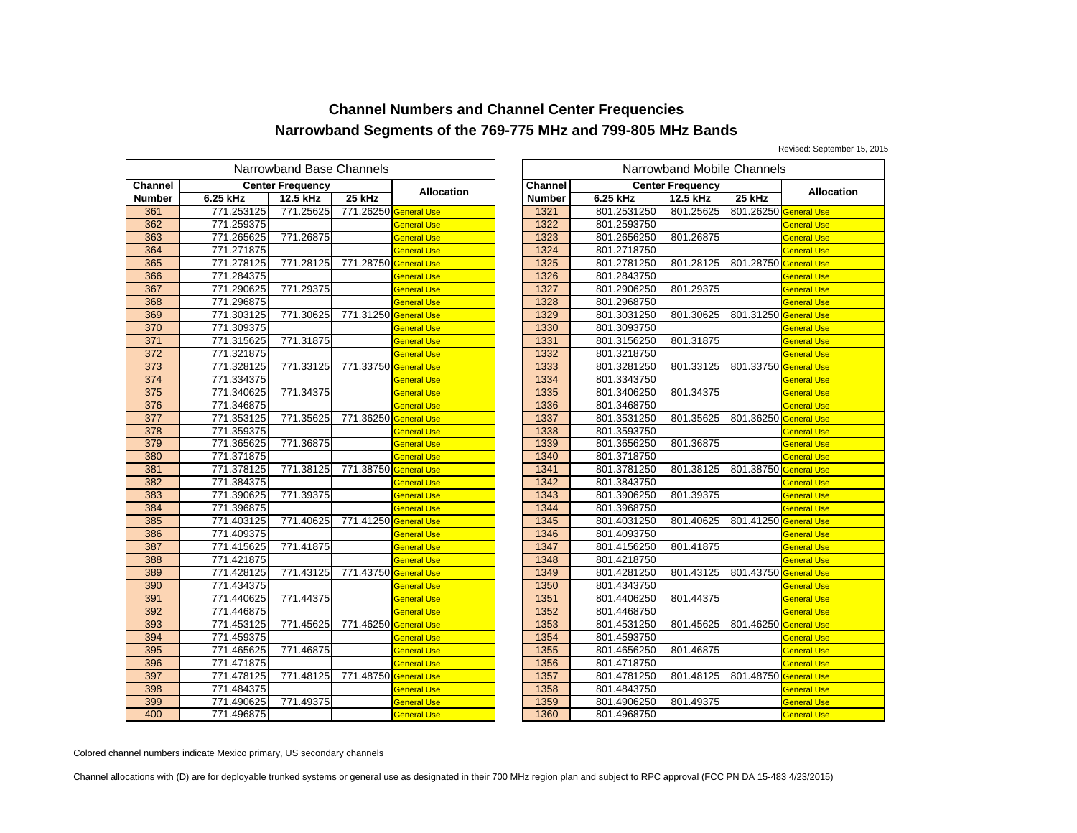Revised: September 15, 2015

|               |            | Narrowband Base Channels |                       |                    |                |             | Narrowband Mobile Channels |           |
|---------------|------------|--------------------------|-----------------------|--------------------|----------------|-------------|----------------------------|-----------|
| Channel       |            | <b>Center Frequency</b>  |                       |                    | <b>Channel</b> |             | <b>Center Frequency</b>    |           |
| <b>Number</b> | 6.25 kHz   | 12.5 kHz                 | 25 kHz                | <b>Allocation</b>  | <b>Number</b>  | 6.25 kHz    | 12.5 kHz                   | 25 kHz    |
| 361           | 771.253125 | 771.25625                | 771.26250 General Use |                    | 1321           | 801.2531250 | 801.25625                  | 801.26250 |
| 362           | 771.259375 |                          |                       | <b>General Use</b> | 1322           | 801.2593750 |                            |           |
| 363           | 771.265625 | 771.26875                |                       | General Use        | 1323           | 801.2656250 | 801.26875                  |           |
| 364           | 771.271875 |                          |                       | <b>General Use</b> | 1324           | 801.2718750 |                            |           |
| 365           | 771.278125 | 771.28125                | 771.28750 General Use |                    | 1325           | 801.2781250 | 801.28125                  | 801.28750 |
| 366           | 771.284375 |                          |                       | <b>General Use</b> | 1326           | 801.2843750 |                            |           |
| 367           | 771.290625 | 771.29375                |                       | General Use        | 1327           | 801.2906250 | 801.29375                  |           |
| 368           | 771.296875 |                          |                       | <b>General Use</b> | 1328           | 801.2968750 |                            |           |
| 369           | 771.303125 | 771.30625                | 771.31250 General Use |                    | 1329           | 801.3031250 | 801.30625                  | 801.31250 |
| 370           | 771.309375 |                          |                       | General Use        | 1330           | 801.3093750 |                            |           |
| 371           | 771.315625 | 771.31875                |                       | General Use        | 1331           | 801.3156250 | 801.31875                  |           |
| 372           | 771.321875 |                          |                       | <b>General Use</b> | 1332           | 801.3218750 |                            |           |
| 373           | 771.328125 | 771.33125                | 771.33750 General Use |                    | 1333           | 801.3281250 | 801.33125                  | 801.33750 |
| 374           | 771.334375 |                          |                       | General Use        | 1334           | 801.3343750 |                            |           |
| 375           | 771.340625 | 771.34375                |                       | General Use        | 1335           | 801.3406250 | 801.34375                  |           |
| 376           | 771.346875 |                          |                       | <b>General Use</b> | 1336           | 801.3468750 |                            |           |
| 377           | 771.353125 | 771.35625                | 771.36250 General Use |                    | 1337           | 801.3531250 | 801.35625                  | 801.36250 |
| 378           | 771.359375 |                          |                       | General Use        | 1338           | 801.3593750 |                            |           |
| 379           | 771.365625 | 771.36875                |                       | General Use        | 1339           | 801.3656250 | 801.36875                  |           |
| 380           | 771.371875 |                          |                       | <b>General Use</b> | 1340           | 801.3718750 |                            |           |
| 381           | 771.378125 | 771.38125                | 771.38750 General Use |                    | 1341           | 801.3781250 | 801.38125                  | 801.38750 |
| 382           | 771.384375 |                          |                       | General Use        | 1342           | 801.3843750 |                            |           |
| 383           | 771.390625 | 771.39375                |                       | General Use        | 1343           | 801.3906250 | 801.39375                  |           |
| 384           | 771.396875 |                          |                       | General Use        | 1344           | 801.3968750 |                            |           |
| 385           | 771.403125 | 771.40625                | 771.41250 General Use |                    | 1345           | 801.4031250 | 801.40625                  | 801.41250 |
| 386           | 771.409375 |                          |                       | General Use        | 1346           | 801.4093750 |                            |           |
| 387           | 771.415625 | 771.41875                |                       | <b>General Use</b> | 1347           | 801.4156250 | 801.41875                  |           |
| 388           | 771.421875 |                          |                       | <b>General Use</b> | 1348           | 801.4218750 |                            |           |
| 389           | 771.428125 | 771.43125                | 771.43750 General Use |                    | 1349           | 801.4281250 | 801.43125                  | 801.43750 |
| 390           | 771.434375 |                          |                       | General Use        | 1350           | 801.4343750 |                            |           |
| 391           | 771.440625 | 771.44375                |                       | General Use        | 1351           | 801.4406250 | 801.44375                  |           |
| 392           | 771.446875 |                          |                       | <b>General Use</b> | 1352           | 801.4468750 |                            |           |
| 393           | 771.453125 | 771.45625                | 771.46250 General Use |                    | 1353           | 801.4531250 | 801.45625                  | 801.46250 |
| 394           | 771.459375 |                          |                       | <b>General Use</b> | 1354           | 801.4593750 |                            |           |
| 395           | 771.465625 | 771.46875                |                       | General Use        | 1355           | 801.4656250 | 801.46875                  |           |
| 396           | 771.471875 |                          |                       | General Use        | 1356           | 801.4718750 |                            |           |
| 397           | 771.478125 | 771.48125                | 771.48750 General Use |                    | 1357           | 801.4781250 | 801.48125                  | 801.48750 |
| 398           | 771.484375 |                          |                       | General Use        | 1358           | 801.4843750 |                            |           |
| 399           | 771.490625 | 771.49375                |                       | General Use        | 1359           | 801.4906250 | 801.49375                  |           |
| 400           | 771.496875 |                          |                       | <b>General Use</b> | 1360           | 801.4968750 |                            |           |

|               | owband Base Channels |                       |                    | Narrowband Mobile Channels |             |                         |                       |                    |
|---------------|----------------------|-----------------------|--------------------|----------------------------|-------------|-------------------------|-----------------------|--------------------|
|               | iter Frequency       |                       |                    | Channel                    |             | <b>Center Frequency</b> |                       |                    |
|               | 12.5 kHz             | 25 kHz                | <b>Allocation</b>  | <b>Number</b>              | 6.25 kHz    | 12.5 kHz                | 25 kHz                | <b>Allocation</b>  |
| 5             | 771.25625            | 771.26250 General Use |                    | 1321                       | 801.2531250 | 801.25625               | 801.26250 General Use |                    |
| 5             |                      |                       | <b>General Use</b> | 1322                       | 801.2593750 |                         |                       | <b>General Use</b> |
| 5             | 771.26875            |                       | <b>General Use</b> | 1323                       | 801.2656250 | 801.26875               |                       | <b>General Use</b> |
|               |                      |                       | <b>General Use</b> | 1324                       | 801.2718750 |                         |                       | <b>General Use</b> |
| $\frac{5}{5}$ | 771.28125            | 771.28750 General Use |                    | 1325                       | 801.2781250 | 801.28125               | 801.28750 General Use |                    |
|               |                      |                       | <b>General Use</b> | 1326                       | 801.2843750 |                         |                       | <b>General Use</b> |
| 5             | 771.29375            |                       | <b>General Use</b> | 1327                       | 801.2906250 | 801.29375               |                       | <b>General Use</b> |
|               |                      |                       | <b>General Use</b> | 1328                       | 801.2968750 |                         |                       | <b>General Use</b> |
| $rac{5}{5}$   | 771.30625            | 771.31250 General Use |                    | 1329                       | 801.3031250 | 801.30625               | 801.31250 General Use |                    |
|               |                      |                       | <b>General Use</b> | 1330                       | 801.3093750 |                         |                       | <b>General Use</b> |
| $rac{5}{5}$   | 771.31875            |                       | <b>General Use</b> | 1331                       | 801.3156250 | 801.31875               |                       | <b>General Use</b> |
| 5             |                      |                       | <b>General Use</b> | 1332                       | 801.3218750 |                         |                       | <b>General Use</b> |
|               | 771.33125            | 771.33750 General Use |                    | 1333                       | 801.3281250 | 801.33125               | 801.33750 General Use |                    |
| $rac{5}{5}$   |                      |                       | <b>General Use</b> | 1334                       | 801.3343750 |                         |                       | <b>General Use</b> |
| $\frac{5}{5}$ | 771.34375            |                       | <b>General Use</b> | 1335                       | 801.3406250 | 801.34375               |                       | <b>General Use</b> |
|               |                      |                       | <b>General Use</b> | 1336                       | 801.3468750 |                         |                       | <b>General Use</b> |
|               | 771.35625            | 771.36250 General Use |                    | 1337                       | 801.3531250 | 801.35625               | 801.36250 General Use |                    |
|               |                      |                       | <b>General Use</b> | 1338                       | 801.3593750 |                         |                       | General Use        |
| $rac{5}{5}$   | 771.36875            |                       | <b>General Use</b> | 1339                       | 801.3656250 | 801.36875               |                       | <b>General Use</b> |
| 5             |                      |                       | <b>General Use</b> | 1340                       | 801.3718750 |                         |                       | <b>General Use</b> |
|               | 771.38125            | 771.38750 General Use |                    | 1341                       | 801.3781250 | 801.38125               | 801.38750 General Use |                    |
| $\frac{5}{5}$ |                      |                       | <b>General Use</b> | 1342                       | 801.3843750 |                         |                       | <b>General Use</b> |
|               | 771.39375            |                       | <b>General Use</b> | 1343                       | 801.3906250 | 801.39375               |                       | <b>General Use</b> |
| $\frac{5}{5}$ |                      |                       | <b>General Use</b> | 1344                       | 801.3968750 |                         |                       | <b>General Use</b> |
|               | 771.40625            | 771.41250 General Use |                    | 1345                       | 801.4031250 | 801.40625               | 801.41250 General Use |                    |
| $\frac{5}{5}$ |                      |                       | <b>General Use</b> | 1346                       | 801.4093750 |                         |                       | <b>General Use</b> |
|               | 771.41875            |                       | <b>General Use</b> | 1347                       | 801.4156250 | 801.41875               |                       | <b>General Use</b> |
|               |                      |                       | <b>General Use</b> | 1348                       | 801.4218750 |                         |                       | <b>General Use</b> |
| $\frac{5}{5}$ | 771.43125            | 771.43750 General Use |                    | 1349                       | 801.4281250 | 801.43125               | 801.43750 General Use |                    |
|               |                      |                       | <b>General Use</b> | 1350                       | 801.4343750 |                         |                       | <b>General Use</b> |
| $\frac{5}{5}$ | 771.44375            |                       | <b>General Use</b> | 1351                       | 801.4406250 | 801.44375               |                       | <b>General Use</b> |
|               |                      |                       | <b>General Use</b> | 1352                       | 801.4468750 |                         |                       | <b>General Use</b> |
| 5             | 771.45625            | 771.46250 General Use |                    | 1353                       | 801.4531250 | 801.45625               | 801.46250 General Use |                    |
| 5             |                      |                       | <b>General Use</b> | 1354                       | 801.4593750 |                         |                       | <b>General Use</b> |
| 5             | 771.46875            |                       | <b>General Use</b> | 1355                       | 801.4656250 | 801.46875               |                       | <b>General Use</b> |
|               |                      |                       | <b>General Use</b> | 1356                       | 801.4718750 |                         |                       | <b>General Use</b> |
| $\frac{5}{5}$ | 771.48125            | 771.48750 General Use |                    | 1357                       | 801.4781250 | 801.48125               | 801.48750 General Use |                    |
| 5             |                      |                       | <b>General Use</b> | 1358                       | 801.4843750 |                         |                       | <b>General Use</b> |
| $\frac{5}{5}$ | 771.49375            |                       | <b>General Use</b> | 1359                       | 801.4906250 | 801.49375               |                       | <b>General Use</b> |
|               |                      |                       | <b>General Use</b> | 1360                       | 801.4968750 |                         |                       | <b>General Use</b> |

Colored channel numbers indicate Mexico primary, US secondary channels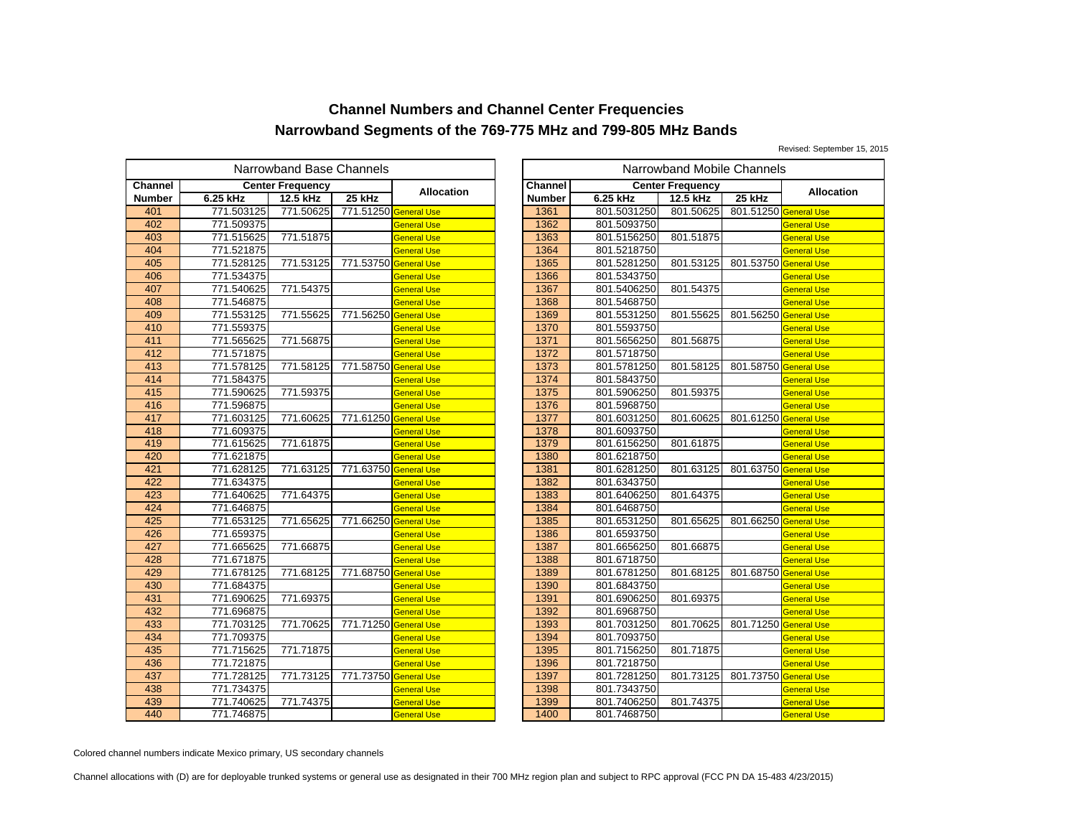Revised: September 15, 2015

|               |            | Narrowband Base Channels |                       |                    |                |             | Narrowband Mobile Channels |           |
|---------------|------------|--------------------------|-----------------------|--------------------|----------------|-------------|----------------------------|-----------|
| Channel       |            | <b>Center Frequency</b>  |                       | <b>Allocation</b>  | <b>Channel</b> |             | <b>Center Frequency</b>    |           |
| <b>Number</b> | 6.25 kHz   | 12.5 kHz                 | 25 kHz                |                    | <b>Number</b>  | 6.25 kHz    | 12.5 kHz                   | 25 kHz    |
| 401           | 771.503125 | 771.50625                | 771.51250 General Use |                    | 1361           | 801.5031250 | 801.50625                  | 801.51250 |
| 402           | 771.509375 |                          |                       | <b>General Use</b> | 1362           | 801.5093750 |                            |           |
| 403           | 771.515625 | 771.51875                |                       | General Use        | 1363           | 801.5156250 | 801.51875                  |           |
| 404           | 771.521875 |                          |                       | <b>General Use</b> | 1364           | 801.5218750 |                            |           |
| 405           | 771.528125 | 771.53125                | 771.53750 General Use |                    | 1365           | 801.5281250 | 801.53125                  | 801.53750 |
| 406           | 771.534375 |                          |                       | General Use        | 1366           | 801.5343750 |                            |           |
| 407           | 771.540625 | 771.54375                |                       | General Use        | 1367           | 801.5406250 | 801.54375                  |           |
| 408           | 771.546875 |                          |                       | <b>General Use</b> | 1368           | 801.5468750 |                            |           |
| 409           | 771.553125 | 771.55625                | 771.56250 General Use |                    | 1369           | 801.5531250 | 801.55625                  | 801.56250 |
| 410           | 771.559375 |                          |                       | General Use        | 1370           | 801.5593750 |                            |           |
| 411           | 771.565625 | 771.56875                |                       | General Use        | 1371           | 801.5656250 | 801.56875                  |           |
| 412           | 771.571875 |                          |                       | <b>General Use</b> | 1372           | 801.5718750 |                            |           |
| 413           | 771.578125 | 771.58125                | 771.58750 General Use |                    | 1373           | 801.5781250 | 801.58125                  | 801.58750 |
| 414           | 771.584375 |                          |                       | General Use        | 1374           | 801.5843750 |                            |           |
| 415           | 771.590625 | 771.59375                |                       | General Use        | 1375           | 801.5906250 | 801.59375                  |           |
| 416           | 771.596875 |                          |                       | <b>General Use</b> | 1376           | 801.5968750 |                            |           |
| 417           | 771.603125 | 771.60625                | 771.61250 General Use |                    | 1377           | 801.6031250 | 801.60625                  | 801.61250 |
| 418           | 771.609375 |                          |                       | General Use        | 1378           | 801.6093750 |                            |           |
| 419           | 771.615625 | 771.61875                |                       | General Use        | 1379           | 801.6156250 | 801.61875                  |           |
| 420           | 771.621875 |                          |                       | <b>General Use</b> | 1380           | 801.6218750 |                            |           |
| 421           | 771.628125 | 771.63125                | 771.63750 General Use |                    | 1381           | 801.6281250 | 801.63125                  | 801.63750 |
| 422           | 771.634375 |                          |                       | General Use        | 1382           | 801.6343750 |                            |           |
| 423           | 771.640625 | 771.64375                |                       | <b>General Use</b> | 1383           | 801.6406250 | 801.64375                  |           |
| 424           | 771.646875 |                          |                       | <b>General Use</b> | 1384           | 801.6468750 |                            |           |
| 425           | 771.653125 | 771.65625                | 771.66250 General Use |                    | 1385           | 801.6531250 | 801.65625                  | 801.66250 |
| 426           | 771.659375 |                          |                       | General Use        | 1386           | 801.6593750 |                            |           |
| 427           | 771.665625 | 771.66875                |                       | <b>General Use</b> | 1387           | 801.6656250 | 801.66875                  |           |
| 428           | 771.671875 |                          |                       | <b>General Use</b> | 1388           | 801.6718750 |                            |           |
| 429           | 771.678125 | 771.68125                | 771.68750 General Use |                    | 1389           | 801.6781250 | 801.68125                  | 801.68750 |
| 430           | 771.684375 |                          |                       | <b>General Use</b> | 1390           | 801.6843750 |                            |           |
| 431           | 771.690625 | 771.69375                |                       | <b>General Use</b> | 1391           | 801.6906250 | 801.69375                  |           |
| 432           | 771.696875 |                          |                       | <b>General Use</b> | 1392           | 801.6968750 |                            |           |
| 433           | 771.703125 | 771.70625                | 771.71250 General Use |                    | 1393           | 801.7031250 | 801.70625                  | 801.71250 |
| 434           | 771.709375 |                          |                       | <b>General Use</b> | 1394           | 801.7093750 |                            |           |
| 435           | 771.715625 | 771.71875                |                       | General Use        | 1395           | 801.7156250 | 801.71875                  |           |
| 436           | 771.721875 |                          |                       | <b>General Use</b> | 1396           | 801.7218750 |                            |           |
| 437           | 771.728125 | 771.73125                | 771.73750 General Use |                    | 1397           | 801.7281250 | 801.73125                  | 801.73750 |
| 438           | 771.734375 |                          |                       | <b>General Use</b> | 1398           | 801.7343750 |                            |           |
| 439           | 771.740625 | 771.74375                |                       | General Use        | 1399           | 801.7406250 | 801.74375                  |           |
| 440           | 771.746875 |                          |                       | <b>General Use</b> | 1400           | 801.7468750 |                            |           |

| owband Base Channels                      |                |                       |                    |               | Narrowband Mobile Channels |                         |                       |                    |  |  |  |  |
|-------------------------------------------|----------------|-----------------------|--------------------|---------------|----------------------------|-------------------------|-----------------------|--------------------|--|--|--|--|
|                                           | ıter Frequencv |                       |                    | Channel       |                            | <b>Center Frequency</b> |                       |                    |  |  |  |  |
|                                           | 12.5 kHz       | 25 kHz                | <b>Allocation</b>  | <b>Number</b> | 6.25 kHz                   | 12.5 kHz                | 25 kHz                | <b>Allocation</b>  |  |  |  |  |
|                                           | 771.50625      | 771.51250 General Use |                    | 1361          | 801.5031250                | 801.50625               | 801.51250 General Use |                    |  |  |  |  |
| $\frac{5}{5}$ $\frac{5}{5}$ $\frac{5}{5}$ |                |                       | <b>General Use</b> | 1362          | 801.5093750                |                         |                       | <b>General Use</b> |  |  |  |  |
|                                           | 771.51875      |                       | <b>General Use</b> | 1363          | 801.5156250                | 801.51875               |                       | <b>General Use</b> |  |  |  |  |
|                                           |                |                       | <b>General Use</b> | 1364          | 801.5218750                |                         |                       | <b>General Use</b> |  |  |  |  |
|                                           | 771.53125      | 771.53750 General Use |                    | 1365          | 801.5281250                | 801.53125               | 801.53750 General Use |                    |  |  |  |  |
| 5                                         |                |                       | <b>General Use</b> | 1366          | 801.5343750                |                         |                       | <b>General Use</b> |  |  |  |  |
|                                           | 771.54375      |                       | <b>General Use</b> | 1367          | 801.5406250                | 801.54375               |                       | <b>General Use</b> |  |  |  |  |
|                                           |                |                       | <b>General Use</b> | 1368          | 801.5468750                |                         |                       | <b>General Use</b> |  |  |  |  |
|                                           | 771.55625      | 771.56250 General Use |                    | 1369          | 801.5531250                | 801.55625               | 801.56250 General Use |                    |  |  |  |  |
| 5<br>5<br>5<br>5<br>5<br>5                |                |                       | <b>General Use</b> | 1370          | 801.5593750                |                         |                       | <b>General Use</b> |  |  |  |  |
|                                           | 771.56875      |                       | <b>General Use</b> | 1371          | 801.5656250                | 801.56875               |                       | <b>General Use</b> |  |  |  |  |
|                                           |                |                       | <b>General Use</b> | 1372          | 801.5718750                |                         |                       | <b>General Use</b> |  |  |  |  |
| $rac{5}{5}$                               | 771.58125      | 771.58750 General Use |                    | 1373          | 801.5781250                | 801.58125               | 801.58750 General Use |                    |  |  |  |  |
| 5                                         |                |                       | <b>General Use</b> | 1374          | 801.5843750                |                         |                       | <b>General Use</b> |  |  |  |  |
|                                           | 771.59375      |                       | <b>General Use</b> | 1375          | 801.5906250                | 801.59375               |                       | <b>General Use</b> |  |  |  |  |
| $\frac{5}{5}$                             |                |                       | <b>General Use</b> | 1376          | 801.5968750                |                         |                       | <b>General Use</b> |  |  |  |  |
| 5                                         | 771.60625      | 771.61250 General Use |                    | 1377          | 801.6031250                | 801.60625               | 801.61250 General Use |                    |  |  |  |  |
|                                           |                |                       | <b>General Use</b> | 1378          | 801.6093750                |                         |                       | <b>General Use</b> |  |  |  |  |
| $\frac{5}{5}$<br>$\frac{5}{5}$            | 771.61875      |                       | <b>General Use</b> | 1379          | 801.6156250                | 801.61875               |                       | <b>General Use</b> |  |  |  |  |
|                                           |                |                       | <b>General Use</b> | 1380          | 801.6218750                |                         |                       | <b>General Use</b> |  |  |  |  |
|                                           | 771.63125      | 771.63750 General Use |                    | 1381          | 801.6281250                | 801.63125               | 801.63750 General Use |                    |  |  |  |  |
|                                           |                |                       | <b>General Use</b> | 1382          | 801.6343750                |                         |                       | <b>General Use</b> |  |  |  |  |
| $\frac{5}{5}$ $\frac{5}{5}$ $\frac{5}{5}$ | 771.64375      |                       | <b>General Use</b> | 1383          | 801.6406250                | 801.64375               |                       | <b>General Use</b> |  |  |  |  |
|                                           |                |                       | <b>General Use</b> | 1384          | 801.6468750                |                         |                       | <b>General Use</b> |  |  |  |  |
|                                           | 771.65625      | 771.66250 General Use |                    | 1385          | 801.6531250                | 801.65625               | 801.66250 General Use |                    |  |  |  |  |
|                                           |                |                       | <b>General Use</b> | 1386          | 801.6593750                |                         |                       | <b>General Use</b> |  |  |  |  |
| 5                                         | 771.66875      |                       | <b>General Use</b> | 1387          | 801.6656250                | 801.66875               |                       | <b>General Use</b> |  |  |  |  |
| $\frac{5}{5}$                             |                |                       | <b>General Use</b> | 1388          | 801.6718750                |                         |                       | <b>General Use</b> |  |  |  |  |
|                                           | 771.68125      | 771.68750 General Use |                    | 1389          | 801.6781250                | 801.68125               | 801.68750 General Use |                    |  |  |  |  |
|                                           |                |                       | <b>General Use</b> | 1390          | 801.6843750                |                         |                       | <b>General Use</b> |  |  |  |  |
| $\frac{5}{5}$                             | 771.69375      |                       | <b>General Use</b> | 1391          | 801.6906250                | 801.69375               |                       | <b>General Use</b> |  |  |  |  |
|                                           |                |                       | <b>General Use</b> | 1392          | 801.6968750                |                         |                       | <b>General Use</b> |  |  |  |  |
|                                           | 771.70625      | 771.71250 General Use |                    | 1393          | 801.7031250                | 801.70625               | 801.71250 General Use |                    |  |  |  |  |
| 5                                         |                |                       | <b>General Use</b> | 1394          | 801.7093750                |                         |                       | <b>General Use</b> |  |  |  |  |
|                                           | 771.71875      |                       | <b>General Use</b> | 1395          | 801.7156250                | 801.71875               |                       | <b>General Use</b> |  |  |  |  |
| $\frac{5}{5}$                             |                |                       | <b>General Use</b> | 1396          | 801.7218750                |                         |                       | <b>General Use</b> |  |  |  |  |
|                                           | 771.73125      | 771.73750 General Use |                    | 1397          | 801.7281250                | 801.73125               | 801.73750 General Use |                    |  |  |  |  |
| 5                                         |                |                       | <b>General Use</b> | 1398          | 801.7343750                |                         |                       | <b>General Use</b> |  |  |  |  |
| $\frac{5}{5}$                             | 771.74375      |                       | <b>General Use</b> | 1399          | 801.7406250                | 801.74375               |                       | <b>General Use</b> |  |  |  |  |
|                                           |                |                       | <b>General Use</b> | 1400          | 801.7468750                |                         |                       | <b>General Use</b> |  |  |  |  |

Colored channel numbers indicate Mexico primary, US secondary channels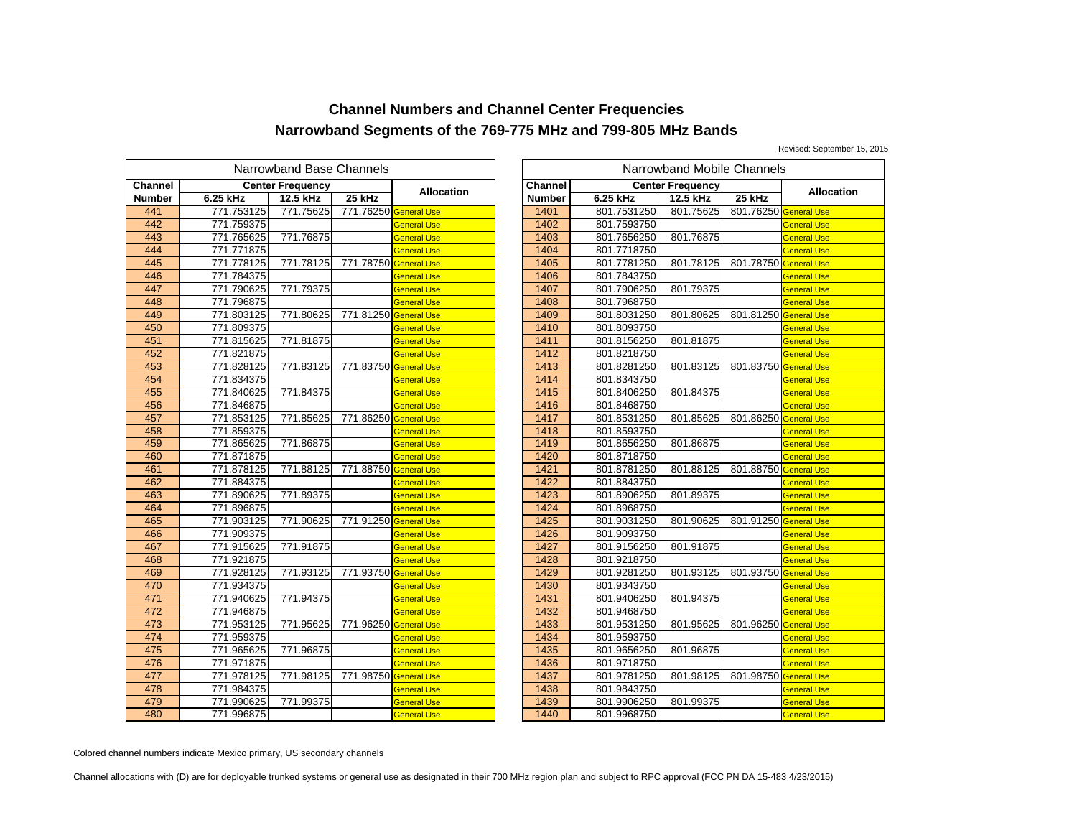Revised: September 15, 2015

|               |            | Narrowband Base Channels |                       |                    |                |             | Narrowband Mobile Channels |           |
|---------------|------------|--------------------------|-----------------------|--------------------|----------------|-------------|----------------------------|-----------|
| Channel       |            | <b>Center Frequency</b>  |                       |                    | <b>Channel</b> |             | <b>Center Frequency</b>    |           |
| <b>Number</b> | 6.25 kHz   | 12.5 kHz                 | 25 kHz                | <b>Allocation</b>  | <b>Number</b>  | 6.25 kHz    | 12.5 kHz                   | 25 kHz    |
| 441           | 771.753125 | 771.75625                | 771.76250 General Use |                    | 1401           | 801.7531250 | 801.75625                  | 801.76250 |
| 442           | 771.759375 |                          |                       | <b>General Use</b> | 1402           | 801.7593750 |                            |           |
| 443           | 771.765625 | 771.76875                |                       | General Use        | 1403           | 801.7656250 | 801.76875                  |           |
| 444           | 771.771875 |                          |                       | <b>General Use</b> | 1404           | 801.7718750 |                            |           |
| 445           | 771.778125 | 771.78125                | 771.78750 General Use |                    | 1405           | 801.7781250 | 801.78125                  | 801.78750 |
| 446           | 771.784375 |                          |                       | <b>General Use</b> | 1406           | 801.7843750 |                            |           |
| 447           | 771.790625 | 771.79375                |                       | General Use        | 1407           | 801.7906250 | 801.79375                  |           |
| 448           | 771.796875 |                          |                       | General Use        | 1408           | 801.7968750 |                            |           |
| 449           | 771.803125 | 771.80625                | 771.81250 General Use |                    | 1409           | 801.8031250 | 801.80625                  | 801.81250 |
| 450           | 771.809375 |                          |                       | General Use        | 1410           | 801.8093750 |                            |           |
| 451           | 771.815625 | 771.81875                |                       | General Use        | 1411           | 801.8156250 | 801.81875                  |           |
| 452           | 771.821875 |                          |                       | <b>General Use</b> | 1412           | 801.8218750 |                            |           |
| 453           | 771.828125 | 771.83125                | 771.83750 General Use |                    | 1413           | 801.8281250 | 801.83125                  | 801.83750 |
| 454           | 771.834375 |                          |                       | General Use        | 1414           | 801.8343750 |                            |           |
| 455           | 771.840625 | 771.84375                |                       | General Use        | 1415           | 801.8406250 | 801.84375                  |           |
| 456           | 771.846875 |                          |                       | <b>General Use</b> | 1416           | 801.8468750 |                            |           |
| 457           | 771.853125 | 771.85625                | 771.86250 General Use |                    | 1417           | 801.8531250 | 801.85625                  | 801.86250 |
| 458           | 771.859375 |                          |                       | General Use        | 1418           | 801.8593750 |                            |           |
| 459           | 771.865625 | 771.86875                |                       | General Use        | 1419           | 801.8656250 | 801.86875                  |           |
| 460           | 771.871875 |                          |                       | <b>General Use</b> | 1420           | 801.8718750 |                            |           |
| 461           | 771.878125 | 771.88125                | 771.88750 General Use |                    | 1421           | 801.8781250 | 801.88125                  | 801.88750 |
| 462           | 771.884375 |                          |                       | General Use        | 1422           | 801.8843750 |                            |           |
| 463           | 771.890625 | 771.89375                |                       | General Use        | 1423           | 801.8906250 | 801.89375                  |           |
| 464           | 771.896875 |                          |                       | General Use        | 1424           | 801.8968750 |                            |           |
| 465           | 771.903125 | 771.90625                | 771.91250 General Use |                    | 1425           | 801.9031250 | 801.90625                  | 801.91250 |
| 466           | 771.909375 |                          |                       | General Use        | 1426           | 801.9093750 |                            |           |
| 467           | 771.915625 | 771.91875                |                       | <b>General Use</b> | 1427           | 801.9156250 | 801.91875                  |           |
| 468           | 771.921875 |                          |                       | <b>General Use</b> | 1428           | 801.9218750 |                            |           |
| 469           | 771.928125 | 771.93125                | 771.93750 General Use |                    | 1429           | 801.9281250 | 801.93125                  | 801.93750 |
| 470           | 771.934375 |                          |                       | General Use        | 1430           | 801.9343750 |                            |           |
| 471           | 771.940625 | 771.94375                |                       | General Use        | 1431           | 801.9406250 | 801.94375                  |           |
| 472           | 771.946875 |                          |                       | <b>General Use</b> | 1432           | 801.9468750 |                            |           |
| 473           | 771.953125 | 771.95625                | 771.96250 General Use |                    | 1433           | 801.9531250 | 801.95625                  | 801.96250 |
| 474           | 771.959375 |                          |                       | <b>General Use</b> | 1434           | 801.9593750 |                            |           |
| 475           | 771.965625 | 771.96875                |                       | General Use        | 1435           | 801.9656250 | 801.96875                  |           |
| 476           | 771.971875 |                          |                       | General Use        | 1436           | 801.9718750 |                            |           |
| 477           | 771.978125 | 771.98125                | 771.98750 General Use |                    | 1437           | 801.9781250 | 801.98125                  | 801.98750 |
| 478           | 771.984375 |                          |                       | General Use        | 1438           | 801.9843750 |                            |           |
| 479           | 771.990625 | 771.99375                |                       | General Use        | 1439           | 801.9906250 | 801.99375                  |           |
| 480           | 771.996875 |                          |                       | <b>General Use</b> | 1440           | 801.9968750 |                            |           |

| Channel<br>iter Frequency<br><b>Center Frequency</b><br><b>Allocation</b><br><b>Allocation</b><br>25 kHz<br>25 kHz<br>6.25 kHz<br>12.5 kHz<br>12.5 kHz<br><b>Number</b><br>5<br>771.75625<br>771.76250 General Use<br>801.7531250<br>801.75625<br>801.76250 General Use<br>1401<br>5<br>1402<br>801.7593750<br><b>General Use</b><br><b>General Use</b><br>5<br>771.76875<br>1403<br>801.7656250<br>801.76875<br><b>General Use</b><br><b>General Use</b><br>$\frac{5}{5}$<br>1404<br>801.7718750<br><b>General Use</b><br><b>General Use</b><br>771.78125<br>771.78750 General Use<br>1405<br>801.7781250<br>801.78125<br>801.78750 General Use<br>1406<br>801.7843750<br><b>General Use</b><br><b>General Use</b><br>5<br>771.79375<br>1407<br>801.7906250<br>801.79375<br><b>General Use</b><br><b>General Use</b><br>5<br>1408<br>801.7968750<br><b>General Use</b><br><b>General Use</b><br>$\overline{5}$<br>771.80625<br>771.81250 General Use<br>1409<br>801.8031250<br>801.80625<br>801.81250 General Use<br>$\frac{5}{5}$<br>1410<br>801.8093750<br><b>General Use</b><br><b>General Use</b><br>771.81875<br>801.8156250<br>801.81875<br>1411<br><b>General Use</b><br><b>General Use</b><br>5<br>1412<br>801.8218750<br><b>General Use</b><br><b>General Use</b><br>$\frac{5}{5}$<br>771.83125<br>771.83750 General Use<br>1413<br>801.83125<br>801.83750 General Use<br>801.8281250<br>1414<br>801.8343750<br><b>General Use</b><br><b>General Use</b><br>$\frac{5}{5}$<br>1415<br>771.84375<br>801.8406250<br>801.84375<br><b>General Use</b><br><b>General Use</b><br>1416<br>801.8468750<br><b>General Use</b><br><b>General Use</b><br>5<br>771.85625<br>771.86250 General Use<br>1417<br>801.8531250<br>801.85625<br>801.86250 General Use<br>$\frac{5}{5}$<br>1418<br>801.8593750<br><b>General Use</b><br><b>General Use</b><br>771.86875<br>1419<br>801.8656250<br>801.86875<br><b>General Use</b><br><b>General Use</b><br>1420<br>801.8718750<br><b>General Use</b><br><b>General Use</b><br>771.88125<br>1421<br>801.8781250<br>801.88125<br>771.88750 General Use<br>801.88750 General Use<br>5<br>1422<br>801.8843750<br><b>General Use</b><br><b>General Use</b><br>$rac{5}{5}$<br>771.89375<br>1423<br>801.89375<br>801.8906250<br><b>General Use</b><br><b>General Use</b><br>1424<br>801.8968750<br><b>General Use</b><br><b>General Use</b><br>$\frac{5}{5}$<br>1425<br>771.90625<br>771.91250 General Use<br>801.9031250<br>801.90625<br>801.91250 General Use<br>1426<br>801.9093750<br><b>General Use</b><br><b>General Use</b><br>771.91875<br>1427<br>801.9156250<br>801.91875<br><b>General Use</b><br><b>General Use</b><br>$\frac{5}{5}$<br>1428<br>801.9218750<br><b>General Use</b><br><b>General Use</b><br>771.93125<br>771.93750 General Use<br>1429<br>801.9281250<br>801.93125<br>801.93750 General Use<br>$\frac{5}{5}$<br>1430<br>801.9343750<br><b>General Use</b><br><b>General Use</b><br>771.94375<br>1431<br>801.9406250<br>801.94375<br><b>General Use</b><br><b>General Use</b><br>1432<br>801.9468750<br><b>General Use</b><br><b>General Use</b><br>5<br>771.95625<br>1433<br>801.9531250<br>771.96250 General Use<br>801.95625<br>801.96250 General Use<br>1434 | owband Base Channels |  |  | Narrowband Mobile Channels |  |             |  |  |  |                    |  |
|--------------------------------------------------------------------------------------------------------------------------------------------------------------------------------------------------------------------------------------------------------------------------------------------------------------------------------------------------------------------------------------------------------------------------------------------------------------------------------------------------------------------------------------------------------------------------------------------------------------------------------------------------------------------------------------------------------------------------------------------------------------------------------------------------------------------------------------------------------------------------------------------------------------------------------------------------------------------------------------------------------------------------------------------------------------------------------------------------------------------------------------------------------------------------------------------------------------------------------------------------------------------------------------------------------------------------------------------------------------------------------------------------------------------------------------------------------------------------------------------------------------------------------------------------------------------------------------------------------------------------------------------------------------------------------------------------------------------------------------------------------------------------------------------------------------------------------------------------------------------------------------------------------------------------------------------------------------------------------------------------------------------------------------------------------------------------------------------------------------------------------------------------------------------------------------------------------------------------------------------------------------------------------------------------------------------------------------------------------------------------------------------------------------------------------------------------------------------------------------------------------------------------------------------------------------------------------------------------------------------------------------------------------------------------------------------------------------------------------------------------------------------------------------------------------------------------------------------------------------------------------------------------------------------------------------------------------------------------------------------------------------------------------------------------------------------------------------------------------------------------------------------------------------------------------------------------------------------------|----------------------|--|--|----------------------------|--|-------------|--|--|--|--------------------|--|
|                                                                                                                                                                                                                                                                                                                                                                                                                                                                                                                                                                                                                                                                                                                                                                                                                                                                                                                                                                                                                                                                                                                                                                                                                                                                                                                                                                                                                                                                                                                                                                                                                                                                                                                                                                                                                                                                                                                                                                                                                                                                                                                                                                                                                                                                                                                                                                                                                                                                                                                                                                                                                                                                                                                                                                                                                                                                                                                                                                                                                                                                                                                                                                                                                          |                      |  |  |                            |  |             |  |  |  |                    |  |
|                                                                                                                                                                                                                                                                                                                                                                                                                                                                                                                                                                                                                                                                                                                                                                                                                                                                                                                                                                                                                                                                                                                                                                                                                                                                                                                                                                                                                                                                                                                                                                                                                                                                                                                                                                                                                                                                                                                                                                                                                                                                                                                                                                                                                                                                                                                                                                                                                                                                                                                                                                                                                                                                                                                                                                                                                                                                                                                                                                                                                                                                                                                                                                                                                          |                      |  |  |                            |  |             |  |  |  |                    |  |
|                                                                                                                                                                                                                                                                                                                                                                                                                                                                                                                                                                                                                                                                                                                                                                                                                                                                                                                                                                                                                                                                                                                                                                                                                                                                                                                                                                                                                                                                                                                                                                                                                                                                                                                                                                                                                                                                                                                                                                                                                                                                                                                                                                                                                                                                                                                                                                                                                                                                                                                                                                                                                                                                                                                                                                                                                                                                                                                                                                                                                                                                                                                                                                                                                          |                      |  |  |                            |  |             |  |  |  |                    |  |
|                                                                                                                                                                                                                                                                                                                                                                                                                                                                                                                                                                                                                                                                                                                                                                                                                                                                                                                                                                                                                                                                                                                                                                                                                                                                                                                                                                                                                                                                                                                                                                                                                                                                                                                                                                                                                                                                                                                                                                                                                                                                                                                                                                                                                                                                                                                                                                                                                                                                                                                                                                                                                                                                                                                                                                                                                                                                                                                                                                                                                                                                                                                                                                                                                          |                      |  |  |                            |  |             |  |  |  |                    |  |
|                                                                                                                                                                                                                                                                                                                                                                                                                                                                                                                                                                                                                                                                                                                                                                                                                                                                                                                                                                                                                                                                                                                                                                                                                                                                                                                                                                                                                                                                                                                                                                                                                                                                                                                                                                                                                                                                                                                                                                                                                                                                                                                                                                                                                                                                                                                                                                                                                                                                                                                                                                                                                                                                                                                                                                                                                                                                                                                                                                                                                                                                                                                                                                                                                          |                      |  |  |                            |  |             |  |  |  |                    |  |
|                                                                                                                                                                                                                                                                                                                                                                                                                                                                                                                                                                                                                                                                                                                                                                                                                                                                                                                                                                                                                                                                                                                                                                                                                                                                                                                                                                                                                                                                                                                                                                                                                                                                                                                                                                                                                                                                                                                                                                                                                                                                                                                                                                                                                                                                                                                                                                                                                                                                                                                                                                                                                                                                                                                                                                                                                                                                                                                                                                                                                                                                                                                                                                                                                          |                      |  |  |                            |  |             |  |  |  |                    |  |
|                                                                                                                                                                                                                                                                                                                                                                                                                                                                                                                                                                                                                                                                                                                                                                                                                                                                                                                                                                                                                                                                                                                                                                                                                                                                                                                                                                                                                                                                                                                                                                                                                                                                                                                                                                                                                                                                                                                                                                                                                                                                                                                                                                                                                                                                                                                                                                                                                                                                                                                                                                                                                                                                                                                                                                                                                                                                                                                                                                                                                                                                                                                                                                                                                          |                      |  |  |                            |  |             |  |  |  |                    |  |
|                                                                                                                                                                                                                                                                                                                                                                                                                                                                                                                                                                                                                                                                                                                                                                                                                                                                                                                                                                                                                                                                                                                                                                                                                                                                                                                                                                                                                                                                                                                                                                                                                                                                                                                                                                                                                                                                                                                                                                                                                                                                                                                                                                                                                                                                                                                                                                                                                                                                                                                                                                                                                                                                                                                                                                                                                                                                                                                                                                                                                                                                                                                                                                                                                          |                      |  |  |                            |  |             |  |  |  |                    |  |
|                                                                                                                                                                                                                                                                                                                                                                                                                                                                                                                                                                                                                                                                                                                                                                                                                                                                                                                                                                                                                                                                                                                                                                                                                                                                                                                                                                                                                                                                                                                                                                                                                                                                                                                                                                                                                                                                                                                                                                                                                                                                                                                                                                                                                                                                                                                                                                                                                                                                                                                                                                                                                                                                                                                                                                                                                                                                                                                                                                                                                                                                                                                                                                                                                          |                      |  |  |                            |  |             |  |  |  |                    |  |
|                                                                                                                                                                                                                                                                                                                                                                                                                                                                                                                                                                                                                                                                                                                                                                                                                                                                                                                                                                                                                                                                                                                                                                                                                                                                                                                                                                                                                                                                                                                                                                                                                                                                                                                                                                                                                                                                                                                                                                                                                                                                                                                                                                                                                                                                                                                                                                                                                                                                                                                                                                                                                                                                                                                                                                                                                                                                                                                                                                                                                                                                                                                                                                                                                          |                      |  |  |                            |  |             |  |  |  |                    |  |
|                                                                                                                                                                                                                                                                                                                                                                                                                                                                                                                                                                                                                                                                                                                                                                                                                                                                                                                                                                                                                                                                                                                                                                                                                                                                                                                                                                                                                                                                                                                                                                                                                                                                                                                                                                                                                                                                                                                                                                                                                                                                                                                                                                                                                                                                                                                                                                                                                                                                                                                                                                                                                                                                                                                                                                                                                                                                                                                                                                                                                                                                                                                                                                                                                          |                      |  |  |                            |  |             |  |  |  |                    |  |
|                                                                                                                                                                                                                                                                                                                                                                                                                                                                                                                                                                                                                                                                                                                                                                                                                                                                                                                                                                                                                                                                                                                                                                                                                                                                                                                                                                                                                                                                                                                                                                                                                                                                                                                                                                                                                                                                                                                                                                                                                                                                                                                                                                                                                                                                                                                                                                                                                                                                                                                                                                                                                                                                                                                                                                                                                                                                                                                                                                                                                                                                                                                                                                                                                          |                      |  |  |                            |  |             |  |  |  |                    |  |
|                                                                                                                                                                                                                                                                                                                                                                                                                                                                                                                                                                                                                                                                                                                                                                                                                                                                                                                                                                                                                                                                                                                                                                                                                                                                                                                                                                                                                                                                                                                                                                                                                                                                                                                                                                                                                                                                                                                                                                                                                                                                                                                                                                                                                                                                                                                                                                                                                                                                                                                                                                                                                                                                                                                                                                                                                                                                                                                                                                                                                                                                                                                                                                                                                          |                      |  |  |                            |  |             |  |  |  |                    |  |
|                                                                                                                                                                                                                                                                                                                                                                                                                                                                                                                                                                                                                                                                                                                                                                                                                                                                                                                                                                                                                                                                                                                                                                                                                                                                                                                                                                                                                                                                                                                                                                                                                                                                                                                                                                                                                                                                                                                                                                                                                                                                                                                                                                                                                                                                                                                                                                                                                                                                                                                                                                                                                                                                                                                                                                                                                                                                                                                                                                                                                                                                                                                                                                                                                          |                      |  |  |                            |  |             |  |  |  |                    |  |
|                                                                                                                                                                                                                                                                                                                                                                                                                                                                                                                                                                                                                                                                                                                                                                                                                                                                                                                                                                                                                                                                                                                                                                                                                                                                                                                                                                                                                                                                                                                                                                                                                                                                                                                                                                                                                                                                                                                                                                                                                                                                                                                                                                                                                                                                                                                                                                                                                                                                                                                                                                                                                                                                                                                                                                                                                                                                                                                                                                                                                                                                                                                                                                                                                          |                      |  |  |                            |  |             |  |  |  |                    |  |
|                                                                                                                                                                                                                                                                                                                                                                                                                                                                                                                                                                                                                                                                                                                                                                                                                                                                                                                                                                                                                                                                                                                                                                                                                                                                                                                                                                                                                                                                                                                                                                                                                                                                                                                                                                                                                                                                                                                                                                                                                                                                                                                                                                                                                                                                                                                                                                                                                                                                                                                                                                                                                                                                                                                                                                                                                                                                                                                                                                                                                                                                                                                                                                                                                          |                      |  |  |                            |  |             |  |  |  |                    |  |
|                                                                                                                                                                                                                                                                                                                                                                                                                                                                                                                                                                                                                                                                                                                                                                                                                                                                                                                                                                                                                                                                                                                                                                                                                                                                                                                                                                                                                                                                                                                                                                                                                                                                                                                                                                                                                                                                                                                                                                                                                                                                                                                                                                                                                                                                                                                                                                                                                                                                                                                                                                                                                                                                                                                                                                                                                                                                                                                                                                                                                                                                                                                                                                                                                          |                      |  |  |                            |  |             |  |  |  |                    |  |
|                                                                                                                                                                                                                                                                                                                                                                                                                                                                                                                                                                                                                                                                                                                                                                                                                                                                                                                                                                                                                                                                                                                                                                                                                                                                                                                                                                                                                                                                                                                                                                                                                                                                                                                                                                                                                                                                                                                                                                                                                                                                                                                                                                                                                                                                                                                                                                                                                                                                                                                                                                                                                                                                                                                                                                                                                                                                                                                                                                                                                                                                                                                                                                                                                          |                      |  |  |                            |  |             |  |  |  |                    |  |
|                                                                                                                                                                                                                                                                                                                                                                                                                                                                                                                                                                                                                                                                                                                                                                                                                                                                                                                                                                                                                                                                                                                                                                                                                                                                                                                                                                                                                                                                                                                                                                                                                                                                                                                                                                                                                                                                                                                                                                                                                                                                                                                                                                                                                                                                                                                                                                                                                                                                                                                                                                                                                                                                                                                                                                                                                                                                                                                                                                                                                                                                                                                                                                                                                          |                      |  |  |                            |  |             |  |  |  |                    |  |
|                                                                                                                                                                                                                                                                                                                                                                                                                                                                                                                                                                                                                                                                                                                                                                                                                                                                                                                                                                                                                                                                                                                                                                                                                                                                                                                                                                                                                                                                                                                                                                                                                                                                                                                                                                                                                                                                                                                                                                                                                                                                                                                                                                                                                                                                                                                                                                                                                                                                                                                                                                                                                                                                                                                                                                                                                                                                                                                                                                                                                                                                                                                                                                                                                          |                      |  |  |                            |  |             |  |  |  |                    |  |
|                                                                                                                                                                                                                                                                                                                                                                                                                                                                                                                                                                                                                                                                                                                                                                                                                                                                                                                                                                                                                                                                                                                                                                                                                                                                                                                                                                                                                                                                                                                                                                                                                                                                                                                                                                                                                                                                                                                                                                                                                                                                                                                                                                                                                                                                                                                                                                                                                                                                                                                                                                                                                                                                                                                                                                                                                                                                                                                                                                                                                                                                                                                                                                                                                          |                      |  |  |                            |  |             |  |  |  |                    |  |
|                                                                                                                                                                                                                                                                                                                                                                                                                                                                                                                                                                                                                                                                                                                                                                                                                                                                                                                                                                                                                                                                                                                                                                                                                                                                                                                                                                                                                                                                                                                                                                                                                                                                                                                                                                                                                                                                                                                                                                                                                                                                                                                                                                                                                                                                                                                                                                                                                                                                                                                                                                                                                                                                                                                                                                                                                                                                                                                                                                                                                                                                                                                                                                                                                          |                      |  |  |                            |  |             |  |  |  |                    |  |
|                                                                                                                                                                                                                                                                                                                                                                                                                                                                                                                                                                                                                                                                                                                                                                                                                                                                                                                                                                                                                                                                                                                                                                                                                                                                                                                                                                                                                                                                                                                                                                                                                                                                                                                                                                                                                                                                                                                                                                                                                                                                                                                                                                                                                                                                                                                                                                                                                                                                                                                                                                                                                                                                                                                                                                                                                                                                                                                                                                                                                                                                                                                                                                                                                          |                      |  |  |                            |  |             |  |  |  |                    |  |
|                                                                                                                                                                                                                                                                                                                                                                                                                                                                                                                                                                                                                                                                                                                                                                                                                                                                                                                                                                                                                                                                                                                                                                                                                                                                                                                                                                                                                                                                                                                                                                                                                                                                                                                                                                                                                                                                                                                                                                                                                                                                                                                                                                                                                                                                                                                                                                                                                                                                                                                                                                                                                                                                                                                                                                                                                                                                                                                                                                                                                                                                                                                                                                                                                          |                      |  |  |                            |  |             |  |  |  |                    |  |
|                                                                                                                                                                                                                                                                                                                                                                                                                                                                                                                                                                                                                                                                                                                                                                                                                                                                                                                                                                                                                                                                                                                                                                                                                                                                                                                                                                                                                                                                                                                                                                                                                                                                                                                                                                                                                                                                                                                                                                                                                                                                                                                                                                                                                                                                                                                                                                                                                                                                                                                                                                                                                                                                                                                                                                                                                                                                                                                                                                                                                                                                                                                                                                                                                          |                      |  |  |                            |  |             |  |  |  |                    |  |
|                                                                                                                                                                                                                                                                                                                                                                                                                                                                                                                                                                                                                                                                                                                                                                                                                                                                                                                                                                                                                                                                                                                                                                                                                                                                                                                                                                                                                                                                                                                                                                                                                                                                                                                                                                                                                                                                                                                                                                                                                                                                                                                                                                                                                                                                                                                                                                                                                                                                                                                                                                                                                                                                                                                                                                                                                                                                                                                                                                                                                                                                                                                                                                                                                          |                      |  |  |                            |  |             |  |  |  |                    |  |
|                                                                                                                                                                                                                                                                                                                                                                                                                                                                                                                                                                                                                                                                                                                                                                                                                                                                                                                                                                                                                                                                                                                                                                                                                                                                                                                                                                                                                                                                                                                                                                                                                                                                                                                                                                                                                                                                                                                                                                                                                                                                                                                                                                                                                                                                                                                                                                                                                                                                                                                                                                                                                                                                                                                                                                                                                                                                                                                                                                                                                                                                                                                                                                                                                          |                      |  |  |                            |  |             |  |  |  |                    |  |
|                                                                                                                                                                                                                                                                                                                                                                                                                                                                                                                                                                                                                                                                                                                                                                                                                                                                                                                                                                                                                                                                                                                                                                                                                                                                                                                                                                                                                                                                                                                                                                                                                                                                                                                                                                                                                                                                                                                                                                                                                                                                                                                                                                                                                                                                                                                                                                                                                                                                                                                                                                                                                                                                                                                                                                                                                                                                                                                                                                                                                                                                                                                                                                                                                          |                      |  |  |                            |  |             |  |  |  |                    |  |
|                                                                                                                                                                                                                                                                                                                                                                                                                                                                                                                                                                                                                                                                                                                                                                                                                                                                                                                                                                                                                                                                                                                                                                                                                                                                                                                                                                                                                                                                                                                                                                                                                                                                                                                                                                                                                                                                                                                                                                                                                                                                                                                                                                                                                                                                                                                                                                                                                                                                                                                                                                                                                                                                                                                                                                                                                                                                                                                                                                                                                                                                                                                                                                                                                          |                      |  |  |                            |  |             |  |  |  |                    |  |
|                                                                                                                                                                                                                                                                                                                                                                                                                                                                                                                                                                                                                                                                                                                                                                                                                                                                                                                                                                                                                                                                                                                                                                                                                                                                                                                                                                                                                                                                                                                                                                                                                                                                                                                                                                                                                                                                                                                                                                                                                                                                                                                                                                                                                                                                                                                                                                                                                                                                                                                                                                                                                                                                                                                                                                                                                                                                                                                                                                                                                                                                                                                                                                                                                          |                      |  |  |                            |  |             |  |  |  |                    |  |
|                                                                                                                                                                                                                                                                                                                                                                                                                                                                                                                                                                                                                                                                                                                                                                                                                                                                                                                                                                                                                                                                                                                                                                                                                                                                                                                                                                                                                                                                                                                                                                                                                                                                                                                                                                                                                                                                                                                                                                                                                                                                                                                                                                                                                                                                                                                                                                                                                                                                                                                                                                                                                                                                                                                                                                                                                                                                                                                                                                                                                                                                                                                                                                                                                          |                      |  |  |                            |  |             |  |  |  |                    |  |
|                                                                                                                                                                                                                                                                                                                                                                                                                                                                                                                                                                                                                                                                                                                                                                                                                                                                                                                                                                                                                                                                                                                                                                                                                                                                                                                                                                                                                                                                                                                                                                                                                                                                                                                                                                                                                                                                                                                                                                                                                                                                                                                                                                                                                                                                                                                                                                                                                                                                                                                                                                                                                                                                                                                                                                                                                                                                                                                                                                                                                                                                                                                                                                                                                          |                      |  |  |                            |  |             |  |  |  |                    |  |
|                                                                                                                                                                                                                                                                                                                                                                                                                                                                                                                                                                                                                                                                                                                                                                                                                                                                                                                                                                                                                                                                                                                                                                                                                                                                                                                                                                                                                                                                                                                                                                                                                                                                                                                                                                                                                                                                                                                                                                                                                                                                                                                                                                                                                                                                                                                                                                                                                                                                                                                                                                                                                                                                                                                                                                                                                                                                                                                                                                                                                                                                                                                                                                                                                          |                      |  |  |                            |  |             |  |  |  |                    |  |
|                                                                                                                                                                                                                                                                                                                                                                                                                                                                                                                                                                                                                                                                                                                                                                                                                                                                                                                                                                                                                                                                                                                                                                                                                                                                                                                                                                                                                                                                                                                                                                                                                                                                                                                                                                                                                                                                                                                                                                                                                                                                                                                                                                                                                                                                                                                                                                                                                                                                                                                                                                                                                                                                                                                                                                                                                                                                                                                                                                                                                                                                                                                                                                                                                          |                      |  |  |                            |  |             |  |  |  |                    |  |
|                                                                                                                                                                                                                                                                                                                                                                                                                                                                                                                                                                                                                                                                                                                                                                                                                                                                                                                                                                                                                                                                                                                                                                                                                                                                                                                                                                                                                                                                                                                                                                                                                                                                                                                                                                                                                                                                                                                                                                                                                                                                                                                                                                                                                                                                                                                                                                                                                                                                                                                                                                                                                                                                                                                                                                                                                                                                                                                                                                                                                                                                                                                                                                                                                          |                      |  |  |                            |  |             |  |  |  |                    |  |
|                                                                                                                                                                                                                                                                                                                                                                                                                                                                                                                                                                                                                                                                                                                                                                                                                                                                                                                                                                                                                                                                                                                                                                                                                                                                                                                                                                                                                                                                                                                                                                                                                                                                                                                                                                                                                                                                                                                                                                                                                                                                                                                                                                                                                                                                                                                                                                                                                                                                                                                                                                                                                                                                                                                                                                                                                                                                                                                                                                                                                                                                                                                                                                                                                          | 5                    |  |  | <b>General Use</b>         |  | 801.9593750 |  |  |  | <b>General Use</b> |  |
| 1435<br>771.96875<br>801.9656250<br>801.96875<br><b>General Use</b><br><b>General Use</b>                                                                                                                                                                                                                                                                                                                                                                                                                                                                                                                                                                                                                                                                                                                                                                                                                                                                                                                                                                                                                                                                                                                                                                                                                                                                                                                                                                                                                                                                                                                                                                                                                                                                                                                                                                                                                                                                                                                                                                                                                                                                                                                                                                                                                                                                                                                                                                                                                                                                                                                                                                                                                                                                                                                                                                                                                                                                                                                                                                                                                                                                                                                                |                      |  |  |                            |  |             |  |  |  |                    |  |
| $\frac{5}{5}$<br>1436<br>801.9718750<br><b>General Use</b><br><b>General Use</b>                                                                                                                                                                                                                                                                                                                                                                                                                                                                                                                                                                                                                                                                                                                                                                                                                                                                                                                                                                                                                                                                                                                                                                                                                                                                                                                                                                                                                                                                                                                                                                                                                                                                                                                                                                                                                                                                                                                                                                                                                                                                                                                                                                                                                                                                                                                                                                                                                                                                                                                                                                                                                                                                                                                                                                                                                                                                                                                                                                                                                                                                                                                                         |                      |  |  |                            |  |             |  |  |  |                    |  |
| 771.98125<br>771.98750 General Use<br>1437<br>801.9781250<br>801.98125<br>801.98750 General Use                                                                                                                                                                                                                                                                                                                                                                                                                                                                                                                                                                                                                                                                                                                                                                                                                                                                                                                                                                                                                                                                                                                                                                                                                                                                                                                                                                                                                                                                                                                                                                                                                                                                                                                                                                                                                                                                                                                                                                                                                                                                                                                                                                                                                                                                                                                                                                                                                                                                                                                                                                                                                                                                                                                                                                                                                                                                                                                                                                                                                                                                                                                          |                      |  |  |                            |  |             |  |  |  |                    |  |
| 5<br>1438<br>801.9843750<br><b>General Use</b><br><b>General Use</b>                                                                                                                                                                                                                                                                                                                                                                                                                                                                                                                                                                                                                                                                                                                                                                                                                                                                                                                                                                                                                                                                                                                                                                                                                                                                                                                                                                                                                                                                                                                                                                                                                                                                                                                                                                                                                                                                                                                                                                                                                                                                                                                                                                                                                                                                                                                                                                                                                                                                                                                                                                                                                                                                                                                                                                                                                                                                                                                                                                                                                                                                                                                                                     |                      |  |  |                            |  |             |  |  |  |                    |  |
| $\frac{5}{5}$<br>771.99375<br>1439<br>801.9906250<br>801.99375<br><b>General Use</b><br><b>General Use</b>                                                                                                                                                                                                                                                                                                                                                                                                                                                                                                                                                                                                                                                                                                                                                                                                                                                                                                                                                                                                                                                                                                                                                                                                                                                                                                                                                                                                                                                                                                                                                                                                                                                                                                                                                                                                                                                                                                                                                                                                                                                                                                                                                                                                                                                                                                                                                                                                                                                                                                                                                                                                                                                                                                                                                                                                                                                                                                                                                                                                                                                                                                               |                      |  |  |                            |  |             |  |  |  |                    |  |
| 1440<br>801.9968750<br><b>General Use</b><br><b>General Use</b>                                                                                                                                                                                                                                                                                                                                                                                                                                                                                                                                                                                                                                                                                                                                                                                                                                                                                                                                                                                                                                                                                                                                                                                                                                                                                                                                                                                                                                                                                                                                                                                                                                                                                                                                                                                                                                                                                                                                                                                                                                                                                                                                                                                                                                                                                                                                                                                                                                                                                                                                                                                                                                                                                                                                                                                                                                                                                                                                                                                                                                                                                                                                                          |                      |  |  |                            |  |             |  |  |  |                    |  |

Colored channel numbers indicate Mexico primary, US secondary channels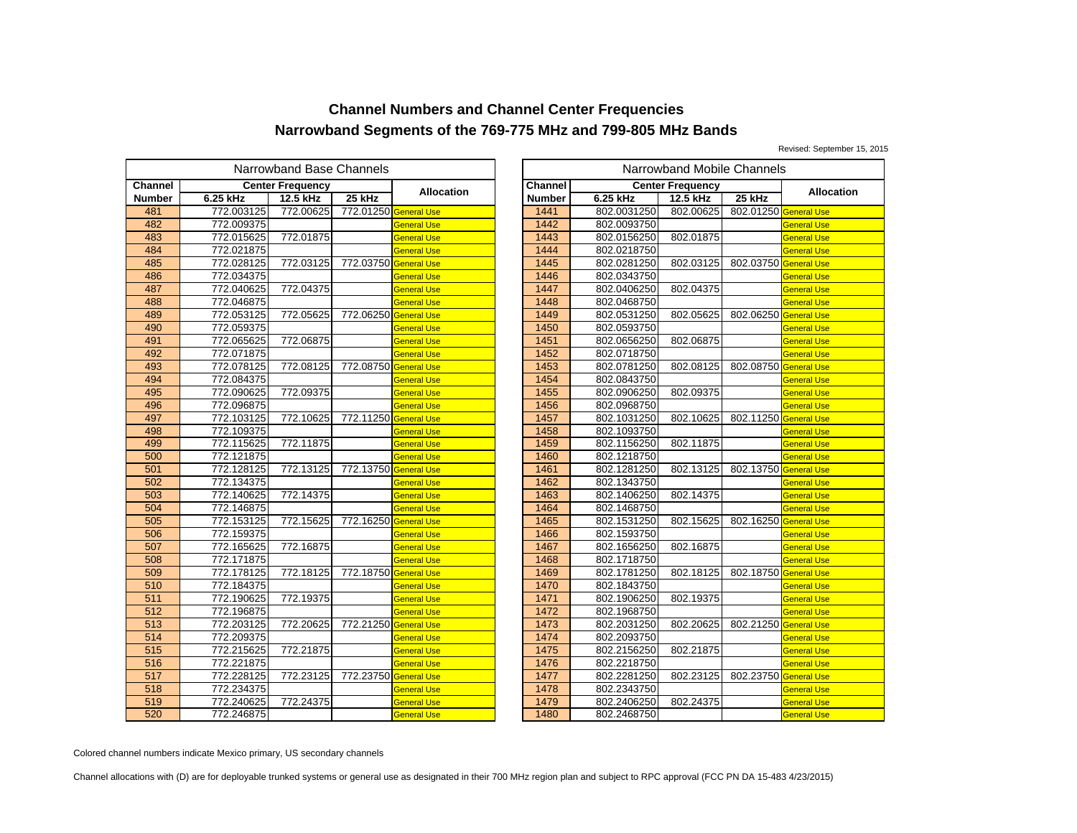Revised: September 15, 2015

|               |            | Narrowband Base Channels |                       |                    | Narrowband Mobile Channels |                |             |                         |           |
|---------------|------------|--------------------------|-----------------------|--------------------|----------------------------|----------------|-------------|-------------------------|-----------|
| Channel       |            | <b>Center Frequency</b>  |                       | <b>Allocation</b>  |                            | <b>Channel</b> |             | <b>Center Frequency</b> |           |
| <b>Number</b> | 6.25 kHz   | 12.5 kHz                 | 25 kHz                |                    |                            | <b>Number</b>  | 6.25 kHz    | 12.5 kHz                | 25 kHz    |
| 481           | 772.003125 | 772.00625                | 772.01250 General Use |                    |                            | 1441           | 802.0031250 | 802.00625               | 802.01250 |
| 482           | 772.009375 |                          |                       | <b>General Use</b> |                            | 1442           | 802.0093750 |                         |           |
| 483           | 772.015625 | 772.01875                |                       | General Use        |                            | 1443           | 802.0156250 | 802.01875               |           |
| 484           | 772.021875 |                          |                       | <b>General Use</b> |                            | 1444           | 802.0218750 |                         |           |
| 485           | 772.028125 | 772.03125                | 772.03750 General Use |                    |                            | 1445           | 802.0281250 | 802.03125               | 802.03750 |
| 486           | 772.034375 |                          |                       | <b>General Use</b> |                            | 1446           | 802.0343750 |                         |           |
| 487           | 772.040625 | 772.04375                |                       | General Use        |                            | 1447           | 802.0406250 | 802.04375               |           |
| 488           | 772.046875 |                          |                       | General Use        |                            | 1448           | 802.0468750 |                         |           |
| 489           | 772.053125 | 772.05625                | 772.06250 General Use |                    |                            | 1449           | 802.0531250 | 802.05625               | 802.06250 |
| 490           | 772.059375 |                          |                       | General Use        |                            | 1450           | 802.0593750 |                         |           |
| 491           | 772.065625 | 772.06875                |                       | General Use        |                            | 1451           | 802.0656250 | 802.06875               |           |
| 492           | 772.071875 |                          |                       | <b>General Use</b> |                            | 1452           | 802.0718750 |                         |           |
| 493           | 772.078125 | 772.08125                | 772.08750 General Use |                    |                            | 1453           | 802.0781250 | 802.08125               | 802.08750 |
| 494           | 772.084375 |                          |                       | General Use        |                            | 1454           | 802.0843750 |                         |           |
| 495           | 772.090625 | 772.09375                |                       | General Use        |                            | 1455           | 802.0906250 | 802.09375               |           |
| 496           | 772.096875 |                          |                       | <b>General Use</b> |                            | 1456           | 802.0968750 |                         |           |
| 497           | 772.103125 | 772.10625                | 772.11250 General Use |                    |                            | 1457           | 802.1031250 | 802.10625               | 802.11250 |
| 498           | 772.109375 |                          |                       | General Use        |                            | 1458           | 802.1093750 |                         |           |
| 499           | 772.115625 | 772.11875                |                       | General Use        |                            | 1459           | 802.1156250 | 802.11875               |           |
| 500           | 772.121875 |                          |                       | <b>General Use</b> |                            | 1460           | 802.1218750 |                         |           |
| 501           | 772.128125 | 772.13125                | 772.13750 General Use |                    |                            | 1461           | 802.1281250 | 802.13125               | 802.13750 |
| 502           | 772.134375 |                          |                       | General Use        |                            | 1462           | 802.1343750 |                         |           |
| 503           | 772.140625 | 772.14375                |                       | General Use        |                            | 1463           | 802.1406250 | 802.14375               |           |
| 504           | 772.146875 |                          |                       | General Use        |                            | 1464           | 802.1468750 |                         |           |
| 505           | 772.153125 | 772.15625                | 772.16250             | <b>General Use</b> |                            | 1465           | 802.1531250 | 802.15625               | 802.16250 |
| 506           | 772.159375 |                          |                       | General Use        |                            | 1466           | 802.1593750 |                         |           |
| 507           | 772.165625 | 772.16875                |                       | <b>General Use</b> |                            | 1467           | 802.1656250 | 802.16875               |           |
| 508           | 772.171875 |                          |                       | <b>General Use</b> |                            | 1468           | 802.1718750 |                         |           |
| 509           | 772.178125 | 772.18125                | 772.18750 General Use |                    |                            | 1469           | 802.1781250 | 802.18125               | 802.18750 |
| 510           | 772.184375 |                          |                       | General Use        |                            | 1470           | 802.1843750 |                         |           |
| 511           | 772.190625 | 772.19375                |                       | General Use        |                            | 1471           | 802.1906250 | 802.19375               |           |
| 512           | 772.196875 |                          |                       | <b>General Use</b> |                            | 1472           | 802.1968750 |                         |           |
| 513           | 772.203125 | 772.20625                | 772.21250 General Use |                    |                            | 1473           | 802.2031250 | 802.20625               | 802.21250 |
| 514           | 772.209375 |                          |                       | <b>General Use</b> |                            | 1474           | 802.2093750 |                         |           |
| 515           | 772.215625 | 772.21875                |                       | General Use        |                            | 1475           | 802.2156250 | 802.21875               |           |
| 516           | 772.221875 |                          |                       | General Use        |                            | 1476           | 802.2218750 |                         |           |
| 517           | 772.228125 | 772.23125                | 772.23750 General Use |                    |                            | 1477           | 802.2281250 | 802.23125               | 802.23750 |
| 518           | 772.234375 |                          |                       | General Use        |                            | 1478           | 802.2343750 |                         |           |
| 519           | 772.240625 | 772.24375                |                       | General Use        |                            | 1479           | 802.2406250 | 802.24375               |           |
| 520           | 772.246875 |                          |                       | <b>General Use</b> |                            | 1480           | 802.2468750 |                         |           |

|                       | owband Base Channels |                       |                    | Narrowband Mobile Channels |             |                         |                       |                    |  |
|-----------------------|----------------------|-----------------------|--------------------|----------------------------|-------------|-------------------------|-----------------------|--------------------|--|
|                       | iter Frequency       |                       |                    | Channel                    |             | <b>Center Frequency</b> |                       |                    |  |
|                       | 12.5 kHz             | 25 kHz                | <b>Allocation</b>  | <b>Number</b>              | 6.25 kHz    | 12.5 kHz                | 25 kHz                | <b>Allocation</b>  |  |
| 5                     | 772.00625            | 772.01250 General Use |                    | 1441                       | 802.0031250 | 802.00625               | 802.01250 General Use |                    |  |
| 5                     |                      |                       | <b>General Use</b> | 1442                       | 802.0093750 |                         |                       | General Use        |  |
| 5                     | 772.01875            |                       | <b>General Use</b> | 1443                       | 802.0156250 | 802.01875               |                       | <b>General Use</b> |  |
|                       |                      |                       | <b>General Use</b> | 1444                       | 802.0218750 |                         |                       | <b>General Use</b> |  |
| $\frac{5}{5}$         | 772.03125            | 772.03750 General Use |                    | 1445                       | 802.0281250 | 802.03125               | 802.03750 General Use |                    |  |
|                       |                      |                       | <b>General Use</b> | 1446                       | 802.0343750 |                         |                       | <b>General Use</b> |  |
| 5                     | 772.04375            |                       | <b>General Use</b> | 1447                       | 802.0406250 | 802.04375               |                       | <b>General Use</b> |  |
| 5                     |                      |                       | <b>General Use</b> | 1448                       | 802.0468750 |                         |                       | <b>General Use</b> |  |
| $\overline{5}$        | 772.05625            | 772.06250 General Use |                    | 1449                       | 802.0531250 | 802.05625               | 802.06250 General Use |                    |  |
|                       |                      |                       | <b>General Use</b> | 1450                       | 802.0593750 |                         |                       | <b>General Use</b> |  |
| $\frac{5}{5}$         | 772.06875            |                       | <b>General Use</b> | 1451                       | 802.0656250 | 802.06875               |                       | <b>General Use</b> |  |
| 5                     |                      |                       | <b>General Use</b> | 1452                       | 802.0718750 |                         |                       | <b>General Use</b> |  |
| 5<br>5<br>5<br>5<br>5 | 772.08125            | 772.08750 General Use |                    | 1453                       | 802.0781250 | 802.08125               | 802.08750 General Use |                    |  |
|                       |                      |                       | <b>General Use</b> | 1454                       | 802.0843750 |                         |                       | <b>General Use</b> |  |
|                       | 772.09375            |                       | <b>General Use</b> | 1455                       | 802.0906250 | 802.09375               |                       | <b>General Use</b> |  |
|                       |                      |                       | <b>General Use</b> | 1456                       | 802.0968750 |                         |                       | <b>General Use</b> |  |
| 5                     | 772.10625            | 772.11250 General Use |                    | 1457                       | 802.1031250 | 802.10625               | 802.11250 General Use |                    |  |
|                       |                      |                       | <b>General Use</b> | 1458                       | 802.1093750 |                         |                       | General Use        |  |
| $\frac{5}{5}$         | 772.11875            |                       | <b>General Use</b> | 1459                       | 802.1156250 | 802.11875               |                       | <b>General Use</b> |  |
|                       |                      |                       | <b>General Use</b> | 1460                       | 802.1218750 |                         |                       | <b>General Use</b> |  |
|                       | 772.13125            | 772.13750 General Use |                    | 1461                       | 802.1281250 | 802.13125               | 802.13750 General Use |                    |  |
| 5                     |                      |                       | <b>General Use</b> | 1462                       | 802.1343750 |                         |                       | <b>General Use</b> |  |
|                       | 772.14375            |                       | <b>General Use</b> | 1463                       | 802.1406250 | 802.14375               |                       | <b>General Use</b> |  |
| $rac{5}{5}$           |                      |                       | <b>General Use</b> | 1464                       | 802.1468750 |                         |                       | <b>General Use</b> |  |
| $\frac{5}{5}$         | 772.15625            | 772.16250 General Use |                    | 1465                       | 802.1531250 | 802.15625               | 802.16250 General Use |                    |  |
|                       |                      |                       | <b>General Use</b> | 1466                       | 802.1593750 |                         |                       | <b>General Use</b> |  |
|                       | 772.16875            |                       | <b>General Use</b> | 1467                       | 802.1656250 | 802.16875               |                       | <b>General Use</b> |  |
|                       |                      |                       | <b>General Use</b> | 1468                       | 802.1718750 |                         |                       | <b>General Use</b> |  |
| $\frac{5}{5}$         | 772.18125            | 772.18750 General Use |                    | 1469                       | 802.1781250 | 802.18125               | 802.18750 General Use |                    |  |
| $\frac{5}{5}$         |                      |                       | <b>General Use</b> | 1470                       | 802.1843750 |                         |                       | <b>General Use</b> |  |
|                       | 772.19375            |                       | <b>General Use</b> | 1471                       | 802.1906250 | 802.19375               |                       | <b>General Use</b> |  |
|                       |                      |                       | <b>General Use</b> | 1472                       | 802.1968750 |                         |                       | <b>General Use</b> |  |
| 5                     | 772.20625            | 772.21250 General Use |                    | 1473                       | 802.2031250 | 802.20625               | 802.21250 General Use |                    |  |
| 5                     |                      |                       | <b>General Use</b> | 1474                       | 802.2093750 |                         |                       | <b>General Use</b> |  |
|                       | 772.21875            |                       | <b>General Use</b> | 1475                       | 802.2156250 | 802.21875               |                       | <b>General Use</b> |  |
| $\frac{5}{5}$         |                      |                       | <b>General Use</b> | 1476                       | 802.2218750 |                         |                       | <b>General Use</b> |  |
|                       | 772.23125            | 772.23750 General Use |                    | 1477                       | 802.2281250 | 802.23125               | 802.23750 General Use |                    |  |
|                       |                      |                       | <b>General Use</b> | 1478                       | 802.2343750 |                         |                       | General Use        |  |
| $\frac{5}{5}$         | 772.24375            |                       | <b>General Use</b> | 1479                       | 802.2406250 | 802.24375               |                       | <b>General Use</b> |  |
|                       |                      |                       | <b>General Use</b> | 1480                       | 802.2468750 |                         |                       | <b>General Use</b> |  |

Colored channel numbers indicate Mexico primary, US secondary channels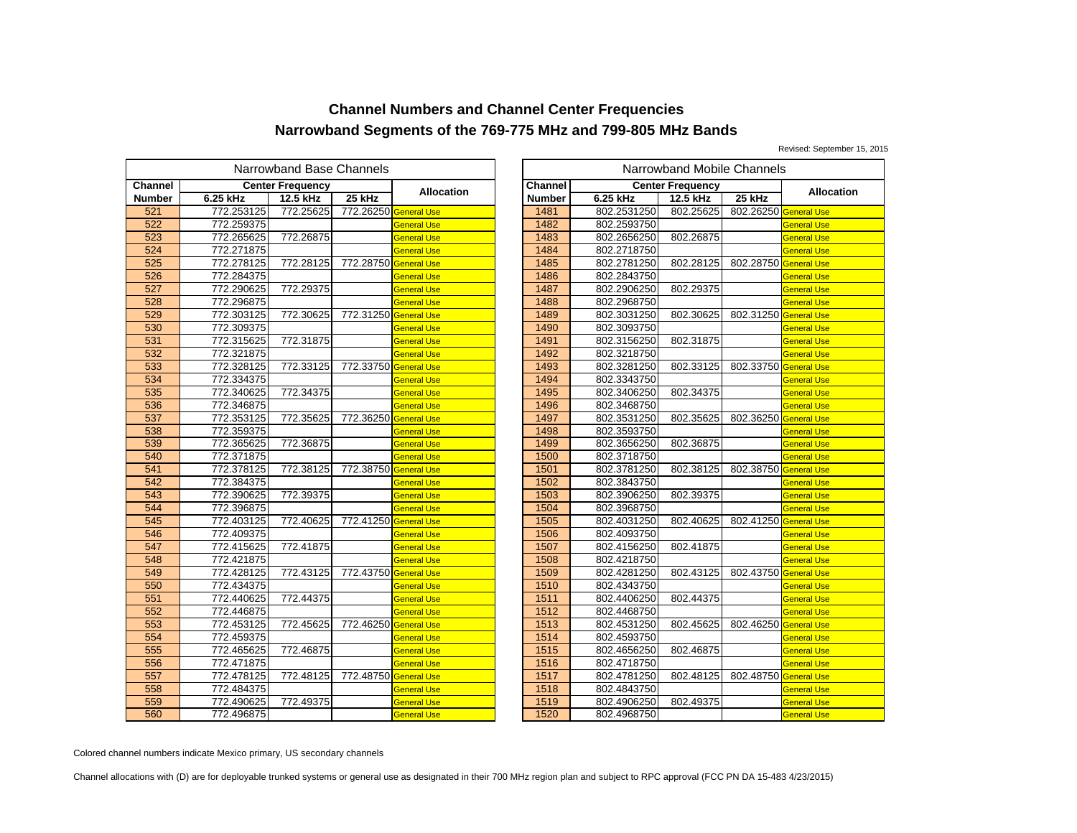Revised: September 15, 2015

|               |            | Narrowband Base Channels |                       |                    | Narrowband Mobile Channels |             |                         |           |
|---------------|------------|--------------------------|-----------------------|--------------------|----------------------------|-------------|-------------------------|-----------|
| Channel       |            | <b>Center Frequency</b>  |                       | <b>Allocation</b>  | Channel                    |             | <b>Center Frequency</b> |           |
| <b>Number</b> | 6.25 kHz   | 12.5 kHz                 | 25 kHz                |                    | <b>Number</b>              | 6.25 kHz    | 12.5 kHz                | 25 kHz    |
| 521           | 772.253125 | 772.25625                | 772.26250 General Use |                    | 1481                       | 802.2531250 | 802.25625               | 802.26250 |
| 522           | 772.259375 |                          |                       | <b>General Use</b> | 1482                       | 802.2593750 |                         |           |
| 523           | 772.265625 | 772.26875                |                       | General Use        | 1483                       | 802.2656250 | 802.26875               |           |
| 524           | 772.271875 |                          |                       | General Use        | 1484                       | 802.2718750 |                         |           |
| 525           | 772.278125 | 772.28125                | 772.28750             | <b>General Use</b> | 1485                       | 802.2781250 | 802.28125               | 802.28750 |
| 526           | 772.284375 |                          |                       | General Use        | 1486                       | 802.2843750 |                         |           |
| 527           | 772.290625 | 772.29375                |                       | General Use        | 1487                       | 802.2906250 | 802.29375               |           |
| 528           | 772.296875 |                          |                       | General Use        | 1488                       | 802.2968750 |                         |           |
| 529           | 772.303125 | 772.30625                | 772.31250 General Use |                    | 1489                       | 802.3031250 | 802.30625               | 802.31250 |
| 530           | 772.309375 |                          |                       | General Use        | 1490                       | 802.3093750 |                         |           |
| 531           | 772.315625 | 772.31875                |                       | General Use        | 1491                       | 802.3156250 | 802.31875               |           |
| 532           | 772.321875 |                          |                       | General Use        | 1492                       | 802.3218750 |                         |           |
| 533           | 772.328125 | 772.33125                | 772.33750             | <b>General Use</b> | 1493                       | 802.3281250 | 802.33125               | 802.33750 |
| 534           | 772.334375 |                          |                       | General Use        | 1494                       | 802.3343750 |                         |           |
| 535           | 772.340625 | 772.34375                |                       | General Use        | 1495                       | 802.3406250 | 802.34375               |           |
| 536           | 772.346875 |                          |                       | General Use        | 1496                       | 802.3468750 |                         |           |
| 537           | 772.353125 | 772.35625                | 772.36250             | <b>General Use</b> | 1497                       | 802.3531250 | 802.35625               | 802.36250 |
| 538           | 772.359375 |                          |                       | General Use        | 1498                       | 802.3593750 |                         |           |
| 539           | 772.365625 | 772.36875                |                       | General Use        | 1499                       | 802.3656250 | 802.36875               |           |
| 540           | 772.371875 |                          |                       | <b>General Use</b> | 1500                       | 802.3718750 |                         |           |
| 541           | 772.378125 | 772.38125                | 772.38750             | <b>General Use</b> | 1501                       | 802.3781250 | 802.38125               | 802.38750 |
| 542           | 772.384375 |                          |                       | General Use        | 1502                       | 802.3843750 |                         |           |
| 543           | 772.390625 | 772.39375                |                       | General Use        | 1503                       | 802.3906250 | 802.39375               |           |
| 544           | 772.396875 |                          |                       | General Use        | 1504                       | 802.3968750 |                         |           |
| 545           | 772.403125 | 772.40625                | 772.41250             | <b>General Use</b> | 1505                       | 802.4031250 | 802.40625               | 802.41250 |
| 546           | 772.409375 |                          |                       | General Use        | 1506                       | 802.4093750 |                         |           |
| 547           | 772.415625 | 772.41875                |                       | General Use        | 1507                       | 802.4156250 | 802.41875               |           |
| 548           | 772.421875 |                          |                       | <b>General Use</b> | 1508                       | 802.4218750 |                         |           |
| 549           | 772.428125 | 772.43125                | 772.43750             | <b>General Use</b> | 1509                       | 802.4281250 | 802.43125               | 802.43750 |
| 550           | 772.434375 |                          |                       | General Use        | 1510                       | 802.4343750 |                         |           |
| 551           | 772.440625 | 772.44375                |                       | General Use        | 1511                       | 802.4406250 | 802.44375               |           |
| 552           | 772.446875 |                          |                       | <b>General Use</b> | 1512                       | 802.4468750 |                         |           |
| 553           | 772.453125 | 772.45625                | 772.46250             | <b>General Use</b> | 1513                       | 802.4531250 | 802.45625               | 802.46250 |
| 554           | 772.459375 |                          |                       | General Use        | 1514                       | 802.4593750 |                         |           |
| 555           | 772.465625 | 772.46875                |                       | General Use        | 1515                       | 802.4656250 | 802.46875               |           |
| 556           | 772.471875 |                          |                       | General Use        | 1516                       | 802.4718750 |                         |           |
| 557           | 772.478125 | 772.48125                | 772.48750             | <b>General Use</b> | 1517                       | 802.4781250 | 802.48125               | 802.48750 |
| 558           | 772.484375 |                          |                       | General Use        | 1518                       | 802.4843750 |                         |           |
| 559           | 772.490625 | 772.49375                |                       | General Use        | 1519                       | 802.4906250 | 802.49375               |           |
| 560           | 772.496875 |                          |                       | General Use        | 1520                       | 802.4968750 |                         |           |

|                | owband Base Channels |                       |                    |               |             | Narrowband Mobile Channels |                       |                    |
|----------------|----------------------|-----------------------|--------------------|---------------|-------------|----------------------------|-----------------------|--------------------|
|                | iter Frequency       |                       |                    | Channel       |             | <b>Center Frequency</b>    |                       |                    |
|                | 12.5 kHz             | 25 kHz                | Allocation         | <b>Number</b> | 6.25 kHz    | 12.5 kHz                   | 25 kHz                | <b>Allocation</b>  |
| 5              | 772.25625            | 772.26250 General Use |                    | 1481          | 802.2531250 | 802.25625                  | 802.26250 General Use |                    |
| 5              |                      |                       | <b>General Use</b> | 1482          | 802.2593750 |                            |                       | <b>General Use</b> |
|                | 772.26875            |                       | <b>General Use</b> | 1483          | 802.2656250 | 802.26875                  |                       | <b>General Use</b> |
| $\frac{5}{5}$  |                      |                       | <b>General Use</b> | 1484          | 802.2718750 |                            |                       | <b>General Use</b> |
|                | 772.28125            | 772.28750 General Use |                    | 1485          | 802.2781250 | 802.28125                  | 802.28750 General Use |                    |
| $\frac{5}{5}$  |                      |                       | <b>General Use</b> | 1486          | 802.2843750 |                            |                       | <b>General Use</b> |
| 5              | 772.29375            |                       | <b>General Use</b> | 1487          | 802.2906250 | 802.29375                  |                       | <b>General Use</b> |
|                |                      |                       | <b>General Use</b> | 1488          | 802.2968750 |                            |                       | <b>General Use</b> |
| $rac{5}{5}$    | 772.30625            | 772.31250 General Use |                    | 1489          | 802.3031250 | 802.30625                  | 802.31250 General Use |                    |
|                |                      |                       | <b>General Use</b> | 1490          | 802.3093750 |                            |                       | <b>General Use</b> |
| $\frac{5}{5}$  | 772.31875            |                       | <b>General Use</b> | 1491          | 802.3156250 | 802.31875                  |                       | <b>General Use</b> |
| 5              |                      |                       | <b>General Use</b> | 1492          | 802.3218750 |                            |                       | <b>General Use</b> |
|                | 772.33125            | 772.33750 General Use |                    | 1493          | 802.3281250 | 802.33125                  | 802.33750 General Use |                    |
| $rac{5}{5}$    |                      |                       | <b>General Use</b> | 1494          | 802.3343750 |                            |                       | <b>General Use</b> |
|                | 772.34375            |                       | <b>General Use</b> | 1495          | 802.3406250 | 802.34375                  |                       | <b>General Use</b> |
| $rac{5}{5}$    |                      |                       | <b>General Use</b> | 1496          | 802.3468750 |                            |                       | <b>General Use</b> |
| 5              | 772.35625            | 772.36250 General Use |                    | 1497          | 802.3531250 | 802.35625                  | 802.36250 General Use |                    |
| 5              |                      |                       | <b>General Use</b> | 1498          | 802.3593750 |                            |                       | <b>General Use</b> |
| $\overline{5}$ | 772.36875            |                       | <b>General Use</b> | 1499          | 802.3656250 | 802.36875                  |                       | <b>General Use</b> |
| 5              |                      |                       | <b>General Use</b> | 1500          | 802.3718750 |                            |                       | <b>General Use</b> |
| 5              | 772.38125            | 772.38750 General Use |                    | 1501          | 802.3781250 | 802.38125                  | 802.38750 General Use |                    |
| 5              |                      |                       | <b>General Use</b> | 1502          | 802.3843750 |                            |                       | <b>General Use</b> |
| $\frac{5}{5}$  | 772.39375            |                       | <b>General Use</b> | 1503          | 802.3906250 | 802.39375                  |                       | <b>General Use</b> |
|                |                      |                       | <b>General Use</b> | 1504          | 802.3968750 |                            |                       | <b>General Use</b> |
| 5              | 772.40625            | 772.41250 General Use |                    | 1505          | 802.4031250 | 802.40625                  | 802.41250 General Use |                    |
| 5              |                      |                       | <b>General Use</b> | 1506          | 802.4093750 |                            |                       | <b>General Use</b> |
| 5              | 772.41875            |                       | <b>General Use</b> | 1507          | 802.4156250 | 802.41875                  |                       | <b>General Use</b> |
| $\frac{5}{5}$  |                      |                       | <b>General Use</b> | 1508          | 802.4218750 |                            |                       | <b>General Use</b> |
|                | 772.43125            | 772.43750 General Use |                    | 1509          | 802.4281250 | 802.43125                  | 802.43750 General Use |                    |
|                |                      |                       | <b>General Use</b> | 1510          | 802.4343750 |                            |                       | <b>General Use</b> |
| $rac{5}{5}$    | 772.44375            |                       | <b>General Use</b> | 1511          | 802.4406250 | 802.44375                  |                       | <b>General Use</b> |
| 5              |                      |                       | <b>General Use</b> | 1512          | 802.4468750 |                            |                       | <b>General Use</b> |
| $\frac{5}{5}$  | 772.45625            | 772.46250 General Use |                    | 1513          | 802.4531250 | 802.45625                  | 802.46250 General Use |                    |
|                |                      |                       | <b>General Use</b> | 1514          | 802.4593750 |                            |                       | <b>General Use</b> |
| 5              | 772.46875            |                       | <b>General Use</b> | 1515          | 802.4656250 | 802.46875                  |                       | <b>General Use</b> |
| $\frac{5}{5}$  |                      |                       | <b>General Use</b> | 1516          | 802.4718750 |                            |                       | <b>General Use</b> |
|                | 772.48125            | 772.48750 General Use |                    | 1517          | 802.4781250 | 802.48125                  | 802.48750 General Use |                    |
|                |                      |                       | <b>General Use</b> | 1518          | 802.4843750 |                            |                       | <b>General Use</b> |
| $rac{5}{5}$    | 772.49375            |                       | <b>General Use</b> | 1519          | 802.4906250 | 802.49375                  |                       | General Use        |
| 5              |                      |                       | <b>General Use</b> | 1520          | 802.4968750 |                            |                       | <b>General Use</b> |

Colored channel numbers indicate Mexico primary, US secondary channels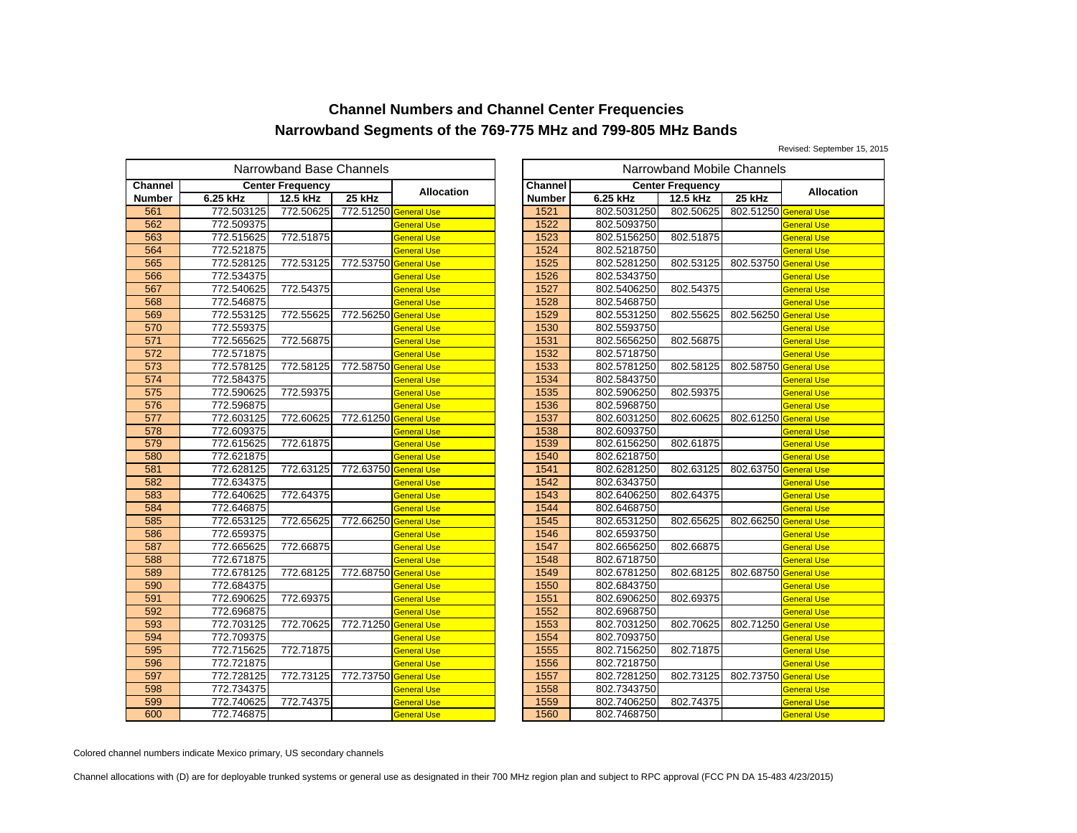Revised: September 15, 2015

|               |            | Narrowband Base Channels |                       |                    | Narrowband Mobile Channels |             |                         |           |
|---------------|------------|--------------------------|-----------------------|--------------------|----------------------------|-------------|-------------------------|-----------|
| Channel       |            | <b>Center Frequency</b>  |                       | <b>Allocation</b>  | <b>Channel</b>             |             | <b>Center Frequency</b> |           |
| <b>Number</b> | 6.25 kHz   | 12.5 kHz                 | 25 kHz                |                    | <b>Number</b>              | 6.25 kHz    | 12.5 kHz                | 25 kHz    |
| 561           | 772.503125 | 772.50625                | 772.51250 General Use |                    | 1521                       | 802.5031250 | 802.50625               | 802.51250 |
| 562           | 772.509375 |                          |                       | <b>General Use</b> | 1522                       | 802.5093750 |                         |           |
| 563           | 772.515625 | 772.51875                |                       | General Use        | 1523                       | 802.5156250 | 802.51875               |           |
| 564           | 772.521875 |                          |                       | <b>General Use</b> | 1524                       | 802.5218750 |                         |           |
| 565           | 772.528125 | 772.53125                | 772.53750 General Use |                    | 1525                       | 802.5281250 | 802.53125               | 802.53750 |
| 566           | 772.534375 |                          |                       | General Use        | 1526                       | 802.5343750 |                         |           |
| 567           | 772.540625 | 772.54375                |                       | General Use        | 1527                       | 802.5406250 | 802.54375               |           |
| 568           | 772.546875 |                          |                       | General Use        | 1528                       | 802.5468750 |                         |           |
| 569           | 772.553125 | 772.55625                | 772.56250 General Use |                    | 1529                       | 802.5531250 | 802.55625               | 802.56250 |
| 570           | 772.559375 |                          |                       | General Use        | 1530                       | 802.5593750 |                         |           |
| 571           | 772.565625 | 772.56875                |                       | General Use        | 1531                       | 802.5656250 | 802.56875               |           |
| 572           | 772.571875 |                          |                       | <b>General Use</b> | 1532                       | 802.5718750 |                         |           |
| 573           | 772.578125 | 772.58125                | 772.58750 General Use |                    | 1533                       | 802.5781250 | 802.58125               | 802.58750 |
| 574           | 772.584375 |                          |                       | General Use        | 1534                       | 802.5843750 |                         |           |
| 575           | 772.590625 | 772.59375                |                       | General Use        | 1535                       | 802.5906250 | 802.59375               |           |
| 576           | 772.596875 |                          |                       | <b>General Use</b> | 1536                       | 802.5968750 |                         |           |
| 577           | 772.603125 | 772.60625                | 772.61250 General Use |                    | 1537                       | 802.6031250 | 802.60625               | 802.61250 |
| 578           | 772.609375 |                          |                       | General Use        | 1538                       | 802.6093750 |                         |           |
| 579           | 772.615625 | 772.61875                |                       | General Use        | 1539                       | 802.6156250 | 802.61875               |           |
| 580           | 772.621875 |                          |                       | <b>General Use</b> | 1540                       | 802.6218750 |                         |           |
| 581           | 772.628125 | 772.63125                | 772.63750 General Use |                    | 1541                       | 802.6281250 | 802.63125               | 802.63750 |
| 582           | 772.634375 |                          |                       | General Use        | 1542                       | 802.6343750 |                         |           |
| 583           | 772.640625 | 772.64375                |                       | General Use        | 1543                       | 802.6406250 | 802.64375               |           |
| 584           | 772.646875 |                          |                       | General Use        | 1544                       | 802.6468750 |                         |           |
| 585           | 772.653125 | 772.65625                | 772.66250             | <b>General Use</b> | 1545                       | 802.6531250 | 802.65625               | 802.66250 |
| 586           | 772.659375 |                          |                       | General Use        | 1546                       | 802.6593750 |                         |           |
| 587           | 772.665625 | 772.66875                |                       | <b>General Use</b> | 1547                       | 802.6656250 | 802.66875               |           |
| 588           | 772.671875 |                          |                       | General Use        | 1548                       | 802.6718750 |                         |           |
| 589           | 772.678125 | 772.68125                | 772.68750 General Use |                    | 1549                       | 802.6781250 | 802.68125               | 802.68750 |
| 590           | 772.684375 |                          |                       | General Use        | 1550                       | 802.6843750 |                         |           |
| 591           | 772.690625 | 772.69375                |                       | General Use        | 1551                       | 802.6906250 | 802.69375               |           |
| 592           | 772.696875 |                          |                       | <b>General Use</b> | 1552                       | 802.6968750 |                         |           |
| 593           | 772.703125 | 772.70625                | 772.71250 General Use |                    | 1553                       | 802.7031250 | 802.70625               | 802.71250 |
| 594           | 772.709375 |                          |                       | <b>General Use</b> | 1554                       | 802.7093750 |                         |           |
| 595           | 772.715625 | 772.71875                |                       | General Use        | 1555                       | 802.7156250 | 802.71875               |           |
| 596           | 772.721875 |                          |                       | <b>General Use</b> | 1556                       | 802.7218750 |                         |           |
| 597           | 772.728125 | 772.73125                | 772.73750 General Use |                    | 1557                       | 802.7281250 | 802.73125               | 802.73750 |
| 598           | 772.734375 |                          |                       | General Use        | 1558                       | 802.7343750 |                         |           |
| 599           | 772.740625 | 772.74375                |                       | General Use        | 1559                       | 802.7406250 | 802.74375               |           |
| 600           | 772.746875 |                          |                       | <b>General Use</b> | 1560                       | 802.7468750 |                         |           |

|               | owband Base Channels | Narrowband Mobile Channels |                    |  |                |             |                         |                       |                    |
|---------------|----------------------|----------------------------|--------------------|--|----------------|-------------|-------------------------|-----------------------|--------------------|
|               | iter Frequency       |                            |                    |  | <b>Channel</b> |             | <b>Center Frequency</b> |                       |                    |
|               | 12.5 kHz             | 25 kHz                     | <b>Allocation</b>  |  | <b>Number</b>  | 6.25 kHz    | 12.5 kHz                | 25 kHz                | <b>Allocation</b>  |
| 5             | 772.50625            | 772.51250 General Use      |                    |  | 1521           | 802.5031250 | 802.50625               | 802.51250 General Use |                    |
| 5             |                      |                            | <b>General Use</b> |  | 1522           | 802.5093750 |                         |                       | <b>General Use</b> |
| 5             | 772.51875            |                            | <b>General Use</b> |  | 1523           | 802.5156250 | 802.51875               |                       | <b>General Use</b> |
|               |                      |                            | <b>General Use</b> |  | 1524           | 802.5218750 |                         |                       | <b>General Use</b> |
| $rac{5}{5}$   | 772.53125            | 772.53750 General Use      |                    |  | 1525           | 802.5281250 | 802.53125               | 802.53750 General Use |                    |
|               |                      |                            | <b>General Use</b> |  | 1526           | 802.5343750 |                         |                       | <b>General Use</b> |
| 5             | 772.54375            |                            | <b>General Use</b> |  | 1527           | 802.5406250 | 802.54375               |                       | <b>General Use</b> |
|               |                      |                            | <b>General Use</b> |  | 1528           | 802.5468750 |                         |                       | <b>General Use</b> |
| $rac{5}{5}$   | 772.55625            | 772.56250 General Use      |                    |  | 1529           | 802.5531250 | 802.55625               | 802.56250 General Use |                    |
|               |                      |                            | <b>General Use</b> |  | 1530           | 802.5593750 |                         |                       | <b>General Use</b> |
| $\frac{5}{5}$ | 772.56875            |                            | <b>General Use</b> |  | 1531           | 802.5656250 | 802.56875               |                       | <b>General Use</b> |
| 5             |                      |                            | <b>General Use</b> |  | 1532           | 802.5718750 |                         |                       | <b>General Use</b> |
|               | 772.58125            | 772.58750 General Use      |                    |  | 1533           | 802.5781250 | 802.58125               | 802.58750 General Use |                    |
| $rac{5}{5}$   |                      |                            | <b>General Use</b> |  | 1534           | 802.5843750 |                         |                       | <b>General Use</b> |
|               | 772.59375            |                            | <b>General Use</b> |  | 1535           | 802.5906250 | 802.59375               |                       | <b>General Use</b> |
| $rac{5}{5}$   |                      |                            | <b>General Use</b> |  | 1536           | 802.5968750 |                         |                       | <b>General Use</b> |
| 5             | 772.60625            | 772.61250 General Use      |                    |  | 1537           | 802.6031250 | 802.60625               | 802.61250 General Use |                    |
|               |                      |                            | <b>General Use</b> |  | 1538           | 802.6093750 |                         |                       | <b>General Use</b> |
| $\frac{5}{5}$ | 772.61875            |                            | <b>General Use</b> |  | 1539           | 802.6156250 | 802.61875               |                       | <b>General Use</b> |
|               |                      |                            | <b>General Use</b> |  | 1540           | 802.6218750 |                         |                       | <b>General Use</b> |
| $rac{5}{5}$   | 772.63125            | 772.63750 General Use      |                    |  | 1541           | 802.6281250 | 802.63125               | 802.63750 General Use |                    |
| 5             |                      |                            | <b>General Use</b> |  | 1542           | 802.6343750 |                         |                       | <b>General Use</b> |
|               | 772.64375            |                            | <b>General Use</b> |  | 1543           | 802.6406250 | 802.64375               |                       | <b>General Use</b> |
| $\frac{5}{5}$ |                      |                            | <b>General Use</b> |  | 1544           | 802.6468750 |                         |                       | <b>General Use</b> |
| 5             | 772.65625            | 772.66250 General Use      |                    |  | 1545           | 802.6531250 | 802.65625               | 802.66250 General Use |                    |
| 5             |                      |                            | <b>General Use</b> |  | 1546           | 802.6593750 |                         |                       | <b>General Use</b> |
| 5             | 772.66875            |                            | <b>General Use</b> |  | 1547           | 802.6656250 | 802.66875               |                       | <b>General Use</b> |
|               |                      |                            | <b>General Use</b> |  | 1548           | 802.6718750 |                         |                       | <b>General Use</b> |
| $\frac{5}{5}$ | 772.68125            | 772.68750 General Use      |                    |  | 1549           | 802.6781250 | 802.68125               | 802.68750 General Use |                    |
|               |                      |                            | <b>General Use</b> |  | 1550           | 802.6843750 |                         |                       | <b>General Use</b> |
| $rac{5}{5}$   | 772.69375            |                            | <b>General Use</b> |  | 1551           | 802.6906250 | 802.69375               |                       | <b>General Use</b> |
| 5             |                      |                            | <b>General Use</b> |  | 1552           | 802.6968750 |                         |                       | <b>General Use</b> |
| $\frac{5}{5}$ | 772.70625            | 772.71250 General Use      |                    |  | 1553           | 802.7031250 | 802.70625               | 802.71250 General Use |                    |
|               |                      |                            | <b>General Use</b> |  | 1554           | 802.7093750 |                         |                       | <b>General Use</b> |
| 5             | 772.71875            |                            | <b>General Use</b> |  | 1555           | 802.7156250 | 802.71875               |                       | <b>General Use</b> |
|               |                      |                            | <b>General Use</b> |  | 1556           | 802.7218750 |                         |                       | <b>General Use</b> |
| $\frac{5}{5}$ | 772.73125            | 772.73750 General Use      |                    |  | 1557           | 802.7281250 | 802.73125               | 802.73750 General Use |                    |
|               |                      |                            | <b>General Use</b> |  | 1558           | 802.7343750 |                         |                       | General Use        |
| $rac{5}{5}$   | 772.74375            |                            | <b>General Use</b> |  | 1559           | 802.7406250 | 802.74375               |                       | General Use        |
| 5             |                      |                            | <b>General Use</b> |  | 1560           | 802.7468750 |                         |                       | <b>General Use</b> |

Colored channel numbers indicate Mexico primary, US secondary channels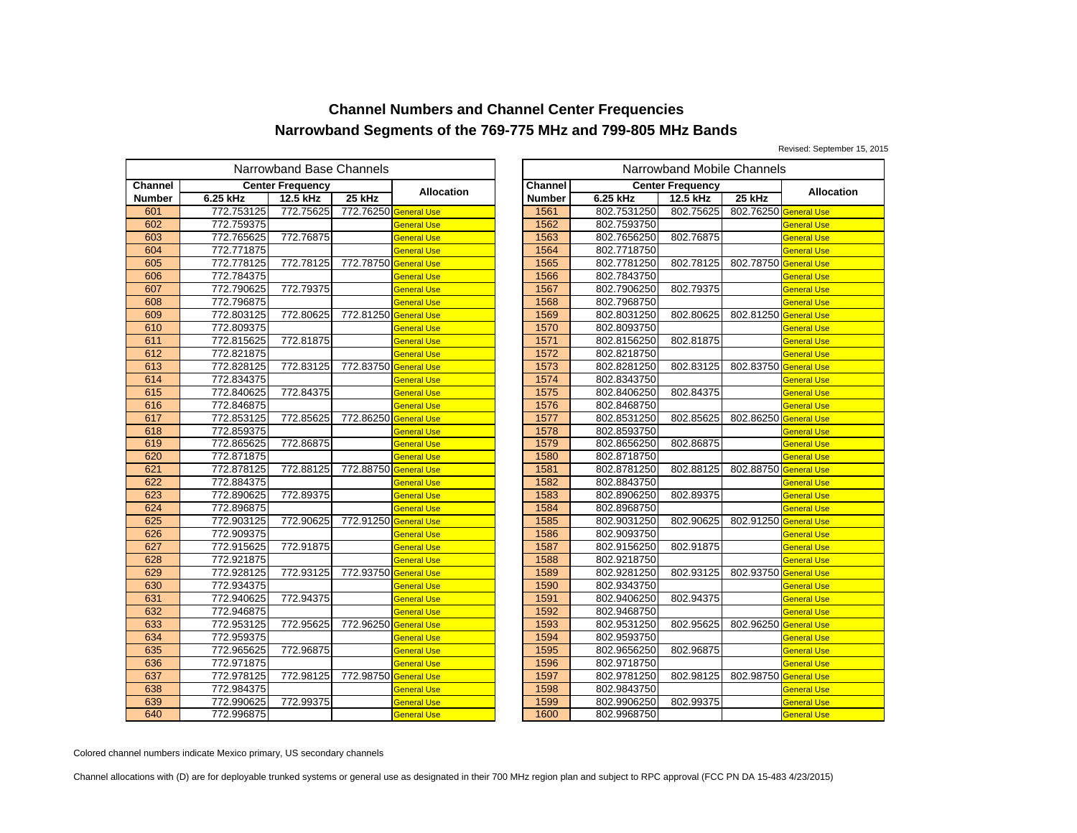Revised: September 15, 2015

| Narrowband Base Channels<br>Narrowband Mobile Channels |            |                         |                       |                    |                |             |                         |           |
|--------------------------------------------------------|------------|-------------------------|-----------------------|--------------------|----------------|-------------|-------------------------|-----------|
| Channel                                                |            | <b>Center Frequency</b> |                       | <b>Allocation</b>  | <b>Channel</b> |             | <b>Center Frequency</b> |           |
| <b>Number</b>                                          | 6.25 kHz   | 12.5 kHz                | 25 kHz                |                    | <b>Number</b>  | 6.25 kHz    | 12.5 kHz                | 25 kHz    |
| 601                                                    | 772.753125 | 772.75625               | 772.76250 General Use |                    | 1561           | 802.7531250 | 802.75625               | 802.76250 |
| 602                                                    | 772.759375 |                         |                       | <b>General Use</b> | 1562           | 802.7593750 |                         |           |
| 603                                                    | 772.765625 | 772.76875               |                       | General Use        | 1563           | 802.7656250 | 802.76875               |           |
| 604                                                    | 772.771875 |                         |                       | <b>General Use</b> | 1564           | 802.7718750 |                         |           |
| 605                                                    | 772.778125 | 772.78125               | 772.78750 General Use |                    | 1565           | 802.7781250 | 802.78125               | 802.78750 |
| 606                                                    | 772.784375 |                         |                       | <b>General Use</b> | 1566           | 802.7843750 |                         |           |
| 607                                                    | 772.790625 | 772.79375               |                       | General Use        | 1567           | 802.7906250 | 802.79375               |           |
| 608                                                    | 772.796875 |                         |                       | <b>General Use</b> | 1568           | 802.7968750 |                         |           |
| 609                                                    | 772.803125 | 772.80625               | 772.81250 General Use |                    | 1569           | 802.8031250 | 802.80625               | 802.81250 |
| 610                                                    | 772.809375 |                         |                       | General Use        | 1570           | 802.8093750 |                         |           |
| 611                                                    | 772.815625 | 772.81875               |                       | General Use        | 1571           | 802.8156250 | 802.81875               |           |
| 612                                                    | 772.821875 |                         |                       | <b>General Use</b> | 1572           | 802.8218750 |                         |           |
| 613                                                    | 772.828125 | 772.83125               | 772.83750 General Use |                    | 1573           | 802.8281250 | 802.83125               | 802.83750 |
| 614                                                    | 772.834375 |                         |                       | General Use        | 1574           | 802.8343750 |                         |           |
| 615                                                    | 772.840625 | 772.84375               |                       | General Use        | 1575           | 802.8406250 | 802.84375               |           |
| 616                                                    | 772.846875 |                         |                       | <b>General Use</b> | 1576           | 802.8468750 |                         |           |
| 617                                                    | 772.853125 | 772.85625               | 772.86250 General Use |                    | 1577           | 802.8531250 | 802.85625               | 802.86250 |
| 618                                                    | 772.859375 |                         |                       | General Use        | 1578           | 802.8593750 |                         |           |
| 619                                                    | 772.865625 | 772.86875               |                       | General Use        | 1579           | 802.8656250 | 802.86875               |           |
| 620                                                    | 772.871875 |                         |                       | <b>General Use</b> | 1580           | 802.8718750 |                         |           |
| 621                                                    | 772.878125 | 772.88125               | 772.88750 General Use |                    | 1581           | 802.8781250 | 802.88125               | 802.88750 |
| 622                                                    | 772.884375 |                         |                       | General Use        | 1582           | 802.8843750 |                         |           |
| 623                                                    | 772.890625 | 772.89375               |                       | <b>General Use</b> | 1583           | 802.8906250 | 802.89375               |           |
| 624                                                    | 772.896875 |                         |                       | <b>General Use</b> | 1584           | 802.8968750 |                         |           |
| 625                                                    | 772.903125 | 772.90625               | 772.91250             | <b>General Use</b> | 1585           | 802.9031250 | 802.90625               | 802.91250 |
| 626                                                    | 772.909375 |                         |                       | General Use        | 1586           | 802.9093750 |                         |           |
| 627                                                    | 772.915625 | 772.91875               |                       | <b>General Use</b> | 1587           | 802.9156250 | 802.91875               |           |
| 628                                                    | 772.921875 |                         |                       | <b>General Use</b> | 1588           | 802.9218750 |                         |           |
| 629                                                    | 772.928125 | 772.93125               | 772.93750 General Use |                    | 1589           | 802.9281250 | 802.93125               | 802.93750 |
| 630                                                    | 772.934375 |                         |                       | <b>General Use</b> | 1590           | 802.9343750 |                         |           |
| 631                                                    | 772.940625 | 772.94375               |                       | General Use        | 1591           | 802.9406250 | 802.94375               |           |
| 632                                                    | 772.946875 |                         |                       | <b>General Use</b> | 1592           | 802.9468750 |                         |           |
| 633                                                    | 772.953125 | 772.95625               | 772.96250 General Use |                    | 1593           | 802.9531250 | 802.95625               | 802.96250 |
| 634                                                    | 772.959375 |                         |                       | <b>General Use</b> | 1594           | 802.9593750 |                         |           |
| 635                                                    | 772.965625 | 772.96875               |                       | General Use        | 1595           | 802.9656250 | 802.96875               |           |
| 636                                                    | 772.971875 |                         |                       | <b>General Use</b> | 1596           | 802.9718750 |                         |           |
| 637                                                    | 772.978125 | 772.98125               | 772.98750 General Use |                    | 1597           | 802.9781250 | 802.98125               | 802.98750 |
| 638                                                    | 772.984375 |                         |                       | General Use        | 1598           | 802.9843750 |                         |           |
| 639                                                    | 772.990625 | 772.99375               |                       | General Use        | 1599           | 802.9906250 | 802.99375               |           |
| 640                                                    | 772.996875 |                         |                       | <b>General Use</b> | 1600           | 802.9968750 |                         |           |

|                                           | owband Base Channels |                       |                    |               |             | Narrowband Mobile Channels |                       |                    |
|-------------------------------------------|----------------------|-----------------------|--------------------|---------------|-------------|----------------------------|-----------------------|--------------------|
|                                           | ter Frequency        |                       | <b>Allocation</b>  | Channel       |             | <b>Center Frequency</b>    |                       | <b>Allocation</b>  |
|                                           | 12.5 kHz             | 25 kHz                |                    | <b>Number</b> | 6.25 kHz    | 12.5 kHz                   | 25 kHz                |                    |
| 5                                         | 772.75625            | 772.76250 General Use |                    | 1561          | 802.7531250 | 802.75625                  | 802.76250 General Use |                    |
|                                           |                      |                       | <b>General Use</b> | 1562          | 802.7593750 |                            |                       | <b>General Use</b> |
|                                           | 772.76875            |                       | <b>General Use</b> | 1563          | 802.7656250 | 802.76875                  |                       | <b>General Use</b> |
|                                           |                      |                       | <b>General Use</b> | 1564          | 802.7718750 |                            |                       | <b>General Use</b> |
| 5<br>5<br>5<br>5<br>5                     | 772.78125            | 772.78750 General Use |                    | 1565          | 802.7781250 | 802.78125                  | 802.78750 General Use |                    |
| 5                                         |                      |                       | <b>General Use</b> | 1566          | 802.7843750 |                            |                       | <b>General Use</b> |
|                                           | 772.79375            |                       | <b>General Use</b> | 1567          | 802.7906250 | 802.79375                  |                       | <b>General Use</b> |
| $\frac{5}{5}$                             |                      |                       | <b>General Use</b> | 1568          | 802.7968750 |                            |                       | <b>General Use</b> |
|                                           | 772.80625            | 772.81250 General Use |                    | 1569          | 802.8031250 | 802.80625                  | 802.81250 General Use |                    |
|                                           |                      |                       | <b>General Use</b> | 1570          | 802.8093750 |                            |                       | <b>General Use</b> |
| 5                                         | 772.81875            |                       | <b>General Use</b> | 1571          | 802.8156250 | 802.81875                  |                       | <b>General Use</b> |
|                                           |                      |                       | <b>General Use</b> | 1572          | 802.8218750 |                            |                       | <b>General Use</b> |
| $rac{5}{5}$                               | 772.83125            | 772.83750 General Use |                    | 1573          | 802.8281250 | 802.83125                  | 802.83750 General Use |                    |
| 5                                         |                      |                       | <b>General Use</b> | 1574          | 802.8343750 |                            |                       | <b>General Use</b> |
|                                           | 772.84375            |                       | <b>General Use</b> | 1575          | 802.8406250 | 802.84375                  |                       | <b>General Use</b> |
| $\frac{5}{5}$                             |                      |                       | <b>General Use</b> | 1576          | 802.8468750 |                            |                       | <b>General Use</b> |
|                                           | 772.85625            | 772.86250 General Use |                    | 1577          | 802.8531250 | 802.85625                  | 802.86250 General Use |                    |
| 5                                         |                      |                       | <b>General Use</b> | 1578          | 802.8593750 |                            |                       | <b>General Use</b> |
|                                           | 772.86875            |                       | <b>General Use</b> | 1579          | 802.8656250 | 802.86875                  |                       | <b>General Use</b> |
| $\frac{5}{5}$                             |                      |                       | <b>General Use</b> | 1580          | 802.8718750 |                            |                       | <b>General Use</b> |
|                                           | 772.88125            | 772.88750 General Use |                    | 1581          | 802.8781250 | 802.88125                  | 802.88750 General Use |                    |
|                                           |                      |                       | <b>General Use</b> | 1582          | 802.8843750 |                            |                       | <b>General Use</b> |
| $\frac{5}{5}$ $\frac{5}{5}$ $\frac{5}{5}$ | 772.89375            |                       | <b>General Use</b> | 1583          | 802.8906250 | 802.89375                  |                       | <b>General Use</b> |
|                                           |                      |                       | <b>General Use</b> | 1584          | 802.8968750 |                            |                       | <b>General Use</b> |
|                                           | 772.90625            | 772.91250 General Use |                    | 1585          | 802.9031250 | 802.90625                  | 802.91250 General Use |                    |
|                                           |                      |                       | <b>General Use</b> | 1586          | 802.9093750 |                            |                       | <b>General Use</b> |
| 5                                         | 772.91875            |                       | <b>General Use</b> | 1587          | 802.9156250 | 802.91875                  |                       | <b>General Use</b> |
|                                           |                      |                       | <b>General Use</b> | 1588          | 802.9218750 |                            |                       | <b>General Use</b> |
| $rac{5}{5}$                               | 772.93125            | 772.93750 General Use |                    | 1589          | 802.9281250 | 802.93125                  | 802.93750 General Use |                    |
|                                           |                      |                       | <b>General Use</b> | 1590          | 802.9343750 |                            |                       | <b>General Use</b> |
| $rac{5}{5}$                               | 772.94375            |                       | <b>General Use</b> | 1591          | 802.9406250 | 802.94375                  |                       | <b>General Use</b> |
| 5                                         |                      |                       | <b>General Use</b> | 1592          | 802.9468750 |                            |                       | <b>General Use</b> |
|                                           | 772.95625            | 772.96250 General Use |                    | 1593          | 802.9531250 | 802.95625                  | 802.96250 General Use |                    |
| $rac{5}{5}$                               |                      |                       | <b>General Use</b> | 1594          | 802.9593750 |                            |                       | <b>General Use</b> |
| 5                                         | 772.96875            |                       | <b>General Use</b> | 1595          | 802.9656250 | 802.96875                  |                       | <b>General Use</b> |
|                                           |                      |                       | <b>General Use</b> | 1596          | 802.9718750 |                            |                       | <b>General Use</b> |
| $\frac{5}{5}$                             | 772.98125            | 772.98750 General Use |                    | 1597          | 802.9781250 | 802.98125                  | 802.98750 General Use |                    |
|                                           |                      |                       | <b>General Use</b> | 1598          | 802.9843750 |                            |                       | <b>General Use</b> |
| $\frac{5}{5}$                             | 772.99375            |                       | <b>General Use</b> | 1599          | 802.9906250 | 802.99375                  |                       | <b>General Use</b> |
|                                           |                      |                       | <b>General Use</b> | 1600          | 802.9968750 |                            |                       | <b>General Use</b> |

Colored channel numbers indicate Mexico primary, US secondary channels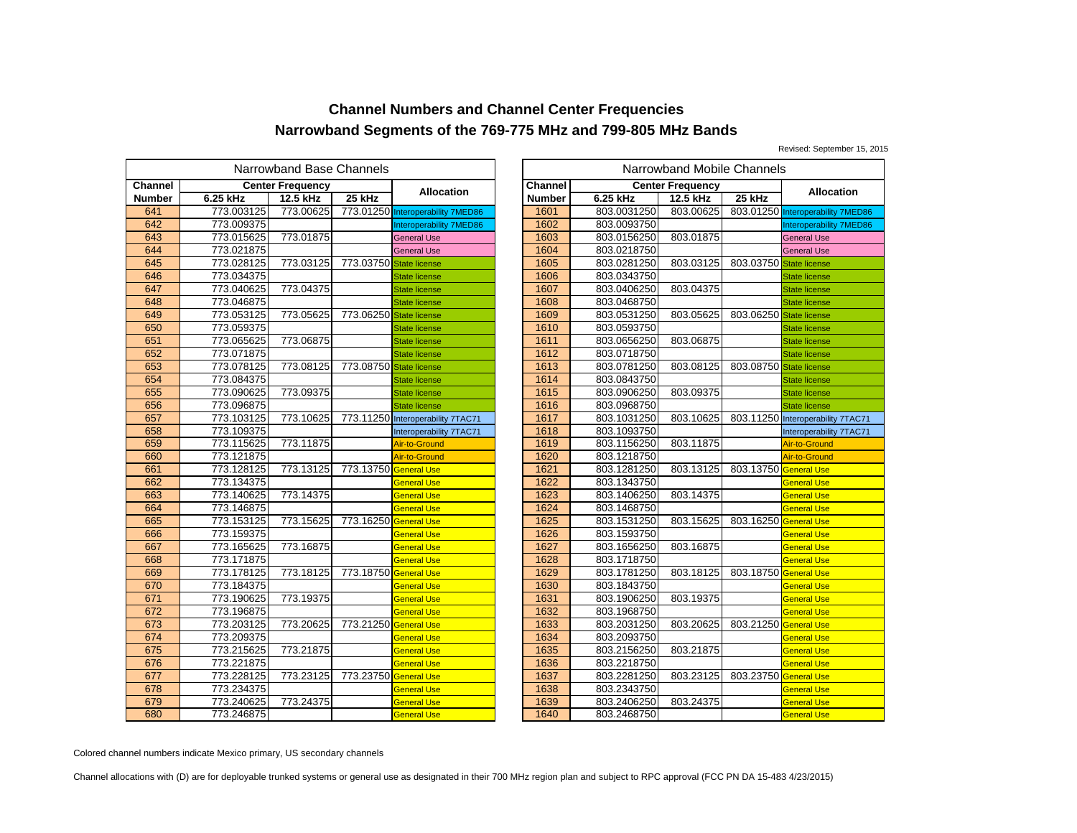Revised: September 15, 2015

| Narrowband Base Channels |            |                         |                         |                                   |  |                | Narrowband Mobile Channels |                         |           |
|--------------------------|------------|-------------------------|-------------------------|-----------------------------------|--|----------------|----------------------------|-------------------------|-----------|
| Channel                  |            | <b>Center Frequency</b> |                         |                                   |  | <b>Channel</b> |                            | <b>Center Frequency</b> |           |
| <b>Number</b>            | 6.25 kHz   | 12.5 kHz                | 25 kHz                  | <b>Allocation</b>                 |  | <b>Number</b>  | 6.25 kHz                   | 12.5 kHz                | 25 kHz    |
| 641                      | 773.003125 | 773.00625               |                         | 773.01250 Interoperability 7MED86 |  | 1601           | 803.0031250                | 803.00625               | 803.01250 |
| 642                      | 773.009375 |                         |                         | Interoperability 7MED86           |  | 1602           | 803.0093750                |                         |           |
| 643                      | 773.015625 | 773.01875               |                         | <b>General Use</b>                |  | 1603           | 803.0156250                | 803.01875               |           |
| 644                      | 773.021875 |                         |                         | <b>General Use</b>                |  | 1604           | 803.0218750                |                         |           |
| 645                      | 773.028125 | 773.03125               | 773.03750 State license |                                   |  | 1605           | 803.0281250                | 803.03125               | 803.03750 |
| 646                      | 773.034375 |                         |                         | <b>State license</b>              |  | 1606           | 803.0343750                |                         |           |
| 647                      | 773.040625 | 773.04375               |                         | <b>State license</b>              |  | 1607           | 803.0406250                | 803.04375               |           |
| 648                      | 773.046875 |                         |                         | <b>State license</b>              |  | 1608           | 803.0468750                |                         |           |
| 649                      | 773.053125 | 773.05625               | 773.06250 State license |                                   |  | 1609           | 803.0531250                | 803.05625               | 803.06250 |
| 650                      | 773.059375 |                         |                         | <b>State license</b>              |  | 1610           | 803.0593750                |                         |           |
| 651                      | 773.065625 | 773.06875               |                         | <b>State license</b>              |  | 1611           | 803.0656250                | 803.06875               |           |
| 652                      | 773.071875 |                         |                         | <b>State license</b>              |  | 1612           | 803.0718750                |                         |           |
| 653                      | 773.078125 | 773.08125               | 773.08750 State license |                                   |  | 1613           | 803.0781250                | 803.08125               | 803.08750 |
| 654                      | 773.084375 |                         |                         | <b>State license</b>              |  | 1614           | 803.0843750                |                         |           |
| 655                      | 773.090625 | 773.09375               |                         | <b>State license</b>              |  | 1615           | 803.0906250                | 803.09375               |           |
| 656                      | 773.096875 |                         |                         | <b>State license</b>              |  | 1616           | 803.0968750                |                         |           |
| 657                      | 773.103125 | 773.10625               |                         | 773.11250 Interoperability 7TAC71 |  | 1617           | 803.1031250                | 803.10625               | 803.11250 |
| 658                      | 773.109375 |                         |                         | Interoperability 7TAC71           |  | 1618           | 803.1093750                |                         |           |
| 659                      | 773.115625 | 773.11875               |                         | Air-to-Ground                     |  | 1619           | 803.1156250                | 803.11875               |           |
| 660                      | 773.121875 |                         |                         | Air-to-Ground                     |  | 1620           | 803.1218750                |                         |           |
| 661                      | 773.128125 | 773.13125               | 773.13750 General Use   |                                   |  | 1621           | 803.1281250                | 803.13125               | 803.13750 |
| 662                      | 773.134375 |                         |                         | General Use                       |  | 1622           | 803.1343750                |                         |           |
| 663                      | 773.140625 | 773.14375               |                         | General Use                       |  | 1623           | 803.1406250                | 803.14375               |           |
| 664                      | 773.146875 |                         |                         | <b>General Use</b>                |  | 1624           | 803.1468750                |                         |           |
| 665                      | 773.153125 | 773.15625               | 773.16250 General Use   |                                   |  | 1625           | 803.1531250                | 803.15625               | 803.16250 |
| 666                      | 773.159375 |                         |                         | General Use                       |  | 1626           | 803.1593750                |                         |           |
| 667                      | 773.165625 | 773.16875               |                         | General Use                       |  | 1627           | 803.1656250                | 803.16875               |           |
| 668                      | 773.171875 |                         |                         | <b>General Use</b>                |  | 1628           | 803.1718750                |                         |           |
| 669                      | 773.178125 | 773.18125               | 773.18750 General Use   |                                   |  | 1629           | 803.1781250                | 803.18125               | 803.18750 |
| 670                      | 773.184375 |                         |                         | General Use                       |  | 1630           | 803.1843750                |                         |           |
| 671                      | 773.190625 | 773.19375               |                         | <b>General Use</b>                |  | 1631           | 803.1906250                | 803.19375               |           |
| 672                      | 773.196875 |                         |                         | <b>General Use</b>                |  | 1632           | 803.1968750                |                         |           |
| 673                      | 773.203125 | 773.20625               | 773.21250 General Use   |                                   |  | 1633           | 803.2031250                | 803.20625               | 803.21250 |
| 674                      | 773.209375 |                         |                         | General Use                       |  | 1634           | 803.2093750                |                         |           |
| 675                      | 773.215625 | 773.21875               |                         | General Use                       |  | 1635           | 803.2156250                | 803.21875               |           |
| 676                      | 773.221875 |                         |                         | <b>General Use</b>                |  | 1636           | 803.2218750                |                         |           |
| 677                      | 773.228125 | 773.23125               | 773.23750 General Use   |                                   |  | 1637           | 803.2281250                | 803.23125               | 803.23750 |
| 678                      | 773.234375 |                         |                         | General Use                       |  | 1638           | 803.2343750                |                         |           |
| 679                      | 773.240625 | 773.24375               |                         | General Use                       |  | 1639           | 803.2406250                | 803.24375               |           |
| 680                      | 773.246875 |                         |                         | <b>General Use</b>                |  | 1640           | 803.2468750                |                         |           |

|               | owband Base Channels |                         |                                   |               |             | Narrowband Mobile Channels |                         |                                   |
|---------------|----------------------|-------------------------|-----------------------------------|---------------|-------------|----------------------------|-------------------------|-----------------------------------|
|               | iter Frequency       |                         |                                   | Channel       |             | <b>Center Frequency</b>    |                         |                                   |
|               | 12.5 kHz             | 25 kHz                  | <b>Allocation</b>                 | <b>Number</b> | 6.25 kHz    | 12.5 kHz                   | 25 kHz                  | <b>Allocation</b>                 |
| 5             | 773.00625            |                         | 773.01250 Interoperability 7MED86 | 1601          | 803.0031250 | 803.00625                  |                         | 803.01250 Interoperability 7MED86 |
|               |                      |                         | Interoperability 7MED86           | 1602          | 803.0093750 |                            |                         | Interoperability 7MED86           |
| $rac{5}{5}$   | 773.01875            |                         | <b>General Use</b>                | 1603          | 803.0156250 | 803.01875                  |                         | <b>General Use</b>                |
|               |                      |                         | <b>General Use</b>                | 1604          | 803.0218750 |                            |                         | <b>General Use</b>                |
| $\frac{5}{5}$ | 773.03125            | 773.03750 State license |                                   | 1605          | 803.0281250 | 803.03125                  | 803.03750 State license |                                   |
|               |                      |                         | <b>State license</b>              | 1606          | 803.0343750 |                            |                         | <b>State license</b>              |
|               | 773.04375            |                         | <b>State license</b>              | 1607          | 803.0406250 | 803.04375                  |                         | <b>State license</b>              |
| $rac{5}{5}$   |                      |                         | <b>State license</b>              | 1608          | 803.0468750 |                            |                         | <b>State license</b>              |
| 5             | 773.05625            | 773.06250 State license |                                   | 1609          | 803.0531250 | 803.05625                  | 803.06250 State license |                                   |
|               |                      |                         | <b>State license</b>              | 1610          | 803.0593750 |                            |                         | <b>State license</b>              |
| $rac{5}{5}$   | 773.06875            |                         | <b>State license</b>              | 1611          | 803.0656250 | 803.06875                  |                         | <b>State license</b>              |
|               |                      |                         | <b>State license</b>              | 1612          | 803.0718750 |                            |                         | <b>State license</b>              |
| $\frac{5}{5}$ | 773.08125            | 773.08750 State license |                                   | 1613          | 803.0781250 | 803.08125                  | 803.08750 State license |                                   |
|               |                      |                         | <b>State license</b>              | 1614          | 803.0843750 |                            |                         | <b>State license</b>              |
|               | 773.09375            |                         | <b>State license</b>              | 1615          | 803.0906250 | 803.09375                  |                         | <b>State license</b>              |
| $\frac{5}{5}$ |                      |                         | <b>State license</b>              | 1616          | 803.0968750 |                            |                         | <b>State license</b>              |
|               | 773.10625            |                         | 773.11250 Interoperability 7TAC71 | 1617          | 803.1031250 | 803.10625                  |                         | 803.11250 Interoperability 7TAC71 |
|               |                      |                         | Interoperability 7TAC71           | 1618          | 803.1093750 |                            |                         | Interoperability 7TAC71           |
| $rac{5}{5}$   | 773.11875            |                         | Air-to-Ground                     | 1619          | 803.1156250 | 803.11875                  |                         | Air-to-Ground                     |
|               |                      |                         | Air-to-Ground                     | 1620          | 803.1218750 |                            |                         | Air-to-Ground                     |
| $\frac{5}{5}$ | 773.13125            | 773.13750 General Use   |                                   | 1621          | 803.1281250 | 803.13125                  | 803.13750 General Use   |                                   |
|               |                      |                         | <b>General Use</b>                | 1622          | 803.1343750 |                            |                         | <b>General Use</b>                |
|               | 773.14375            |                         | <b>General Use</b>                | 1623          | 803.1406250 | 803.14375                  |                         | <b>General Use</b>                |
|               |                      |                         | <b>General Use</b>                | 1624          | 803.1468750 |                            |                         | <b>General Use</b>                |
|               | 773.15625            | 773.16250 General Use   |                                   | 1625          | 803.1531250 | 803.15625                  | 803.16250 General Use   |                                   |
|               |                      |                         | <b>General Use</b>                | 1626          | 803.1593750 |                            |                         | <b>General Use</b>                |
|               | 773.16875            |                         | <b>General Use</b>                | 1627          | 803.1656250 | 803.16875                  |                         | <b>General Use</b>                |
|               |                      |                         | <b>General Use</b>                | 1628          | 803.1718750 |                            |                         | <b>General Use</b>                |
|               | 773.18125            | 773.18750 General Use   |                                   | 1629          | 803.1781250 | 803.18125                  | 803.18750 General Use   |                                   |
|               |                      |                         | <b>General Use</b>                | 1630          | 803.1843750 |                            |                         | <b>General Use</b>                |
|               | 773.19375            |                         | <b>General Use</b>                | 1631          | 803.1906250 | 803.19375                  |                         | <b>General Use</b>                |
|               |                      |                         | <b>General Use</b>                | 1632          | 803.1968750 |                            |                         | <b>General Use</b>                |
|               | 773.20625            | 773.21250 General Use   |                                   | 1633          | 803.2031250 | 803.20625                  | 803.21250 General Use   |                                   |
| $rac{5}{5}$   |                      |                         | <b>General Use</b>                | 1634          | 803.2093750 |                            |                         | <b>General Use</b>                |
|               | 773.21875            |                         | <b>General Use</b>                | 1635          | 803.2156250 | 803.21875                  |                         | <b>General Use</b>                |
| $\frac{5}{5}$ |                      |                         | <b>General Use</b>                | 1636          | 803.2218750 |                            |                         | <b>General Use</b>                |
|               | 773.23125            | 773.23750               | <b>General Use</b>                | 1637          | 803.2281250 | 803.23125                  | 803.23750 General Use   |                                   |
| 5             |                      |                         | <b>General Use</b>                | 1638          | 803.2343750 |                            |                         | <b>General Use</b>                |
| $\frac{5}{5}$ | 773.24375            |                         | General Use                       | 1639          | 803.2406250 | 803.24375                  |                         | <b>General Use</b>                |
|               |                      |                         | <b>General Use</b>                | 1640          | 803.2468750 |                            |                         | <b>General Use</b>                |

Colored channel numbers indicate Mexico primary, US secondary channels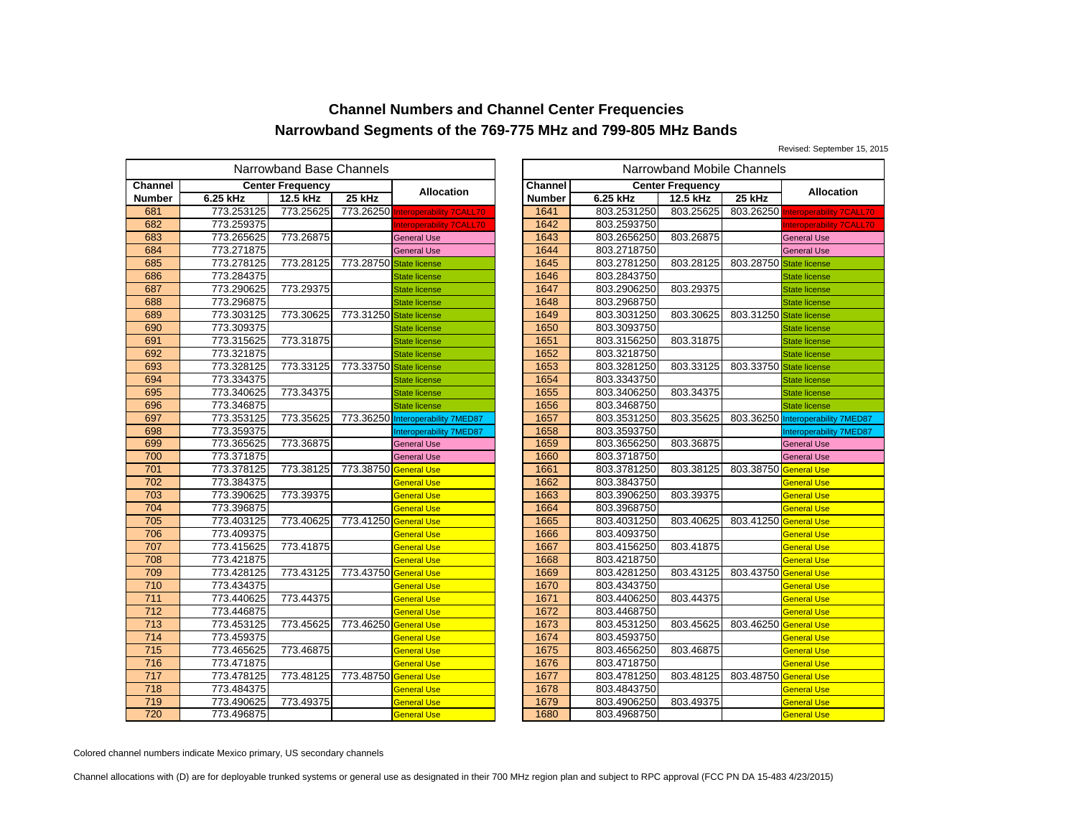Revised: September 15, 2015

| Narrowband Base Channels |            |                         |                       |                                   |  |                |             | Narrowband Mobile Channels |           |
|--------------------------|------------|-------------------------|-----------------------|-----------------------------------|--|----------------|-------------|----------------------------|-----------|
| Channel                  |            | <b>Center Frequency</b> |                       | <b>Allocation</b>                 |  | <b>Channel</b> |             | <b>Center Frequency</b>    |           |
| <b>Number</b>            | 6.25 kHz   | 12.5 kHz                | 25 kHz                |                                   |  | Number         | 6.25 kHz    | 12.5 kHz                   | 25 kHz    |
| 681                      | 773.253125 | 773.25625               | 773.26250             | <b>Interoperability 7CALL70</b>   |  | 1641           | 803.2531250 | 803.25625                  | 803.26250 |
| 682                      | 773.259375 |                         |                       | nteroperability 7CALL70           |  | 1642           | 803.2593750 |                            |           |
| 683                      | 773.265625 | 773.26875               |                       | <b>General Use</b>                |  | 1643           | 803.2656250 | 803.26875                  |           |
| 684                      | 773.271875 |                         |                       | <b>General Use</b>                |  | 1644           | 803.2718750 |                            |           |
| 685                      | 773.278125 | 773.28125               | 773.28750             | <b>State license</b>              |  | 1645           | 803.2781250 | 803.28125                  | 803.28750 |
| 686                      | 773.284375 |                         |                       | <b>State license</b>              |  | 1646           | 803.2843750 |                            |           |
| 687                      | 773.290625 | 773.29375               |                       | <b>State license</b>              |  | 1647           | 803.2906250 | 803.29375                  |           |
| 688                      | 773.296875 |                         |                       | <b>State license</b>              |  | 1648           | 803.2968750 |                            |           |
| 689                      | 773.303125 | 773.30625               | 773.31250             | <b>State license</b>              |  | 1649           | 803.3031250 | 803.30625                  | 803.31250 |
| 690                      | 773.309375 |                         |                       | <b>State license</b>              |  | 1650           | 803.3093750 |                            |           |
| 691                      | 773.315625 | 773.31875               |                       | <b>State license</b>              |  | 1651           | 803.3156250 | 803.31875                  |           |
| 692                      | 773.321875 |                         |                       | <b>State license</b>              |  | 1652           | 803.3218750 |                            |           |
| 693                      | 773.328125 | 773.33125               | 773.33750             | <b>State license</b>              |  | 1653           | 803.3281250 | 803.33125                  | 803.33750 |
| 694                      | 773.334375 |                         |                       | <b>State license</b>              |  | 1654           | 803.3343750 |                            |           |
| 695                      | 773.340625 | 773.34375               |                       | <b>State license</b>              |  | 1655           | 803.3406250 | 803.34375                  |           |
| 696                      | 773.346875 |                         |                       | <b>State license</b>              |  | 1656           | 803.3468750 |                            |           |
| 697                      | 773.353125 | 773.35625               |                       | 773.36250 Interoperability 7MED87 |  | 1657           | 803.3531250 | 803.35625                  | 803.36250 |
| 698                      | 773.359375 |                         |                       | Interoperability 7MED87           |  | 1658           | 803.3593750 |                            |           |
| 699                      | 773.365625 | 773.36875               |                       | <b>General Use</b>                |  | 1659           | 803.3656250 | 803.36875                  |           |
| 700                      | 773.371875 |                         |                       | <b>General Use</b>                |  | 1660           | 803.3718750 |                            |           |
| 701                      | 773.378125 | 773.38125               | 773.38750             | <b>General Use</b>                |  | 1661           | 803.3781250 | 803.38125                  | 803.38750 |
| 702                      | 773.384375 |                         |                       | General Use                       |  | 1662           | 803.3843750 |                            |           |
| 703                      | 773.390625 | 773.39375               |                       | General Use                       |  | 1663           | 803.3906250 | 803.39375                  |           |
| 704                      | 773.396875 |                         |                       | <b>General Use</b>                |  | 1664           | 803.3968750 |                            |           |
| 705                      | 773.403125 | 773.40625               | 773.41250 General Use |                                   |  | 1665           | 803.4031250 | 803.40625                  | 803.41250 |
| 706                      | 773.409375 |                         |                       | General Use                       |  | 1666           | 803.4093750 |                            |           |
| 707                      | 773.415625 | 773.41875               |                       | General Use                       |  | 1667           | 803.4156250 | 803.41875                  |           |
| 708                      | 773.421875 |                         |                       | <b>General Use</b>                |  | 1668           | 803.4218750 |                            |           |
| 709                      | 773.428125 | 773.43125               | 773.43750 General Use |                                   |  | 1669           | 803.4281250 | 803.43125                  | 803.43750 |
| 710                      | 773.434375 |                         |                       | <b>General Use</b>                |  | 1670           | 803.4343750 |                            |           |
| $\overline{711}$         | 773.440625 | 773.44375               |                       | <b>General Use</b>                |  | 1671           | 803.4406250 | 803.44375                  |           |
| 712                      | 773.446875 |                         |                       | <b>General Use</b>                |  | 1672           | 803.4468750 |                            |           |
| 713                      | 773.453125 | 773.45625               | 773.46250             | <b>General Use</b>                |  | 1673           | 803.4531250 | 803.45625                  | 803.46250 |
| 714                      | 773.459375 |                         |                       | General Use                       |  | 1674           | 803.4593750 |                            |           |
| 715                      | 773.465625 | 773.46875               |                       | <b>General Use</b>                |  | 1675           | 803.4656250 | 803.46875                  |           |
| 716                      | 773.471875 |                         |                       | <b>General Use</b>                |  | 1676           | 803.4718750 |                            |           |
| 717                      | 773.478125 | 773.48125               | 773.48750             | <b>General Use</b>                |  | 1677           | 803.4781250 | 803.48125                  | 803.48750 |
| 718                      | 773.484375 |                         |                       | General Use                       |  | 1678           | 803.4843750 |                            |           |
| 719                      | 773.490625 | 773.49375               |                       | General Use                       |  | 1679           | 803.4906250 | 803.49375                  |           |
| 720                      | 773.496875 |                         |                       | <b>General Use</b>                |  | 1680           | 803.4968750 |                            |           |

|                                           |               | owband Base Channels<br>Narrowband Mobile Channels |                                    |               |             |                  |                         |                                    |
|-------------------------------------------|---------------|----------------------------------------------------|------------------------------------|---------------|-------------|------------------|-------------------------|------------------------------------|
|                                           | ter Frequency |                                                    | <b>Allocation</b>                  | Channel       |             | Center Frequency |                         | <b>Allocation</b>                  |
|                                           | 12.5 kHz      | 25 kHz                                             |                                    | <b>Number</b> | 6.25 kHz    | 12.5 kHz         | 25 kHz                  |                                    |
|                                           | 773.25625     |                                                    | 773.26250 Interoperability 7CALL70 | 1641          | 803.2531250 | 803.25625        |                         | 803.26250 Interoperability 7CALL70 |
| $rac{5}{5}$                               |               |                                                    | <b>Interoperability 7CALL70</b>    | 1642          | 803.2593750 |                  |                         | <b>Interoperability 7CALL70</b>    |
|                                           | 773.26875     |                                                    | <b>General Use</b>                 | 1643          | 803.2656250 | 803.26875        |                         | <b>General Use</b>                 |
|                                           |               |                                                    | <b>General Use</b>                 | 1644          | 803.2718750 |                  |                         | <b>General Use</b>                 |
| $\frac{5}{5}$                             | 773.28125     | 773.28750 State license                            |                                    | 1645          | 803.2781250 | 803.28125        | 803.28750 State license |                                    |
| 5                                         |               |                                                    | <b>State license</b>               | 1646          | 803.2843750 |                  |                         | <b>State license</b>               |
|                                           | 773.29375     |                                                    | <b>State license</b>               | 1647          | 803.2906250 | 803.29375        |                         | <b>State license</b>               |
| $\frac{5}{5}$                             |               |                                                    | <b>State license</b>               | 1648          | 803.2968750 |                  |                         | <b>State license</b>               |
|                                           | 773.30625     | 773.31250 State license                            |                                    | 1649          | 803.3031250 | 803.30625        | 803.31250 State license |                                    |
|                                           |               |                                                    | <b>State license</b>               | 1650          | 803.3093750 |                  |                         | <b>State license</b>               |
| 5                                         | 773.31875     |                                                    | <b>State license</b>               | 1651          | 803.3156250 | 803.31875        |                         | <b>State license</b>               |
|                                           |               |                                                    | <b>State license</b>               | 1652          | 803.3218750 |                  |                         | <b>State license</b>               |
| $rac{5}{5}$                               | 773.33125     | 773.33750 State license                            |                                    | 1653          | 803.3281250 | 803.33125        | 803.33750 State license |                                    |
|                                           |               |                                                    | <b>State license</b>               | 1654          | 803.3343750 |                  |                         | <b>State license</b>               |
| $\frac{5}{5}$                             | 773.34375     |                                                    | <b>State license</b>               | 1655          | 803.3406250 | 803.34375        |                         | <b>State license</b>               |
|                                           |               |                                                    | <b>State license</b>               | 1656          | 803.3468750 |                  |                         | <b>State license</b>               |
|                                           | 773.35625     |                                                    | 773.36250 Interoperability 7MED87  | 1657          | 803.3531250 | 803.35625        |                         | 803.36250 Interoperability 7MED87  |
|                                           |               |                                                    | Interoperability 7MED87            | 1658          | 803.3593750 |                  |                         | Interoperability 7MED87            |
| $\frac{5}{5}$ $\frac{5}{5}$ $\frac{5}{5}$ | 773.36875     |                                                    | <b>General Use</b>                 | 1659          | 803.3656250 | 803.36875        |                         | <b>General Use</b>                 |
|                                           |               |                                                    | <b>General Use</b>                 | 1660          | 803.3718750 |                  |                         | <b>General Use</b>                 |
|                                           | 773.38125     | 773.38750                                          | <b>General Use</b>                 | 1661          | 803.3781250 | 803.38125        | 803.38750               | <b>General Use</b>                 |
|                                           |               |                                                    | <b>General Use</b>                 | 1662          | 803.3843750 |                  |                         | <b>General Use</b>                 |
| $\frac{5}{5}$ $\frac{5}{5}$               | 773.39375     |                                                    | <b>General Use</b>                 | 1663          | 803.3906250 | 803.39375        |                         | <b>General Use</b>                 |
|                                           |               |                                                    | <b>General Use</b>                 | 1664          | 803.3968750 |                  |                         | <b>General Use</b>                 |
|                                           | 773.40625     | 773.41250                                          | <b>General Use</b>                 | 1665          | 803.4031250 | 803.40625        | 803.41250 General Use   |                                    |
|                                           |               |                                                    | <b>General Use</b>                 | 1666          | 803.4093750 |                  |                         | <b>General Use</b>                 |
| 5                                         | 773.41875     |                                                    | <b>General Use</b>                 | 1667          | 803.4156250 | 803.41875        |                         | <b>General Use</b>                 |
|                                           |               |                                                    | <b>General Use</b>                 | 1668          | 803.4218750 |                  |                         | <b>General Use</b>                 |
|                                           | 773.43125     | 773.43750 General Use                              |                                    | 1669          | 803.4281250 | 803.43125        | 803.43750 General Use   |                                    |
| $\frac{5}{5}$                             |               |                                                    | <b>General Use</b>                 | 1670          | 803.4343750 |                  |                         | <b>General Use</b>                 |
|                                           | 773.44375     |                                                    | General Use                        | 1671          | 803.4406250 | 803.44375        |                         | <b>General Use</b>                 |
| 5                                         |               |                                                    | <b>General Use</b>                 | 1672          | 803.4468750 |                  |                         | <b>General Use</b>                 |
|                                           | 773.45625     | 773.46250 General Use                              |                                    | 1673          | 803.4531250 | 803.45625        | 803.46250 General Use   |                                    |
| $rac{5}{5}$                               |               |                                                    | <b>General Use</b>                 | 1674          | 803.4593750 |                  |                         | <b>General Use</b>                 |
| 5                                         | 773.46875     |                                                    | General Use                        | 1675          | 803.4656250 | 803.46875        |                         | <b>General Use</b>                 |
|                                           |               |                                                    | <b>General Use</b>                 | 1676          | 803.4718750 |                  |                         | <b>General Use</b>                 |
| $rac{5}{5}$                               | 773.48125     | 773.48750 General Use                              |                                    | 1677          | 803.4781250 | 803.48125        | 803.48750 General Use   |                                    |
|                                           |               |                                                    | <b>General Use</b>                 | 1678          | 803.4843750 |                  |                         | <b>General Use</b>                 |
| $\frac{5}{5}$                             | 773.49375     |                                                    | General Use                        | 1679          | 803.4906250 | 803.49375        |                         | <b>General Use</b>                 |
|                                           |               |                                                    | <b>General Use</b>                 | 1680          | 803.4968750 |                  |                         | <b>General Use</b>                 |

Colored channel numbers indicate Mexico primary, US secondary channels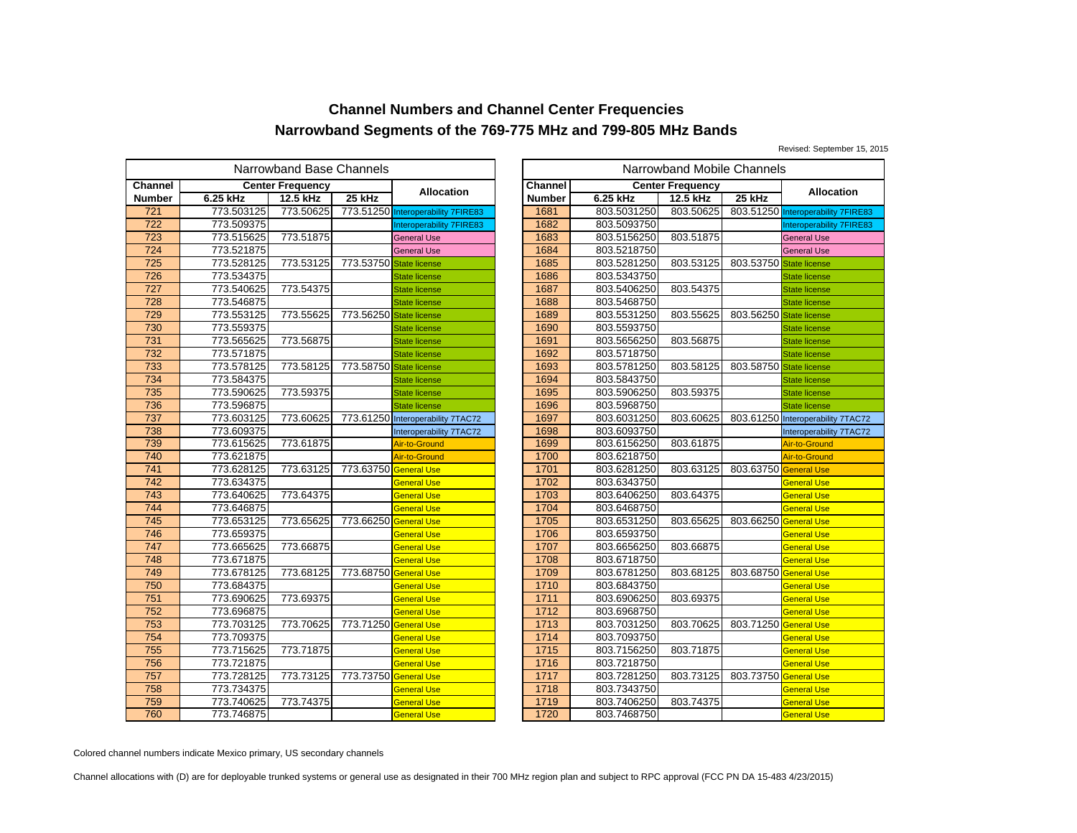Revised: September 15, 2015

|                  | Narrowband Base Channels |                         |                       |                                    |  |         |             | Narrowband Mobile Channels |           |
|------------------|--------------------------|-------------------------|-----------------------|------------------------------------|--|---------|-------------|----------------------------|-----------|
| <b>Channel</b>   |                          | <b>Center Frequency</b> |                       | <b>Allocation</b>                  |  | Channel |             | <b>Center Frequency</b>    |           |
| <b>Number</b>    | 6.25 kHz                 | 12.5 kHz                | 25 kHz                |                                    |  | Number  | 6.25 kHz    | 12.5 kHz                   | 25 kHz    |
| 721              | 773.503125               | 773.50625               |                       | 773.51250 Interoperability 7FIRE83 |  | 1681    | 803.5031250 | 803.50625                  | 803.51250 |
| $\overline{722}$ | 773.509375               |                         |                       | Interoperability 7FIRE83           |  | 1682    | 803.5093750 |                            |           |
| 723              | 773.515625               | 773.51875               |                       | <b>General Use</b>                 |  | 1683    | 803.5156250 | 803.51875                  |           |
| 724              | 773.521875               |                         |                       | <b>General Use</b>                 |  | 1684    | 803.5218750 |                            |           |
| 725              | 773.528125               | 773.53125               | 773.53750             | <b>State license</b>               |  | 1685    | 803.5281250 | 803.53125                  | 803.53750 |
| 726              | 773.534375               |                         |                       | <b>State license</b>               |  | 1686    | 803.5343750 |                            |           |
| 727              | 773.540625               | 773.54375               |                       | <b>State license</b>               |  | 1687    | 803.5406250 | 803.54375                  |           |
| 728              | 773.546875               |                         |                       | <b>State license</b>               |  | 1688    | 803.5468750 |                            |           |
| 729              | 773.553125               | 773.55625               | 773.56250             | <b>State license</b>               |  | 1689    | 803.5531250 | 803.55625                  | 803.56250 |
| 730              | 773.559375               |                         |                       | <b>State license</b>               |  | 1690    | 803.5593750 |                            |           |
| 731              | 773.565625               | 773.56875               |                       | <b>State license</b>               |  | 1691    | 803.5656250 | 803.56875                  |           |
| 732              | 773.571875               |                         |                       | <b>State license</b>               |  | 1692    | 803.5718750 |                            |           |
| 733              | 773.578125               | 773.58125               | 773.58750             | <b>State license</b>               |  | 1693    | 803.5781250 | 803.58125                  | 803.58750 |
| 734              | 773.584375               |                         |                       | <b>State license</b>               |  | 1694    | 803.5843750 |                            |           |
| 735              | 773.590625               | 773.59375               |                       | <b>State license</b>               |  | 1695    | 803.5906250 | 803.59375                  |           |
| 736              | 773.596875               |                         |                       | <b>State license</b>               |  | 1696    | 803.5968750 |                            |           |
| 737              | 773.603125               | 773.60625               |                       | 773.61250 Interoperability 7TAC72  |  | 1697    | 803.6031250 | 803.60625                  | 803.61250 |
| 738              | 773.609375               |                         |                       | Interoperability 7TAC72            |  | 1698    | 803.6093750 |                            |           |
| 739              | 773.615625               | 773.61875               |                       | Air-to-Ground                      |  | 1699    | 803.6156250 | 803.61875                  |           |
| 740              | 773.621875               |                         |                       | Air-to-Ground                      |  | 1700    | 803.6218750 |                            |           |
| 741              | 773.628125               | 773.63125               | 773.63750 General Use |                                    |  | 1701    | 803.6281250 | 803.63125                  | 803.63750 |
| 742              | 773.634375               |                         |                       | General Use                        |  | 1702    | 803.6343750 |                            |           |
| $\overline{743}$ | 773.640625               | 773.64375               |                       | General Use                        |  | 1703    | 803.6406250 | 803.64375                  |           |
| 744              | 773.646875               |                         |                       | <b>General Use</b>                 |  | 1704    | 803.6468750 |                            |           |
| 745              | 773.653125               | 773.65625               | 773.66250             | <b>General Use</b>                 |  | 1705    | 803.6531250 | 803.65625                  | 803.66250 |
| 746              | 773.659375               |                         |                       | General Use                        |  | 1706    | 803.6593750 |                            |           |
| 747              | 773.665625               | 773.66875               |                       | <b>General Use</b>                 |  | 1707    | 803.6656250 | 803.66875                  |           |
| 748              | 773.671875               |                         |                       | <b>General Use</b>                 |  | 1708    | 803.6718750 |                            |           |
| 749              | 773.678125               | 773.68125               | 773.68750 General Use |                                    |  | 1709    | 803.6781250 | 803.68125                  | 803.68750 |
| 750              | 773.684375               |                         |                       | <b>General Use</b>                 |  | 1710    | 803.6843750 |                            |           |
| 751              | 773.690625               | 773.69375               |                       | <b>General Use</b>                 |  | 1711    | 803.6906250 | 803.69375                  |           |
| 752              | 773.696875               |                         |                       | <b>General Use</b>                 |  | 1712    | 803.6968750 |                            |           |
| 753              | 773.703125               | 773.70625               | 773.71250             | <b>General Use</b>                 |  | 1713    | 803.7031250 | 803.70625                  | 803.71250 |
| 754              | 773.709375               |                         |                       | General Use                        |  | 1714    | 803.7093750 |                            |           |
| 755              | 773.715625               | 773.71875               |                       | <b>General Use</b>                 |  | 1715    | 803.7156250 | 803.71875                  |           |
| 756              | 773.721875               |                         |                       | <b>General Use</b>                 |  | 1716    | 803.7218750 |                            |           |
| 757              | 773.728125               | 773.73125               | 773.73750             | <b>General Use</b>                 |  | 1717    | 803.7281250 | 803.73125                  | 803.73750 |
| 758              | 773.734375               |                         |                       | General Use                        |  | 1718    | 803.7343750 |                            |           |
| 759              | 773.740625               | 773.74375               |                       | General Use                        |  | 1719    | 803.7406250 | 803.74375                  |           |
| 760              | 773.746875               |                         |                       | <b>General Use</b>                 |  | 1720    | 803.7468750 |                            |           |

|                                           | owband Base Channels<br>Narrowband Mobile Channels |                         |                                    |               |             |                         |                         |                                    |
|-------------------------------------------|----------------------------------------------------|-------------------------|------------------------------------|---------------|-------------|-------------------------|-------------------------|------------------------------------|
|                                           | ıter Frequency                                     |                         | <b>Allocation</b>                  | Channel       |             | <b>Center Frequency</b> |                         | Allocation                         |
|                                           | 12.5 kHz                                           | 25 kHz                  |                                    | <b>Number</b> | 6.25 kHz    | 12.5 kHz                | 25 kHz                  |                                    |
|                                           | 773.50625                                          |                         | 773.51250 Interoperability 7FIRE83 | 1681          | 803.5031250 | 803.50625               |                         | 803.51250 Interoperability 7FIRE83 |
|                                           |                                                    |                         | Interoperability 7FIRE83           | 1682          | 803.5093750 |                         |                         | Interoperability 7FIRE83           |
|                                           | 773.51875                                          |                         | <b>General Use</b>                 | 1683          | 803.5156250 | 803.51875               |                         | <b>General Use</b>                 |
|                                           |                                                    |                         | <b>General Use</b>                 | 1684          | 803.5218750 |                         |                         | <b>General Use</b>                 |
| $\frac{5}{5}$ $\frac{5}{5}$ $\frac{5}{5}$ | 773.53125                                          | 773.53750               | <b>State license</b>               | 1685          | 803.5281250 | 803.53125               | 803.53750 State license |                                    |
| 5                                         |                                                    |                         | <b>State license</b>               | 1686          | 803.5343750 |                         |                         | <b>State license</b>               |
|                                           | 773.54375                                          |                         | <b>State license</b>               | 1687          | 803.5406250 | 803.54375               |                         | <b>State license</b>               |
|                                           |                                                    |                         | <b>State license</b>               | 1688          | 803.5468750 |                         |                         | <b>State license</b>               |
|                                           | 773.55625                                          | 773.56250               | <b>State license</b>               | 1689          | 803.5531250 | 803.55625               | 803.56250 State license |                                    |
| 5<br>5<br>5<br>5<br>5<br>5                |                                                    |                         | <b>State license</b>               | 1690          | 803.5593750 |                         |                         | <b>State license</b>               |
|                                           | 773.56875                                          |                         | <b>State license</b>               | 1691          | 803.5656250 | 803.56875               |                         | <b>State license</b>               |
|                                           |                                                    |                         | <b>State license</b>               | 1692          | 803.5718750 |                         |                         | <b>State license</b>               |
|                                           | 773.58125                                          | 773.58750 State license |                                    | 1693          | 803.5781250 | 803.58125               | 803.58750 State license |                                    |
| 5<br>5<br>5<br>5                          |                                                    |                         | <b>State license</b>               | 1694          | 803.5843750 |                         |                         | <b>State license</b>               |
|                                           | 773.59375                                          |                         | <b>State license</b>               | 1695          | 803.5906250 | 803.59375               |                         | <b>State license</b>               |
|                                           |                                                    |                         | <b>State license</b>               | 1696          | 803.5968750 |                         |                         | <b>State license</b>               |
|                                           | 773.60625                                          |                         | 773.61250 Interoperability 7TAC72  | 1697          | 803.6031250 | 803.60625               |                         | 803.61250 Interoperability 7TAC72  |
|                                           |                                                    |                         | Interoperability 7TAC72            | 1698          | 803.6093750 |                         |                         | Interoperability 7TAC72            |
|                                           | 773.61875                                          |                         | Air-to-Ground                      | 1699          | 803.6156250 | 803.61875               |                         | Air-to-Ground                      |
|                                           |                                                    |                         | Air-to-Ground                      | 1700          | 803.6218750 |                         |                         | Air-to-Ground                      |
|                                           | 773.63125                                          | 773.63750               | <b>General Use</b>                 | 1701          | 803.6281250 | 803.63125               | 803.63750               | <b>General Use</b>                 |
|                                           |                                                    |                         | <b>General Use</b>                 | 1702          | 803.6343750 |                         |                         | <b>General Use</b>                 |
|                                           | 773.64375                                          |                         | <b>General Use</b>                 | 1703          | 803.6406250 | 803.64375               |                         | <b>General Use</b>                 |
|                                           |                                                    |                         | <b>General Use</b>                 | 1704          | 803.6468750 |                         |                         | <b>General Use</b>                 |
|                                           | 773.65625                                          | 773.66250               | <b>General Use</b>                 | 1705          | 803.6531250 | 803.65625               | 803.66250 General Use   |                                    |
|                                           |                                                    |                         | <b>General Use</b>                 | 1706          | 803.6593750 |                         |                         | <b>General Use</b>                 |
|                                           | 773.66875                                          |                         | <b>General Use</b>                 | 1707          | 803.6656250 | 803.66875               |                         | <b>General Use</b>                 |
|                                           |                                                    |                         | <b>General Use</b>                 | 1708          | 803.6718750 |                         |                         | <b>General Use</b>                 |
|                                           | 773.68125                                          | 773.68750               | <b>General Use</b>                 | 1709          | 803.6781250 | 803.68125               | 803.68750 General Use   |                                    |
|                                           |                                                    |                         | <b>General Use</b>                 | 1710          | 803.6843750 |                         |                         | <b>General Use</b>                 |
| $rac{5}{5}$                               | 773.69375                                          |                         | General Use                        | 1711          | 803.6906250 | 803.69375               |                         | <b>General Use</b>                 |
|                                           |                                                    |                         | <b>General Use</b>                 | 1712          | 803.6968750 |                         |                         | <b>General Use</b>                 |
| $\frac{5}{5}$                             | 773.70625                                          | 773.71250 General Use   |                                    | 1713          | 803.7031250 | 803.70625               | 803.71250 General Use   |                                    |
|                                           |                                                    |                         | <b>General Use</b>                 | 1714          | 803.7093750 |                         |                         | <b>General Use</b>                 |
|                                           | 773.71875                                          |                         | General Use                        | 1715          | 803.7156250 | 803.71875               |                         | <b>General Use</b>                 |
| $\frac{5}{5}$                             |                                                    |                         | <b>General Use</b>                 | 1716          | 803.7218750 |                         |                         | <b>General Use</b>                 |
|                                           | 773.73125                                          | 773.73750               | <b>General Use</b>                 | 1717          | 803.7281250 | 803.73125               | 803.73750               | <b>General Use</b>                 |
| 5                                         |                                                    |                         | General Use                        | 1718          | 803.7343750 |                         |                         | General Use                        |
| $\frac{5}{5}$                             | 773.74375                                          |                         | General Use                        | 1719          | 803.7406250 | 803.74375               |                         | <b>General Use</b>                 |
|                                           |                                                    |                         | <b>General Use</b>                 | 1720          | 803.7468750 |                         |                         | <b>General Use</b>                 |

Colored channel numbers indicate Mexico primary, US secondary channels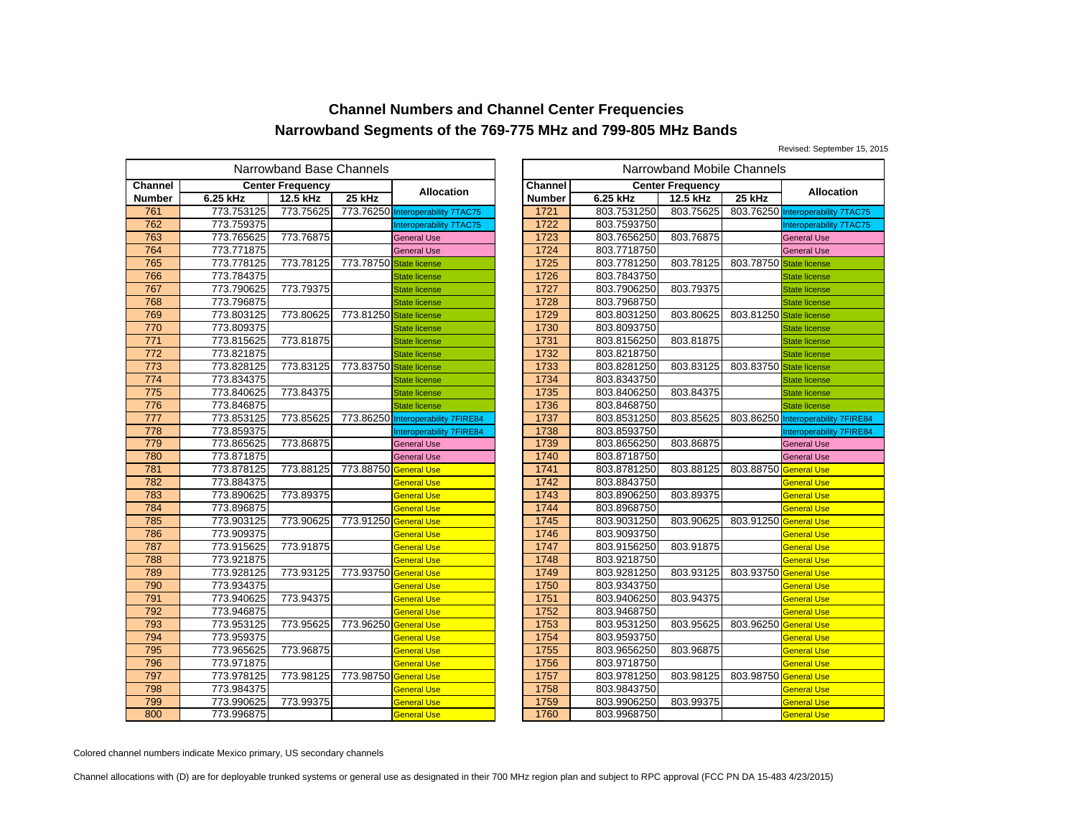Revised: September 15, 2015

|                | Narrowband Base Channels |                         |                       |                                    |  |               |             | Narrowband Mobile Channels |           |
|----------------|--------------------------|-------------------------|-----------------------|------------------------------------|--|---------------|-------------|----------------------------|-----------|
| <b>Channel</b> |                          | <b>Center Frequency</b> |                       | Allocation                         |  | Channel       |             | <b>Center Frequency</b>    |           |
| <b>Number</b>  | 6.25 kHz                 | 12.5 kHz                | 25 kHz                |                                    |  | <b>Number</b> | 6.25 kHz    | 12.5 kHz                   | 25 kHz    |
| 761            | 773.753125               | 773.75625               |                       | 773.76250 Interoperability 7TAC75  |  | 1721          | 803.7531250 | 803.75625                  | 803.76250 |
| 762            | 773.759375               |                         |                       | Interoperability 7TAC75            |  | 1722          | 803.7593750 |                            |           |
| 763            | 773.765625               | 773.76875               |                       | <b>General Use</b>                 |  | 1723          | 803.7656250 | 803.76875                  |           |
| 764            | 773.771875               |                         |                       | <b>General Use</b>                 |  | 1724          | 803.7718750 |                            |           |
| 765            | 773.778125               | 773.78125               | 773.78750             | <b>State license</b>               |  | 1725          | 803.7781250 | 803.78125                  | 803.78750 |
| 766            | 773.784375               |                         |                       | <b>State license</b>               |  | 1726          | 803.7843750 |                            |           |
| 767            | 773.790625               | 773.79375               |                       | <b>State license</b>               |  | 1727          | 803.7906250 | 803.79375                  |           |
| 768            | 773.796875               |                         |                       | <b>State license</b>               |  | 1728          | 803.7968750 |                            |           |
| 769            | 773.803125               | 773.80625               | 773.81250             | <b>State license</b>               |  | 1729          | 803.8031250 | 803.80625                  | 803.81250 |
| 770            | 773.809375               |                         |                       | <b>State license</b>               |  | 1730          | 803.8093750 |                            |           |
| 771            | 773.815625               | 773.81875               |                       | <b>State license</b>               |  | 1731          | 803.8156250 | 803.81875                  |           |
| 772            | 773.821875               |                         |                       | <b>State license</b>               |  | 1732          | 803.8218750 |                            |           |
| 773            | 773.828125               | 773.83125               | 773.83750             | <b>State license</b>               |  | 1733          | 803.8281250 | 803.83125                  | 803.83750 |
| 774            | 773.834375               |                         |                       | <b>State license</b>               |  | 1734          | 803.8343750 |                            |           |
| 775            | 773.840625               | 773.84375               |                       | <b>State license</b>               |  | 1735          | 803.8406250 | 803.84375                  |           |
| 776            | 773.846875               |                         |                       | <b>State license</b>               |  | 1736          | 803.8468750 |                            |           |
| 777            | 773.853125               | 773.85625               |                       | 773.86250 Interoperability 7FIRE84 |  | 1737          | 803.8531250 | 803.85625                  | 803.86250 |
| 778            | 773.859375               |                         |                       | Interoperability 7FIRE84           |  | 1738          | 803.8593750 |                            |           |
| 779            | 773.865625               | 773.86875               |                       | <b>General Use</b>                 |  | 1739          | 803.8656250 | 803.86875                  |           |
| 780            | 773.871875               |                         |                       | <b>General Use</b>                 |  | 1740          | 803.8718750 |                            |           |
| 781            | 773.878125               | 773.88125               | 773.88750             | <b>General Use</b>                 |  | 1741          | 803.8781250 | 803.88125                  | 803.88750 |
| 782            | 773.884375               |                         |                       | General Use                        |  | 1742          | 803.8843750 |                            |           |
| 783            | 773.890625               | 773.89375               |                       | General Use                        |  | 1743          | 803.8906250 | 803.89375                  |           |
| 784            | 773.896875               |                         |                       | <b>General Use</b>                 |  | 1744          | 803.8968750 |                            |           |
| 785            | 773.903125               | 773.90625               | 773.91250 General Use |                                    |  | 1745          | 803.9031250 | 803.90625                  | 803.91250 |
| 786            | 773.909375               |                         |                       | General Use                        |  | 1746          | 803.9093750 |                            |           |
| 787            | 773.915625               | 773.91875               |                       | <b>General Use</b>                 |  | 1747          | 803.9156250 | 803.91875                  |           |
| 788            | 773.921875               |                         |                       | <b>General Use</b>                 |  | 1748          | 803.9218750 |                            |           |
| 789            | 773.928125               | 773.93125               | 773.93750 General Use |                                    |  | 1749          | 803.9281250 | 803.93125                  | 803.93750 |
| 790            | 773.934375               |                         |                       | <b>General Use</b>                 |  | 1750          | 803.9343750 |                            |           |
| 791            | 773.940625               | 773.94375               |                       | <b>General Use</b>                 |  | 1751          | 803.9406250 | 803.94375                  |           |
| 792            | 773.946875               |                         |                       | <b>General Use</b>                 |  | 1752          | 803.9468750 |                            |           |
| 793            | 773.953125               | 773.95625               | 773.96250             | <b>General Use</b>                 |  | 1753          | 803.9531250 | 803.95625                  | 803.96250 |
| 794            | 773.959375               |                         |                       | General Use                        |  | 1754          | 803.9593750 |                            |           |
| 795            | 773.965625               | 773.96875               |                       | <b>General Use</b>                 |  | 1755          | 803.9656250 | 803.96875                  |           |
| 796            | 773.971875               |                         |                       | <b>General Use</b>                 |  | 1756          | 803.9718750 |                            |           |
| 797            | 773.978125               | 773.98125               | 773.98750             | <b>General Use</b>                 |  | 1757          | 803.9781250 | 803.98125                  | 803.98750 |
| 798            | 773.984375               |                         |                       | General Use                        |  | 1758          | 803.9843750 |                            |           |
| 799            | 773.990625               | 773.99375               |                       | General Use                        |  | 1759          | 803.9906250 | 803.99375                  |           |
| 800            | 773.996875               |                         |                       | <b>General Use</b>                 |  | 1760          | 803.9968750 |                            |           |

|                                           | owband Base Channels<br>Narrowband Mobile Channels |                         |                                    |               |             |                         |                         |                                    |
|-------------------------------------------|----------------------------------------------------|-------------------------|------------------------------------|---------------|-------------|-------------------------|-------------------------|------------------------------------|
|                                           | ıter Frequency                                     |                         |                                    | Channel       |             | <b>Center Frequency</b> |                         |                                    |
|                                           | 12.5 kHz                                           | 25 kHz                  | <b>Allocation</b>                  | <b>Number</b> | 6.25 kHz    | 12.5 kHz                | 25 kHz                  | <b>Allocation</b>                  |
|                                           | 773.75625                                          |                         | 773.76250 Interoperability 7TAC75  | 1721          | 803.7531250 | 803.75625               |                         | 803.76250 Interoperability 7TAC75  |
|                                           |                                                    |                         | Interoperability 7TAC75            | 1722          | 803.7593750 |                         |                         | Interoperability 7TAC75            |
|                                           | 773.76875                                          |                         | <b>General Use</b>                 | 1723          | 803.7656250 | 803.76875               |                         | <b>General Use</b>                 |
|                                           |                                                    |                         | <b>General Use</b>                 | 1724          | 803.7718750 |                         |                         | <b>General Use</b>                 |
| $\frac{5}{5}$ $\frac{5}{5}$ $\frac{5}{5}$ | 773.78125                                          | 773.78750               | <b>State license</b>               | 1725          | 803.7781250 | 803.78125               | 803.78750 State license |                                    |
| 5                                         |                                                    |                         | <b>State license</b>               | 1726          | 803.7843750 |                         |                         | <b>State license</b>               |
|                                           | 773.79375                                          |                         | <b>State license</b>               | 1727          | 803.7906250 | 803.79375               |                         | <b>State license</b>               |
| 5<br>5<br>5<br>5<br>5<br>5                |                                                    |                         | <b>State license</b>               | 1728          | 803.7968750 |                         |                         | <b>State license</b>               |
|                                           | 773.80625                                          | 773.81250 State license |                                    | 1729          | 803.8031250 | 803.80625               | 803.81250 State license |                                    |
|                                           |                                                    |                         | <b>State license</b>               | 1730          | 803.8093750 |                         |                         | <b>State license</b>               |
|                                           | 773.81875                                          |                         | <b>State license</b>               | 1731          | 803.8156250 | 803.81875               |                         | <b>State license</b>               |
|                                           |                                                    |                         | <b>State license</b>               | 1732          | 803.8218750 |                         |                         | <b>State license</b>               |
| 5<br>5<br>5<br>5                          | 773.83125                                          | 773.83750 State license |                                    | 1733          | 803.8281250 | 803.83125               | 803.83750 State license |                                    |
|                                           |                                                    |                         | <b>State license</b>               | 1734          | 803.8343750 |                         |                         | <b>State license</b>               |
|                                           | 773.84375                                          |                         | <b>State license</b>               | 1735          | 803.8406250 | 803.84375               |                         | <b>State license</b>               |
| $\frac{5}{5}$                             |                                                    |                         | <b>State license</b>               | 1736          | 803.8468750 |                         |                         | <b>State license</b>               |
| 5                                         | 773.85625                                          |                         | 773.86250 Interoperability 7FIRE84 | 1737          | 803.8531250 | 803.85625               |                         | 803.86250 Interoperability 7FIRE84 |
| 5                                         |                                                    |                         | Interoperability 7FIRE84           | 1738          | 803.8593750 |                         |                         | Interoperability 7FIRE84           |
|                                           | 773.86875                                          |                         | <b>General Use</b>                 | 1739          | 803.8656250 | 803.86875               |                         | <b>General Use</b>                 |
| $\frac{5}{5}$                             |                                                    |                         | <b>General Use</b>                 | 1740          | 803.8718750 |                         |                         | <b>General Use</b>                 |
|                                           | 773.88125                                          | 773.88750 General Use   |                                    | 1741          | 803.8781250 | 803.88125               | 803.88750 General Use   |                                    |
|                                           |                                                    |                         | <b>General Use</b>                 | 1742          | 803.8843750 |                         |                         | <b>General Use</b>                 |
|                                           | 773.89375                                          |                         | <b>General Use</b>                 | 1743          | 803.8906250 | 803.89375               |                         | <b>General Use</b>                 |
|                                           |                                                    |                         | <b>General Use</b>                 | 1744          | 803.8968750 |                         |                         | <b>General Use</b>                 |
|                                           | 773.90625                                          | 773.91250 General Use   |                                    | 1745          | 803.9031250 | 803.90625               | 803.91250 General Use   |                                    |
|                                           |                                                    |                         | <b>General Use</b>                 | 1746          | 803.9093750 |                         |                         | <b>General Use</b>                 |
|                                           | 773.91875                                          |                         | <b>General Use</b>                 | 1747          | 803.9156250 | 803.91875               |                         | <b>General Use</b>                 |
|                                           |                                                    |                         | <b>General Use</b>                 | 1748          | 803.9218750 |                         |                         | <b>General Use</b>                 |
| $\frac{5}{5}$                             | 773.93125                                          | 773.93750 General Use   |                                    | 1749          | 803.9281250 | 803.93125               | 803.93750 General Use   |                                    |
|                                           |                                                    |                         | <b>General Use</b>                 | 1750          | 803.9343750 |                         |                         | <b>General Use</b>                 |
|                                           | 773.94375                                          |                         | General Use                        | 1751          | 803.9406250 | 803.94375               |                         | <b>General Use</b>                 |
|                                           |                                                    |                         | <b>General Use</b>                 | 1752          | 803.9468750 |                         |                         | <b>General Use</b>                 |
|                                           | 773.95625                                          | 773.96250 General Use   |                                    | 1753          | 803.9531250 | 803.95625               | 803.96250 General Use   |                                    |
| $\frac{5}{5}$ $\frac{5}{5}$ $\frac{5}{5}$ |                                                    |                         | <b>General Use</b>                 | 1754          | 803.9593750 |                         |                         | <b>General Use</b>                 |
|                                           | 773.96875                                          |                         | <b>General Use</b>                 | 1755          | 803.9656250 | 803.96875               |                         | <b>General Use</b>                 |
| $\frac{5}{5}$                             |                                                    |                         | <b>General Use</b>                 | 1756          | 803.9718750 |                         |                         | <b>General Use</b>                 |
|                                           | 773.98125                                          | 773.98750               | <b>General Use</b>                 | 1757          | 803.9781250 | 803.98125               | 803.98750 General Use   |                                    |
| 5                                         |                                                    |                         | <b>General Use</b>                 | 1758          | 803.9843750 |                         |                         | <b>General Use</b>                 |
| $\frac{5}{5}$                             | 773.99375                                          |                         | General Use                        | 1759          | 803.9906250 | 803.99375               |                         | <b>General Use</b>                 |
|                                           |                                                    |                         | <b>General Use</b>                 | 1760          | 803.9968750 |                         |                         | <b>General Use</b>                 |

Colored channel numbers indicate Mexico primary, US secondary channels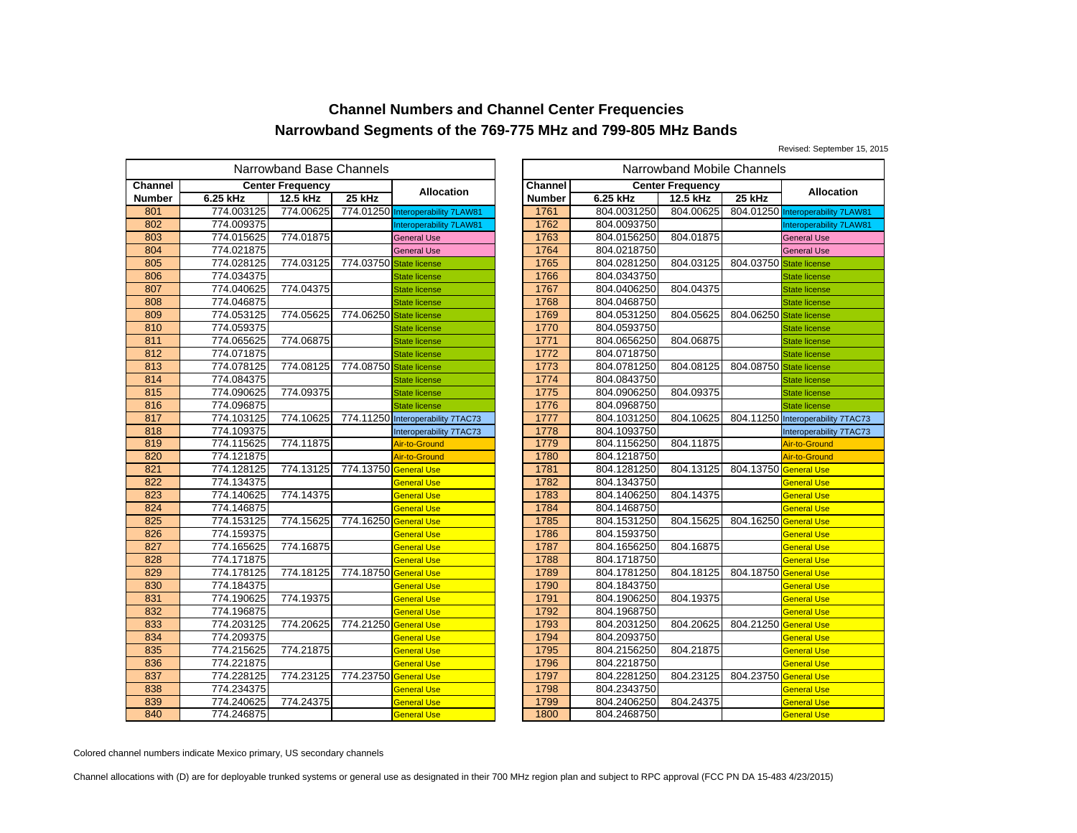Revised: September 15, 2015

|               |            |                         |                       | Narrowband Mobile Channels        |                |             |                         |           |
|---------------|------------|-------------------------|-----------------------|-----------------------------------|----------------|-------------|-------------------------|-----------|
| Channel       |            | <b>Center Frequency</b> |                       |                                   | <b>Channel</b> |             | <b>Center Frequency</b> |           |
| <b>Number</b> | 6.25 kHz   | 12.5 kHz                | 25 kHz                | Allocation                        | <b>Number</b>  | 6.25 kHz    | 12.5 kHz                | 25 kHz    |
| 801           | 774.003125 | 774.00625               |                       | 774.01250 Interoperability 7LAW81 | 1761           | 804.0031250 | 804.00625               | 804.01250 |
| 802           | 774.009375 |                         |                       | Interoperability 7LAW81           | 1762           | 804.0093750 |                         |           |
| 803           | 774.015625 | 774.01875               |                       | <b>General Use</b>                | 1763           | 804.0156250 | 804.01875               |           |
| 804           | 774.021875 |                         |                       | <b>General Use</b>                | 1764           | 804.0218750 |                         |           |
| 805           | 774.028125 | 774.03125               | 774.03750             | <b>State license</b>              | 1765           | 804.0281250 | 804.03125               | 804.03750 |
| 806           | 774.034375 |                         |                       | <b>State license</b>              | 1766           | 804.0343750 |                         |           |
| 807           | 774.040625 | 774.04375               |                       | <b>State license</b>              | 1767           | 804.0406250 | 804.04375               |           |
| 808           | 774.046875 |                         |                       | <b>State license</b>              | 1768           | 804.0468750 |                         |           |
| 809           | 774.053125 | 774.05625               | 774.06250             | <b>State license</b>              | 1769           | 804.0531250 | 804.05625               | 804.06250 |
| 810           | 774.059375 |                         |                       | <b>State license</b>              | 1770           | 804.0593750 |                         |           |
| 811           | 774.065625 | 774.06875               |                       | <b>State license</b>              | 1771           | 804.0656250 | 804.06875               |           |
| 812           | 774.071875 |                         |                       | State license                     | 1772           | 804.0718750 |                         |           |
| 813           | 774.078125 | 774.08125               | 774.08750             | <b>State license</b>              | 1773           | 804.0781250 | 804.08125               | 804.08750 |
| 814           | 774.084375 |                         |                       | <b>State license</b>              | 1774           | 804.0843750 |                         |           |
| 815           | 774.090625 | 774.09375               |                       | <b>State license</b>              | 1775           | 804.0906250 | 804.09375               |           |
| 816           | 774.096875 |                         |                       | <b>State license</b>              | 1776           | 804.0968750 |                         |           |
| 817           | 774.103125 | 774.10625               |                       | 774.11250 Interoperability 7TAC73 | 1777           | 804.1031250 | 804.10625               | 804.11250 |
| 818           | 774.109375 |                         |                       | Interoperability 7TAC73           | 1778           | 804.1093750 |                         |           |
| 819           | 774.115625 | 774.11875               |                       | Air-to-Ground                     | 1779           | 804.1156250 | 804.11875               |           |
| 820           | 774.121875 |                         |                       | Air-to-Ground                     | 1780           | 804.1218750 |                         |           |
| 821           | 774.128125 | 774.13125               | 774.13750 General Use |                                   | 1781           | 804.1281250 | 804.13125               | 804.13750 |
| 822           | 774.134375 |                         |                       | <b>General Use</b>                | 1782           | 804.1343750 |                         |           |
| 823           | 774.140625 | 774.14375               |                       | General Use                       | 1783           | 804.1406250 | 804.14375               |           |
| 824           | 774.146875 |                         |                       | General Use                       | 1784           | 804.1468750 |                         |           |
| 825           | 774.153125 | 774.15625               | 774.16250             | <b>General Use</b>                | 1785           | 804.1531250 | 804.15625               | 804.16250 |
| 826           | 774.159375 |                         |                       | <b>General Use</b>                | 1786           | 804.1593750 |                         |           |
| 827           | 774.165625 | 774.16875               |                       | General Use                       | 1787           | 804.1656250 | 804.16875               |           |
| 828           | 774.171875 |                         |                       | General Use                       | 1788           | 804.1718750 |                         |           |
| 829           | 774.178125 | 774.18125               | 774.18750             | <b>General Use</b>                | 1789           | 804.1781250 | 804.18125               | 804.18750 |
| 830           | 774.184375 |                         |                       | General Use                       | 1790           | 804.1843750 |                         |           |
| 831           | 774.190625 | 774.19375               |                       | General Use                       | 1791           | 804.1906250 | 804.19375               |           |
| 832           | 774.196875 |                         |                       | General Use                       | 1792           | 804.1968750 |                         |           |
| 833           | 774.203125 | 774.20625               | 774.21250             | <b>General Use</b>                | 1793           | 804.2031250 | 804.20625               | 804.21250 |
| 834           | 774.209375 |                         |                       | General Use                       | 1794           | 804.2093750 |                         |           |
| 835           | 774.215625 | 774.21875               |                       | General Use                       | 1795           | 804.2156250 | 804.21875               |           |
| 836           | 774.221875 |                         |                       | <b>General Use</b>                | 1796           | 804.2218750 |                         |           |
| 837           | 774.228125 | 774.23125               | 774.23750 General Use |                                   | 1797           | 804.2281250 | 804.23125               | 804.23750 |
| 838           | 774.234375 |                         |                       | General Use                       | 1798           | 804.2343750 |                         |           |
| 839           | 774.240625 | 774.24375               |                       | General Use                       | 1799           | 804.2406250 | 804.24375               |           |
| 840           | 774.246875 |                         |                       | General Use                       | 1800           | 804.2468750 |                         |           |

| Narrowband Mobile Channels<br>owband Base Channels |                |                         |                                   |               |             |                         |                         |                                   |
|----------------------------------------------------|----------------|-------------------------|-----------------------------------|---------------|-------------|-------------------------|-------------------------|-----------------------------------|
|                                                    | iter Frequency |                         | <b>Allocation</b>                 | Channel       |             | <b>Center Frequency</b> |                         | <b>Allocation</b>                 |
|                                                    | 12.5 kHz       | 25 kHz                  |                                   | <b>Number</b> | 6.25 kHz    | 12.5 kHz                | 25 kHz                  |                                   |
| 5                                                  | 774.00625      |                         | 774.01250 Interoperability 7LAW81 | 1761          | 804.0031250 | 804.00625               |                         | 804.01250 Interoperability 7LAW81 |
|                                                    |                |                         | Interoperability 7LAW81           | 1762          | 804.0093750 |                         |                         | Interoperability 7LAW81           |
| $rac{5}{5}$                                        | 774.01875      |                         | <b>General Use</b>                | 1763          | 804.0156250 | 804.01875               |                         | <b>General Use</b>                |
|                                                    |                |                         | <b>General Use</b>                | 1764          | 804.0218750 |                         |                         | <b>General Use</b>                |
| $\frac{5}{5}$                                      | 774.03125      | 774.03750 State license |                                   | 1765          | 804.0281250 | 804.03125               | 804.03750 State license |                                   |
|                                                    |                |                         | <b>State license</b>              | 1766          | 804.0343750 |                         |                         | <b>State license</b>              |
|                                                    | 774.04375      |                         | <b>State license</b>              | 1767          | 804.0406250 | 804.04375               |                         | <b>State license</b>              |
| $rac{5}{5}$                                        |                |                         | <b>State license</b>              | 1768          | 804.0468750 |                         |                         | <b>State license</b>              |
|                                                    | 774.05625      | 774.06250 State license |                                   | 1769          | 804.0531250 | 804.05625               | 804.06250 State license |                                   |
|                                                    |                |                         | <b>State license</b>              | 1770          | 804.0593750 |                         |                         | <b>State license</b>              |
|                                                    | 774.06875      |                         | <b>State license</b>              | 1771          | 804.0656250 | 804.06875               |                         | <b>State license</b>              |
|                                                    |                |                         | <b>State license</b>              | 1772          | 804.0718750 |                         |                         | <b>State license</b>              |
|                                                    | 774.08125      | 774.08750 State license |                                   | 1773          | 804.0781250 | 804.08125               | 804.08750 State license |                                   |
|                                                    |                |                         | <b>State license</b>              | 1774          | 804.0843750 |                         |                         | <b>State license</b>              |
|                                                    | 774.09375      |                         | <b>State license</b>              | 1775          | 804.0906250 | 804.09375               |                         | <b>State license</b>              |
| $\frac{5}{5}$                                      |                |                         | <b>State license</b>              | 1776          | 804.0968750 |                         |                         | <b>State license</b>              |
| 5                                                  | 774.10625      |                         | 774.11250 Interoperability 7TAC73 | 1777          | 804.1031250 | 804.10625               |                         | 804.11250 Interoperability 7TAC73 |
|                                                    |                |                         | Interoperability 7TAC73           | 1778          | 804.1093750 |                         |                         | Interoperability 7TAC73           |
| $\frac{5}{5}$                                      | 774.11875      |                         | Air-to-Ground                     | 1779          | 804.1156250 | 804.11875               |                         | Air-to-Ground                     |
|                                                    |                |                         | Air-to-Ground                     | 1780          | 804.1218750 |                         |                         | Air-to-Ground                     |
|                                                    | 774.13125      | 774.13750 General Use   |                                   | 1781          | 804.1281250 | 804.13125               | 804.13750 General Use   |                                   |
|                                                    |                |                         | <b>General Use</b>                | 1782          | 804.1343750 |                         |                         | <b>General Use</b>                |
|                                                    | 774.14375      |                         | <b>General Use</b>                | 1783          | 804.1406250 | 804.14375               |                         | <b>General Use</b>                |
|                                                    |                |                         | <b>General Use</b>                | 1784          | 804.1468750 |                         |                         | <b>General Use</b>                |
|                                                    | 774.15625      | 774.16250 General Use   |                                   | 1785          | 804.1531250 | 804.15625               | 804.16250 General Use   |                                   |
|                                                    |                |                         | <b>General Use</b>                | 1786          | 804.1593750 |                         |                         | <b>General Use</b>                |
|                                                    | 774.16875      |                         | <b>General Use</b>                | 1787          | 804.1656250 | 804.16875               |                         | <b>General Use</b>                |
|                                                    |                |                         | <b>General Use</b>                | 1788          | 804.1718750 |                         |                         | <b>General Use</b>                |
|                                                    | 774.18125      | 774.18750 General Use   |                                   | 1789          | 804.1781250 | 804.18125               | 804.18750 General Use   |                                   |
|                                                    |                |                         | <b>General Use</b>                | 1790          | 804.1843750 |                         |                         | <b>General Use</b>                |
|                                                    | 774.19375      |                         | <b>General Use</b>                | 1791          | 804.1906250 | 804.19375               |                         | <b>General Use</b>                |
|                                                    |                |                         | <b>General Use</b>                | 1792          | 804.1968750 |                         |                         | <b>General Use</b>                |
|                                                    | 774.20625      | 774.21250 General Use   |                                   | 1793          | 804.2031250 | 804.20625               | 804.21250 General Use   |                                   |
|                                                    |                |                         | <b>General Use</b>                | 1794          | 804.2093750 |                         |                         | <b>General Use</b>                |
|                                                    | 774.21875      |                         | <b>General Use</b>                | 1795          | 804.2156250 | 804.21875               |                         | <b>General Use</b>                |
| $\frac{5}{5}$                                      |                |                         | <b>General Use</b>                | 1796          | 804.2218750 |                         |                         | <b>General Use</b>                |
|                                                    | 774.23125      | 774.23750               | <b>General Use</b>                | 1797          | 804.2281250 | 804.23125               | 804.23750 General Use   |                                   |
| 5                                                  |                |                         | <b>General Use</b>                | 1798          | 804.2343750 |                         |                         | <b>General Use</b>                |
|                                                    | 774.24375      |                         | General Use                       | 1799          | 804.2406250 | 804.24375               |                         | <b>General Use</b>                |
| $\frac{5}{5}$                                      |                |                         | <b>General Use</b>                | 1800          | 804.2468750 |                         |                         | <b>General Use</b>                |

Colored channel numbers indicate Mexico primary, US secondary channels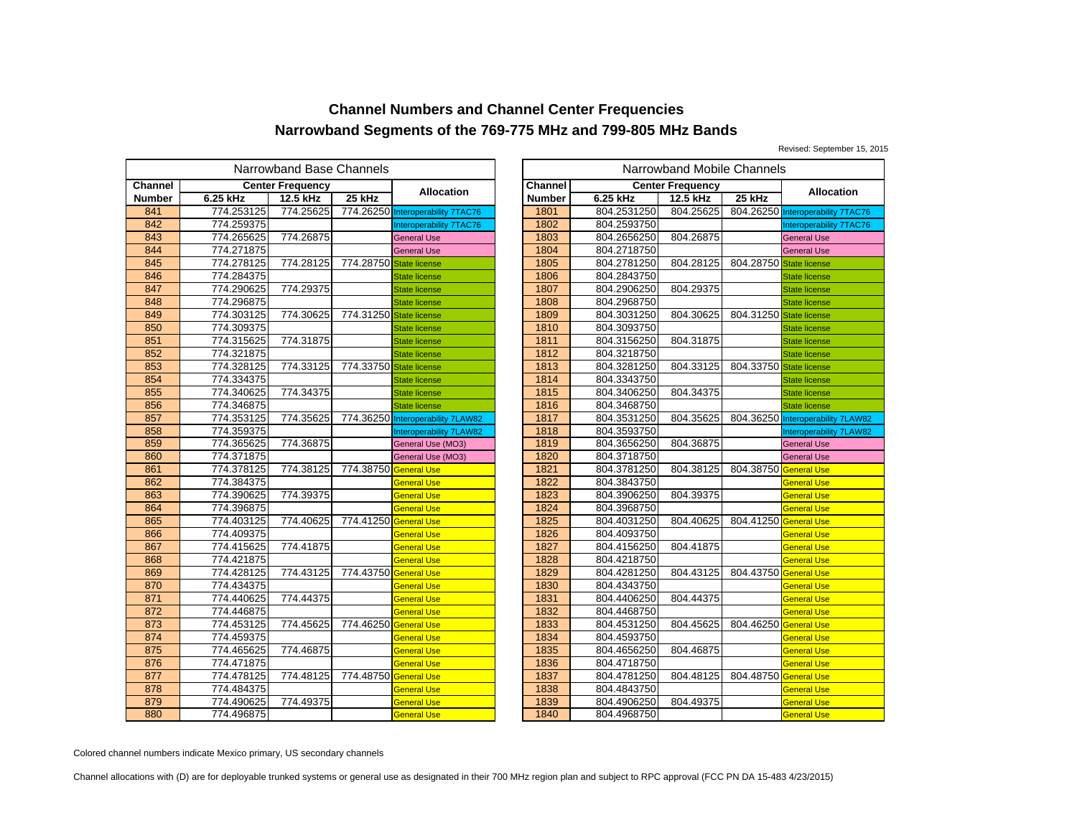Revised: September 15, 2015

|         | Narrowband Base Channels |                         |                         |                                   |  |                |             | Narrowband Mobile Channels |           |
|---------|--------------------------|-------------------------|-------------------------|-----------------------------------|--|----------------|-------------|----------------------------|-----------|
| Channel |                          | <b>Center Frequency</b> |                         |                                   |  | <b>Channel</b> |             | <b>Center Frequency</b>    |           |
| Number  | 6.25 kHz                 | 12.5 kHz                | 25 kHz                  | Allocation                        |  | <b>Number</b>  | 6.25 kHz    | 12.5 kHz                   | 25 kHz    |
| 841     | 774.253125               | 774.25625               |                         | 774.26250 Interoperability 7TAC76 |  | 1801           | 804.2531250 | 804.25625                  | 804.26250 |
| 842     | 774.259375               |                         |                         | Interoperability 7TAC76           |  | 1802           | 804.2593750 |                            |           |
| 843     | 774.265625               | 774.26875               |                         | <b>General Use</b>                |  | 1803           | 804.2656250 | 804.26875                  |           |
| 844     | 774.271875               |                         |                         | <b>General Use</b>                |  | 1804           | 804.2718750 |                            |           |
| 845     | 774.278125               | 774.28125               | 774.28750 State license |                                   |  | 1805           | 804.2781250 | 804.28125                  | 804.28750 |
| 846     | 774.284375               |                         |                         | <b>State license</b>              |  | 1806           | 804.2843750 |                            |           |
| 847     | 774.290625               | 774.29375               |                         | <b>State license</b>              |  | 1807           | 804.2906250 | 804.29375                  |           |
| 848     | 774.296875               |                         |                         | <b>State license</b>              |  | 1808           | 804.2968750 |                            |           |
| 849     | 774.303125               | 774.30625               | 774.31250 State license |                                   |  | 1809           | 804.3031250 | 804.30625                  | 804.31250 |
| 850     | 774.309375               |                         |                         | <b>State license</b>              |  | 1810           | 804.3093750 |                            |           |
| 851     | 774.315625               | 774.31875               |                         | <b>State license</b>              |  | 1811           | 804.3156250 | 804.31875                  |           |
| 852     | 774.321875               |                         |                         | <b>State license</b>              |  | 1812           | 804.3218750 |                            |           |
| 853     | 774.328125               | 774.33125               | 774.33750               | <b>State license</b>              |  | 1813           | 804.3281250 | 804.33125                  | 804.33750 |
| 854     | 774.334375               |                         |                         | <b>State license</b>              |  | 1814           | 804.3343750 |                            |           |
| 855     | 774.340625               | 774.34375               |                         | <b>State license</b>              |  | 1815           | 804.3406250 | 804.34375                  |           |
| 856     | 774.346875               |                         |                         | <b>State license</b>              |  | 1816           | 804.3468750 |                            |           |
| 857     | 774.353125               | 774.35625               |                         | 774.36250 Interoperability 7LAW82 |  | 1817           | 804.3531250 | 804.35625                  | 804.36250 |
| 858     | 774.359375               |                         |                         | Interoperability 7LAW82           |  | 1818           | 804.3593750 |                            |           |
| 859     | 774.365625               | 774.36875               |                         | General Use (MO3)                 |  | 1819           | 804.3656250 | 804.36875                  |           |
| 860     | 774.371875               |                         |                         | General Use (MO3)                 |  | 1820           | 804.3718750 |                            |           |
| 861     | 774.378125               | 774.38125               | 774.38750               | <b>General Use</b>                |  | 1821           | 804.3781250 | 804.38125                  | 804.38750 |
| 862     | 774.384375               |                         |                         | General Use                       |  | 1822           | 804.3843750 |                            |           |
| 863     | 774.390625               | 774.39375               |                         | General Use                       |  | 1823           | 804.3906250 | 804.39375                  |           |
| 864     | 774.396875               |                         |                         | <b>General Use</b>                |  | 1824           | 804.3968750 |                            |           |
| 865     | 774.403125               | 774.40625               | 774.41250               | <b>General Use</b>                |  | 1825           | 804.4031250 | 804.40625                  | 804.41250 |
| 866     | 774.409375               |                         |                         | General Use                       |  | 1826           | 804.4093750 |                            |           |
| 867     | 774.415625               | 774.41875               |                         | <b>General Use</b>                |  | 1827           | 804.4156250 | 804.41875                  |           |
| 868     | 774.421875               |                         |                         | <b>General Use</b>                |  | 1828           | 804.4218750 |                            |           |
| 869     | 774.428125               | 774.43125               | 774.43750 General Use   |                                   |  | 1829           | 804.4281250 | 804.43125                  | 804.43750 |
| 870     | 774.434375               |                         |                         | General Use                       |  | 1830           | 804.4343750 |                            |           |
| 871     | 774.440625               | 774.44375               |                         | <b>General Use</b>                |  | 1831           | 804.4406250 | 804.44375                  |           |
| 872     | 774.446875               |                         |                         | <b>General Use</b>                |  | 1832           | 804.4468750 |                            |           |
| 873     | 774.453125               | 774.45625               | 774.46250               | <b>General Use</b>                |  | 1833           | 804.4531250 | 804.45625                  | 804.46250 |
| 874     | 774.459375               |                         |                         | General Use                       |  | 1834           | 804.4593750 |                            |           |
| 875     | 774.465625               | 774.46875               |                         | <b>General Use</b>                |  | 1835           | 804.4656250 | 804.46875                  |           |
| 876     | 774.471875               |                         |                         | <b>General Use</b>                |  | 1836           | 804.4718750 |                            |           |
| 877     | 774.478125               | 774.48125               | 774.48750 General Use   |                                   |  | 1837           | 804.4781250 | 804.48125                  | 804.48750 |
| 878     | 774.484375               |                         |                         | <b>General Use</b>                |  | 1838           | 804.4843750 |                            |           |
| 879     | 774.490625               | 774.49375               |                         | General Use                       |  | 1839           | 804.4906250 | 804.49375                  |           |
| 880     | 774.496875               |                         |                         | <b>General Use</b>                |  | 1840           | 804.4968750 |                            |           |

| Narrowband Mobile Channels<br>owband Base Channels |                |                         |                                   |               |             |                         |                         |                                   |
|----------------------------------------------------|----------------|-------------------------|-----------------------------------|---------------|-------------|-------------------------|-------------------------|-----------------------------------|
|                                                    | iter Frequency |                         | <b>Allocation</b>                 | Channel       |             | <b>Center Frequency</b> |                         | <b>Allocation</b>                 |
|                                                    | 12.5 kHz       | 25 kHz                  |                                   | <b>Number</b> | 6.25 kHz    | 12.5 kHz                | 25 kHz                  |                                   |
| 5                                                  | 774.25625      |                         | 774.26250 Interoperability 7TAC76 | 1801          | 804.2531250 | 804.25625               |                         | 804.26250 Interoperability 7TAC76 |
|                                                    |                |                         | Interoperability 7TAC76           | 1802          | 804.2593750 |                         |                         | Interoperability 7TAC76           |
| $rac{5}{5}$                                        | 774.26875      |                         | <b>General Use</b>                | 1803          | 804.2656250 | 804.26875               |                         | <b>General Use</b>                |
|                                                    |                |                         | <b>General Use</b>                | 1804          | 804.2718750 |                         |                         | <b>General Use</b>                |
| $\frac{5}{5}$                                      | 774.28125      | 774.28750 State license |                                   | 1805          | 804.2781250 | 804.28125               | 804.28750 State license |                                   |
|                                                    |                |                         | <b>State license</b>              | 1806          | 804.2843750 |                         |                         | <b>State license</b>              |
|                                                    | 774.29375      |                         | <b>State license</b>              | 1807          | 804.2906250 | 804.29375               |                         | <b>State license</b>              |
| $rac{5}{5}$                                        |                |                         | <b>State license</b>              | 1808          | 804.2968750 |                         |                         | <b>State license</b>              |
| 5                                                  | 774.30625      | 774.31250 State license |                                   | 1809          | 804.3031250 | 804.30625               | 804.31250 State license |                                   |
|                                                    |                |                         | <b>State license</b>              | 1810          | 804.3093750 |                         |                         | <b>State license</b>              |
| $rac{5}{5}$                                        | 774.31875      |                         | <b>State license</b>              | 1811          | 804.3156250 | 804.31875               |                         | <b>State license</b>              |
| $\frac{5}{5}$                                      |                |                         | <b>State license</b>              | 1812          | 804.3218750 |                         |                         | <b>State license</b>              |
|                                                    | 774.33125      | 774.33750 State license |                                   | 1813          | 804.3281250 | 804.33125               | 804.33750 State license |                                   |
|                                                    |                |                         | <b>State license</b>              | 1814          | 804.3343750 |                         |                         | <b>State license</b>              |
| $\frac{5}{5}$                                      | 774.34375      |                         | <b>State license</b>              | 1815          | 804.3406250 | 804.34375               |                         | <b>State license</b>              |
|                                                    |                |                         | <b>State license</b>              | 1816          | 804.3468750 |                         |                         | <b>State license</b>              |
| 5                                                  | 774.35625      |                         | 774.36250 Interoperability 7LAW82 | 1817          | 804.3531250 | 804.35625               |                         | 804.36250 Interoperability 7LAW82 |
|                                                    |                |                         | <b>Interoperability 7LAW82</b>    | 1818          | 804.3593750 |                         |                         | Interoperability 7LAW82           |
| $\frac{5}{5}$                                      | 774.36875      |                         | General Use (MO3)                 | 1819          | 804.3656250 | 804.36875               |                         | <b>General Use</b>                |
|                                                    |                |                         | General Use (MO3)                 | 1820          | 804.3718750 |                         |                         | <b>General Use</b>                |
|                                                    | 774.38125      | 774.38750 General Use   |                                   | 1821          | 804.3781250 | 804.38125               | 804.38750 General Use   |                                   |
| 5                                                  |                |                         | <b>General Use</b>                | 1822          | 804.3843750 |                         |                         | <b>General Use</b>                |
|                                                    | 774.39375      |                         | <b>General Use</b>                | 1823          | 804.3906250 | 804.39375               |                         | <b>General Use</b>                |
|                                                    |                |                         | <b>General Use</b>                | 1824          | 804.3968750 |                         |                         | <b>General Use</b>                |
|                                                    | 774.40625      | 774.41250 General Use   |                                   | 1825          | 804.4031250 | 804.40625               | 804.41250 General Use   |                                   |
|                                                    |                |                         | <b>General Use</b>                | 1826          | 804.4093750 |                         |                         | <b>General Use</b>                |
|                                                    | 774.41875      |                         | <b>General Use</b>                | 1827          | 804.4156250 | 804.41875               |                         | <b>General Use</b>                |
|                                                    |                |                         | <b>General Use</b>                | 1828          | 804.4218750 |                         |                         | <b>General Use</b>                |
|                                                    | 774.43125      | 774.43750 General Use   |                                   | 1829          | 804.4281250 | 804.43125               | 804.43750 General Use   |                                   |
|                                                    |                |                         | <b>General Use</b>                | 1830          | 804.4343750 |                         |                         | <b>General Use</b>                |
| $\frac{5}{5}$                                      | 774.44375      |                         | <b>General Use</b>                | 1831          | 804.4406250 | 804.44375               |                         | <b>General Use</b>                |
|                                                    |                |                         | <b>General Use</b>                | 1832          | 804.4468750 |                         |                         | <b>General Use</b>                |
| $rac{5}{5}$                                        | 774.45625      | 774.46250 General Use   |                                   | 1833          | 804.4531250 | 804.45625               | 804.46250 General Use   |                                   |
|                                                    |                |                         | <b>General Use</b>                | 1834          | 804.4593750 |                         |                         | <b>General Use</b>                |
|                                                    | 774.46875      |                         | <b>General Use</b>                | 1835          | 804.4656250 | 804.46875               |                         | <b>General Use</b>                |
| $\frac{5}{5}$                                      |                |                         | <b>General Use</b>                | 1836          | 804.4718750 |                         |                         | <b>General Use</b>                |
|                                                    | 774.48125      | 774.48750               | <b>General Use</b>                | 1837          | 804.4781250 | 804.48125               | 804.48750 General Use   |                                   |
| 5                                                  |                |                         | <b>General Use</b>                | 1838          | 804.4843750 |                         |                         | <b>General Use</b>                |
| $\frac{5}{5}$                                      | 774.49375      |                         | General Use                       | 1839          | 804.4906250 | 804.49375               |                         | <b>General Use</b>                |
|                                                    |                |                         | <b>General Use</b>                | 1840          | 804.4968750 |                         |                         | <b>General Use</b>                |

Colored channel numbers indicate Mexico primary, US secondary channels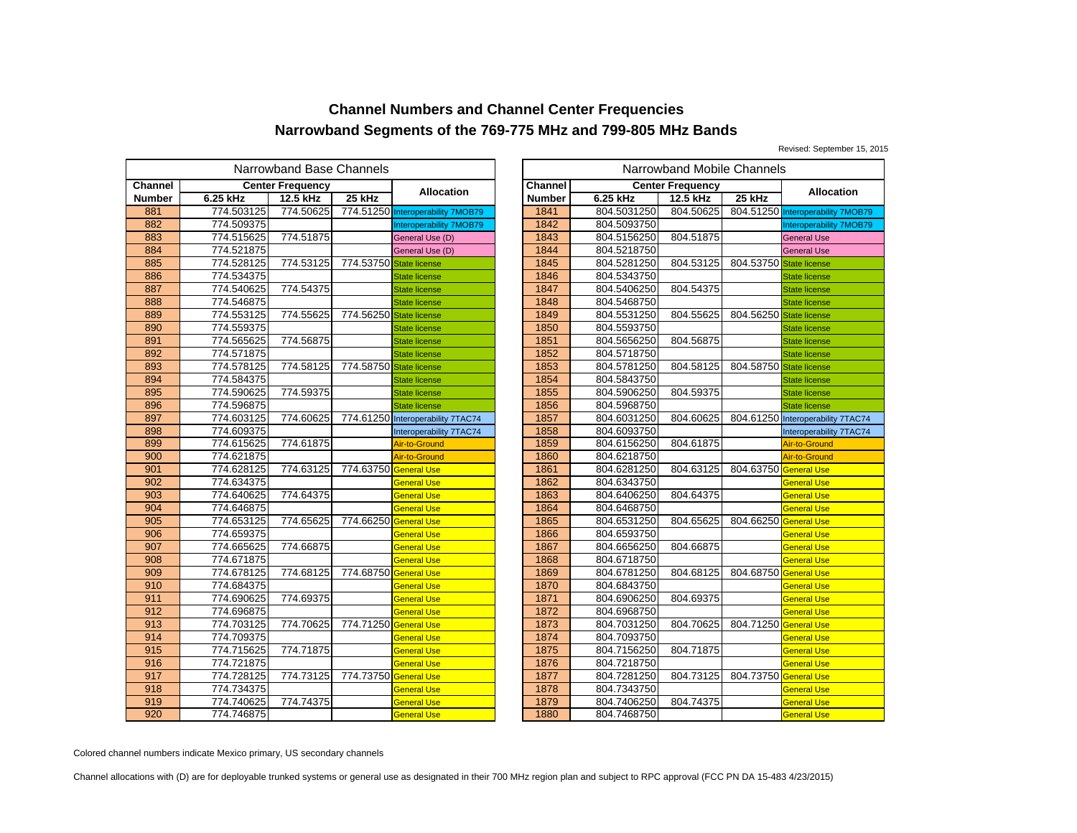Revised: September 15, 2015

|               | Narrowband Base Channels |                         |                         |                                   |  |                |             | Narrowband Mobile Channels |           |
|---------------|--------------------------|-------------------------|-------------------------|-----------------------------------|--|----------------|-------------|----------------------------|-----------|
| Channel       |                          | <b>Center Frequency</b> |                         |                                   |  | <b>Channel</b> |             | <b>Center Frequency</b>    |           |
| <b>Number</b> | 6.25 kHz                 | 12.5 kHz                | 25 kHz                  | <b>Allocation</b>                 |  | <b>Number</b>  | 6.25 kHz    | 12.5 kHz                   | 25 kHz    |
| 881           | 774.503125               | 774.50625               |                         | 774.51250 Interoperability 7MOB79 |  | 1841           | 804.5031250 | 804.50625                  | 804.51250 |
| 882           | 774.509375               |                         |                         | <b>Interoperability 7MOB79</b>    |  | 1842           | 804.5093750 |                            |           |
| 883           | 774.515625               | 774.51875               |                         | General Use (D)                   |  | 1843           | 804.5156250 | 804.51875                  |           |
| 884           | 774.521875               |                         |                         | General Use (D)                   |  | 1844           | 804.5218750 |                            |           |
| 885           | 774.528125               | 774.53125               | 774.53750 State license |                                   |  | 1845           | 804.5281250 | 804.53125                  | 804.53750 |
| 886           | 774.534375               |                         |                         | <b>State license</b>              |  | 1846           | 804.5343750 |                            |           |
| 887           | 774.540625               | 774.54375               |                         | <b>State license</b>              |  | 1847           | 804.5406250 | 804.54375                  |           |
| 888           | 774.546875               |                         |                         | <b>State license</b>              |  | 1848           | 804.5468750 |                            |           |
| 889           | 774.553125               | 774.55625               | 774.56250 State license |                                   |  | 1849           | 804.5531250 | 804.55625                  | 804.56250 |
| 890           | 774.559375               |                         |                         | <b>State license</b>              |  | 1850           | 804.5593750 |                            |           |
| 891           | 774.565625               | 774.56875               |                         | <b>State license</b>              |  | 1851           | 804.5656250 | 804.56875                  |           |
| 892           | 774.571875               |                         |                         | <b>State license</b>              |  | 1852           | 804.5718750 |                            |           |
| 893           | 774.578125               | 774.58125               | 774.58750               | <b>State license</b>              |  | 1853           | 804.5781250 | 804.58125                  | 804.58750 |
| 894           | 774.584375               |                         |                         | <b>State license</b>              |  | 1854           | 804.5843750 |                            |           |
| 895           | 774.590625               | 774.59375               |                         | <b>State license</b>              |  | 1855           | 804.5906250 | 804.59375                  |           |
| 896           | 774.596875               |                         |                         | <b>State license</b>              |  | 1856           | 804.5968750 |                            |           |
| 897           | 774.603125               | 774.60625               |                         | 774.61250 Interoperability 7TAC74 |  | 1857           | 804.6031250 | 804.60625                  | 804.61250 |
| 898           | 774.609375               |                         |                         | Interoperability 7TAC74           |  | 1858           | 804.6093750 |                            |           |
| 899           | 774.615625               | 774.61875               |                         | Air-to-Ground                     |  | 1859           | 804.6156250 | 804.61875                  |           |
| 900           | 774.621875               |                         |                         | Air-to-Ground                     |  | 1860           | 804.6218750 |                            |           |
| 901           | 774.628125               | 774.63125               | 774.63750 General Use   |                                   |  | 1861           | 804.6281250 | 804.63125                  | 804.63750 |
| 902           | 774.634375               |                         |                         | <b>General Use</b>                |  | 1862           | 804.6343750 |                            |           |
| 903           | 774.640625               | 774.64375               |                         | General Use                       |  | 1863           | 804.6406250 | 804.64375                  |           |
| 904           | 774.646875               |                         |                         | General Use                       |  | 1864           | 804.6468750 |                            |           |
| 905           | 774.653125               | 774.65625               | 774.66250               | <b>General Use</b>                |  | 1865           | 804.6531250 | 804.65625                  | 804.66250 |
| 906           | 774.659375               |                         |                         | General Use                       |  | 1866           | 804.6593750 |                            |           |
| 907           | 774.665625               | 774.66875               |                         | General Use                       |  | 1867           | 804.6656250 | 804.66875                  |           |
| 908           | 774.671875               |                         |                         | General Use                       |  | 1868           | 804.6718750 |                            |           |
| 909           | 774.678125               | 774.68125               | 774.68750 General Use   |                                   |  | 1869           | 804.6781250 | 804.68125                  | 804.68750 |
| 910           | 774.684375               |                         |                         | General Use                       |  | 1870           | 804.6843750 |                            |           |
| 911           | 774.690625               | 774.69375               |                         | General Use                       |  | 1871           | 804.6906250 | 804.69375                  |           |
| 912           | 774.696875               |                         |                         | <b>General Use</b>                |  | 1872           | 804.6968750 |                            |           |
| 913           | 774.703125               | 774.70625               | 774.71250               | <b>General Use</b>                |  | 1873           | 804.7031250 | 804.70625                  | 804.71250 |
| 914           | 774.709375               |                         |                         | General Use                       |  | 1874           | 804.7093750 |                            |           |
| 915           | 774.715625               | 774.71875               |                         | General Use                       |  | 1875           | 804.7156250 | 804.71875                  |           |
| 916           | 774.721875               |                         |                         | General Use                       |  | 1876           | 804.7218750 |                            |           |
| 917           | 774.728125               | 774.73125               | 774.73750               | <b>General Use</b>                |  | 1877           | 804.7281250 | 804.73125                  | 804.73750 |
| 918           | 774.734375               |                         |                         | General Use                       |  | 1878           | 804.7343750 |                            |           |
| 919           | 774.740625               | 774.74375               |                         | General Use                       |  | 1879           | 804.7406250 | 804.74375                  |           |
| 920           | 774.746875               |                         |                         | <b>General Use</b>                |  | 1880           | 804.7468750 |                            |           |

|                                           | Narrowband Mobile Channels<br>owband Base Channels |                         |                                   |               |             |                         |                         |                                   |
|-------------------------------------------|----------------------------------------------------|-------------------------|-----------------------------------|---------------|-------------|-------------------------|-------------------------|-----------------------------------|
|                                           | iter Frequency                                     |                         | <b>Allocation</b>                 | Channel       |             | <b>Center Frequency</b> |                         | <b>Allocation</b>                 |
|                                           | 12.5 kHz                                           | 25 kHz                  |                                   | <b>Number</b> | 6.25 kHz    | 12.5 kHz                | 25 kHz                  |                                   |
| 5                                         | 774.50625                                          |                         | 774.51250 Interoperability 7MOB79 | 1841          | 804.5031250 | 804.50625               |                         | 804.51250 Interoperability 7MOB79 |
|                                           |                                                    |                         | Interoperability 7MOB79           | 1842          | 804.5093750 |                         |                         | <b>Interoperability 7MOB79</b>    |
| $rac{5}{5}$                               | 774.51875                                          |                         | General Use (D)                   | 1843          | 804.5156250 | 804.51875               |                         | <b>General Use</b>                |
|                                           |                                                    |                         | General Use (D)                   | 1844          | 804.5218750 |                         |                         | <b>General Use</b>                |
| $\frac{5}{5}$                             | 774.53125                                          | 774.53750               | State license                     | 1845          | 804.5281250 | 804.53125               | 804.53750 State license |                                   |
|                                           |                                                    |                         | <b>State license</b>              | 1846          | 804.5343750 |                         |                         | <b>State license</b>              |
|                                           | 774.54375                                          |                         | <b>State license</b>              | 1847          | 804.5406250 | 804.54375               |                         | <b>State license</b>              |
| $rac{5}{5}$                               |                                                    |                         | <b>State license</b>              | 1848          | 804.5468750 |                         |                         | <b>State license</b>              |
|                                           | 774.55625                                          | 774.56250 State license |                                   | 1849          | 804.5531250 | 804.55625               | 804.56250 State license |                                   |
| 5<br>5<br>5<br>5                          |                                                    |                         | <b>State license</b>              | 1850          | 804.5593750 |                         |                         | <b>State license</b>              |
|                                           | 774.56875                                          |                         | <b>State license</b>              | 1851          | 804.5656250 | 804.56875               |                         | <b>State license</b>              |
|                                           |                                                    |                         | <b>State license</b>              | 1852          | 804.5718750 |                         |                         | <b>State license</b>              |
|                                           | 774.58125                                          | 774.58750 State license |                                   | 1853          | 804.5781250 | 804.58125               | 804.58750 State license |                                   |
|                                           |                                                    |                         | <b>State license</b>              | 1854          | 804.5843750 |                         |                         | <b>State license</b>              |
|                                           | 774.59375                                          |                         | <b>State license</b>              | 1855          | 804.5906250 | 804.59375               |                         | <b>State license</b>              |
|                                           |                                                    |                         | <b>State license</b>              | 1856          | 804.5968750 |                         |                         | <b>State license</b>              |
|                                           | 774.60625                                          |                         | 774.61250 Interoperability 7TAC74 | 1857          | 804.6031250 | 804.60625               |                         | 804.61250 Interoperability 7TAC74 |
|                                           |                                                    |                         | Interoperability 7TAC74           | 1858          | 804.6093750 |                         |                         | Interoperability 7TAC74           |
| $\frac{5}{5}$                             | 774.61875                                          |                         | Air-to-Ground                     | 1859          | 804.6156250 | 804.61875               |                         | Air-to-Ground                     |
|                                           |                                                    |                         | Air-to-Ground                     | 1860          | 804.6218750 |                         |                         | Air-to-Ground                     |
|                                           | 774.63125                                          | 774.63750               | <b>General Use</b>                | 1861          | 804.6281250 | 804.63125               | 804.63750 General Use   |                                   |
| $\frac{5}{5}$                             |                                                    |                         | <b>General Use</b>                | 1862          | 804.6343750 |                         |                         | General Use                       |
|                                           | 774.64375                                          |                         | <b>General Use</b>                | 1863          | 804.6406250 | 804.64375               |                         | <b>General Use</b>                |
| 5                                         |                                                    |                         | <b>General Use</b>                | 1864          | 804.6468750 |                         |                         | <b>General Use</b>                |
|                                           | 774.65625                                          | 774.66250               | <b>General Use</b>                | 1865          | 804.6531250 | 804.65625               | 804.66250 General Use   |                                   |
|                                           |                                                    |                         | <b>General Use</b>                | 1866          | 804.6593750 |                         |                         | General Use                       |
| $\frac{5}{5}$                             | 774.66875                                          |                         | <b>General Use</b>                | 1867          | 804.6656250 | 804.66875               |                         | <b>General Use</b>                |
| 5                                         |                                                    |                         | <b>General Use</b>                | 1868          | 804.6718750 |                         |                         | <b>General Use</b>                |
|                                           | 774.68125                                          | 774.68750               | <b>General Use</b>                | 1869          | 804.6781250 | 804.68125               | 804.68750 General Use   |                                   |
| $\frac{5}{5}$ $\frac{5}{5}$ $\frac{5}{5}$ |                                                    |                         | <b>General Use</b>                | 1870          | 804.6843750 |                         |                         | <b>General Use</b>                |
|                                           | 774.69375                                          |                         | <b>General Use</b>                | 1871          | 804.6906250 | 804.69375               |                         | <b>General Use</b>                |
|                                           |                                                    |                         | <b>General Use</b>                | 1872          | 804.6968750 |                         |                         | <b>General Use</b>                |
|                                           | 774.70625                                          | 774.71250               | <b>General Use</b>                | 1873          | 804.7031250 | 804.70625               | 804.71250 General Use   |                                   |
|                                           |                                                    |                         | <b>General Use</b>                | 1874          | 804.7093750 |                         |                         | General Use                       |
| $rac{5}{5}$                               | 774.71875                                          |                         | General Use                       | 1875          | 804.7156250 | 804.71875               |                         | General Use                       |
|                                           |                                                    |                         | General Use                       | 1876          | 804.7218750 |                         |                         | <b>General Use</b>                |
|                                           | 774.73125                                          | 774.73750               | <b>General Use</b>                | 1877          | 804.7281250 | 804.73125               | 804.73750 General Use   |                                   |
| $\frac{5}{5}$                             |                                                    |                         | <b>General Use</b>                | 1878          | 804.7343750 |                         |                         | General Use                       |
| $rac{5}{5}$                               | 774.74375                                          |                         | <b>General Use</b>                | 1879          | 804.7406250 | 804.74375               |                         | <b>General Use</b>                |
|                                           |                                                    |                         | <b>General Use</b>                | 1880          | 804.7468750 |                         |                         | <b>General Use</b>                |

Colored channel numbers indicate Mexico primary, US secondary channels